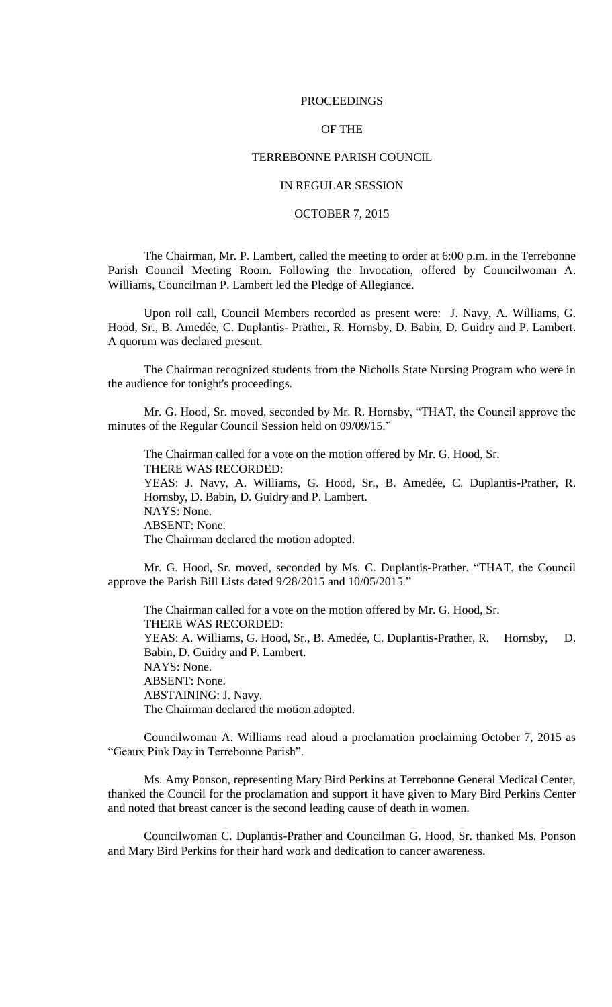### PROCEEDINGS

# OF THE

# TERREBONNE PARISH COUNCIL

# IN REGULAR SESSION

## OCTOBER 7, 2015

The Chairman, Mr. P. Lambert, called the meeting to order at 6:00 p.m. in the Terrebonne Parish Council Meeting Room. Following the Invocation, offered by Councilwoman A. Williams, Councilman P. Lambert led the Pledge of Allegiance.

Upon roll call, Council Members recorded as present were: J. Navy, A. Williams, G. Hood, Sr., B. Amedée, C. Duplantis- Prather, R. Hornsby, D. Babin, D. Guidry and P. Lambert. A quorum was declared present.

The Chairman recognized students from the Nicholls State Nursing Program who were in the audience for tonight's proceedings.

Mr. G. Hood, Sr. moved, seconded by Mr. R. Hornsby, "THAT, the Council approve the minutes of the Regular Council Session held on 09/09/15."

The Chairman called for a vote on the motion offered by Mr. G. Hood, Sr. THERE WAS RECORDED: YEAS: J. Navy, A. Williams, G. Hood, Sr., B. Amedée, C. Duplantis-Prather, R. Hornsby, D. Babin, D. Guidry and P. Lambert. NAYS: None. ABSENT: None. The Chairman declared the motion adopted.

Mr. G. Hood, Sr. moved, seconded by Ms. C. Duplantis-Prather, "THAT, the Council approve the Parish Bill Lists dated 9/28/2015 and 10/05/2015."

The Chairman called for a vote on the motion offered by Mr. G. Hood, Sr. THERE WAS RECORDED: YEAS: A. Williams, G. Hood, Sr., B. Amedée, C. Duplantis-Prather, R. Hornsby, D. Babin, D. Guidry and P. Lambert. NAYS: None. ABSENT: None. ABSTAINING: J. Navy. The Chairman declared the motion adopted.

Councilwoman A. Williams read aloud a proclamation proclaiming October 7, 2015 as "Geaux Pink Day in Terrebonne Parish".

Ms. Amy Ponson, representing Mary Bird Perkins at Terrebonne General Medical Center, thanked the Council for the proclamation and support it have given to Mary Bird Perkins Center and noted that breast cancer is the second leading cause of death in women.

Councilwoman C. Duplantis-Prather and Councilman G. Hood, Sr. thanked Ms. Ponson and Mary Bird Perkins for their hard work and dedication to cancer awareness.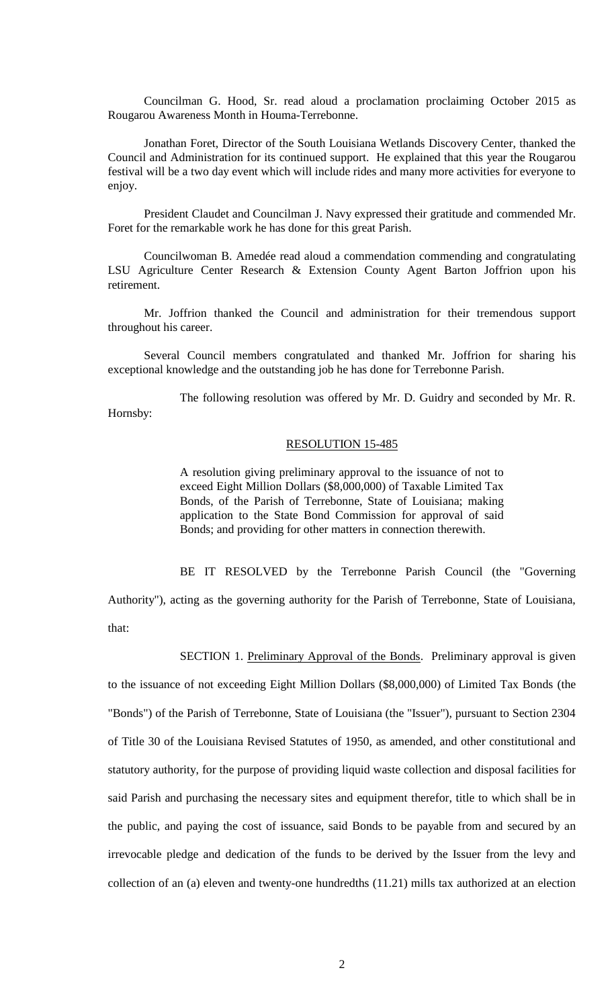Councilman G. Hood, Sr. read aloud a proclamation proclaiming October 2015 as Rougarou Awareness Month in Houma-Terrebonne.

Jonathan Foret, Director of the South Louisiana Wetlands Discovery Center, thanked the Council and Administration for its continued support. He explained that this year the Rougarou festival will be a two day event which will include rides and many more activities for everyone to enjoy.

President Claudet and Councilman J. Navy expressed their gratitude and commended Mr. Foret for the remarkable work he has done for this great Parish.

Councilwoman B. Amedée read aloud a commendation commending and congratulating LSU Agriculture Center Research & Extension County Agent Barton Joffrion upon his retirement.

Mr. Joffrion thanked the Council and administration for their tremendous support throughout his career.

Several Council members congratulated and thanked Mr. Joffrion for sharing his exceptional knowledge and the outstanding job he has done for Terrebonne Parish.

The following resolution was offered by Mr. D. Guidry and seconded by Mr. R. Hornsby:

## RESOLUTION 15-485

A resolution giving preliminary approval to the issuance of not to exceed Eight Million Dollars (\$8,000,000) of Taxable Limited Tax Bonds, of the Parish of Terrebonne, State of Louisiana; making application to the State Bond Commission for approval of said Bonds; and providing for other matters in connection therewith.

BE IT RESOLVED by the Terrebonne Parish Council (the "Governing Authority"), acting as the governing authority for the Parish of Terrebonne, State of Louisiana, that:

SECTION 1. Preliminary Approval of the Bonds. Preliminary approval is given to the issuance of not exceeding Eight Million Dollars (\$8,000,000) of Limited Tax Bonds (the "Bonds") of the Parish of Terrebonne, State of Louisiana (the "Issuer"), pursuant to Section 2304 of Title 30 of the Louisiana Revised Statutes of 1950, as amended, and other constitutional and statutory authority, for the purpose of providing liquid waste collection and disposal facilities for said Parish and purchasing the necessary sites and equipment therefor, title to which shall be in the public, and paying the cost of issuance, said Bonds to be payable from and secured by an irrevocable pledge and dedication of the funds to be derived by the Issuer from the levy and collection of an (a) eleven and twenty-one hundredths (11.21) mills tax authorized at an election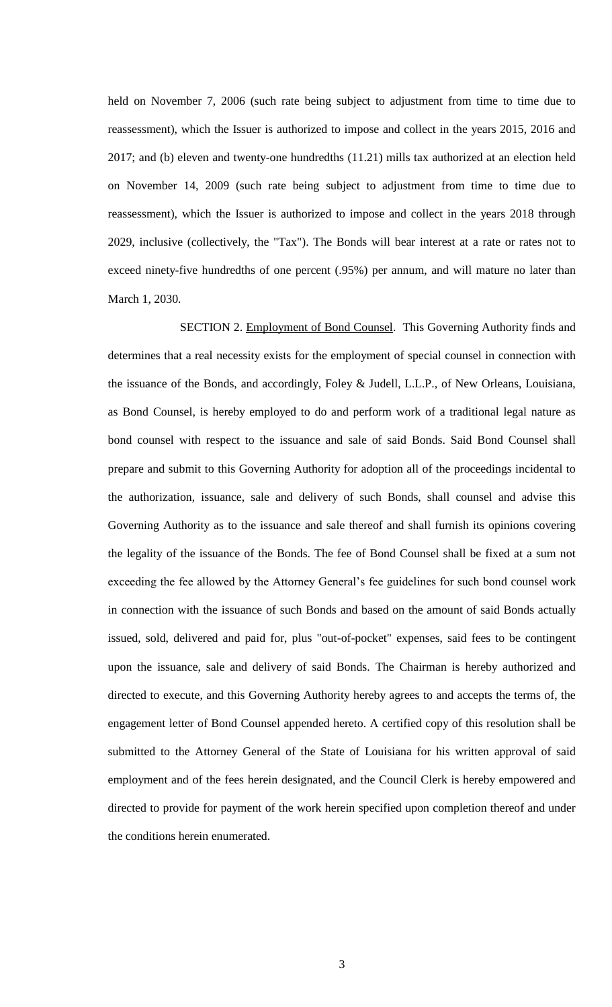held on November 7, 2006 (such rate being subject to adjustment from time to time due to reassessment), which the Issuer is authorized to impose and collect in the years 2015, 2016 and 2017; and (b) eleven and twenty-one hundredths (11.21) mills tax authorized at an election held on November 14, 2009 (such rate being subject to adjustment from time to time due to reassessment), which the Issuer is authorized to impose and collect in the years 2018 through 2029, inclusive (collectively, the "Tax"). The Bonds will bear interest at a rate or rates not to exceed ninety-five hundredths of one percent (.95%) per annum, and will mature no later than March 1, 2030.

SECTION 2. Employment of Bond Counsel. This Governing Authority finds and determines that a real necessity exists for the employment of special counsel in connection with the issuance of the Bonds, and accordingly, Foley & Judell, L.L.P., of New Orleans, Louisiana, as Bond Counsel, is hereby employed to do and perform work of a traditional legal nature as bond counsel with respect to the issuance and sale of said Bonds. Said Bond Counsel shall prepare and submit to this Governing Authority for adoption all of the proceedings incidental to the authorization, issuance, sale and delivery of such Bonds, shall counsel and advise this Governing Authority as to the issuance and sale thereof and shall furnish its opinions covering the legality of the issuance of the Bonds. The fee of Bond Counsel shall be fixed at a sum not exceeding the fee allowed by the Attorney General's fee guidelines for such bond counsel work in connection with the issuance of such Bonds and based on the amount of said Bonds actually issued, sold, delivered and paid for, plus "out-of-pocket" expenses, said fees to be contingent upon the issuance, sale and delivery of said Bonds. The Chairman is hereby authorized and directed to execute, and this Governing Authority hereby agrees to and accepts the terms of, the engagement letter of Bond Counsel appended hereto. A certified copy of this resolution shall be submitted to the Attorney General of the State of Louisiana for his written approval of said employment and of the fees herein designated, and the Council Clerk is hereby empowered and directed to provide for payment of the work herein specified upon completion thereof and under the conditions herein enumerated.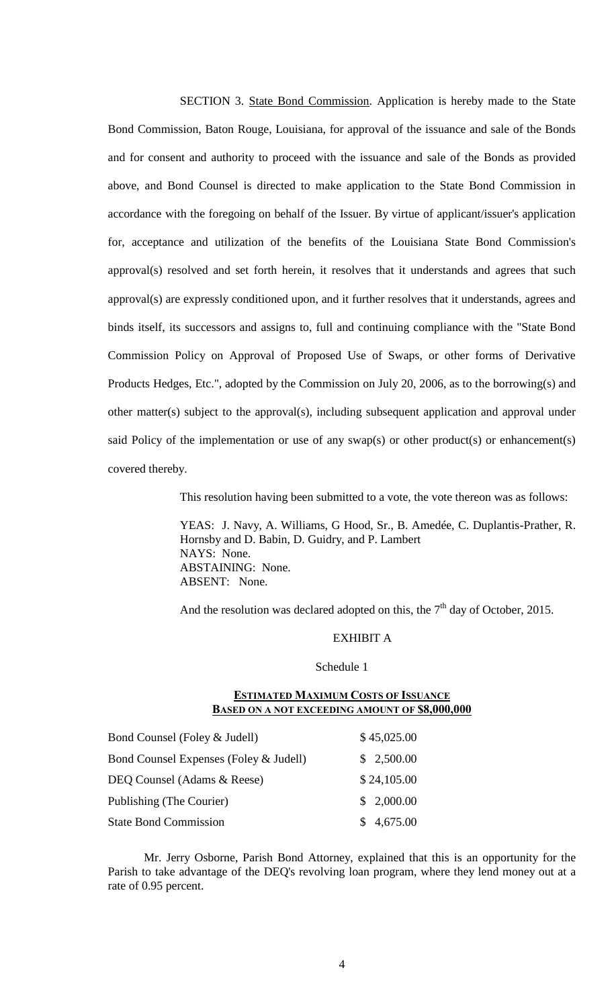SECTION 3. State Bond Commission. Application is hereby made to the State Bond Commission, Baton Rouge, Louisiana, for approval of the issuance and sale of the Bonds and for consent and authority to proceed with the issuance and sale of the Bonds as provided above, and Bond Counsel is directed to make application to the State Bond Commission in accordance with the foregoing on behalf of the Issuer. By virtue of applicant/issuer's application for, acceptance and utilization of the benefits of the Louisiana State Bond Commission's approval(s) resolved and set forth herein, it resolves that it understands and agrees that such approval(s) are expressly conditioned upon, and it further resolves that it understands, agrees and binds itself, its successors and assigns to, full and continuing compliance with the "State Bond Commission Policy on Approval of Proposed Use of Swaps, or other forms of Derivative Products Hedges, Etc.", adopted by the Commission on July 20, 2006, as to the borrowing(s) and other matter(s) subject to the approval(s), including subsequent application and approval under said Policy of the implementation or use of any swap(s) or other product(s) or enhancement(s) covered thereby.

This resolution having been submitted to a vote, the vote thereon was as follows:

YEAS: J. Navy, A. Williams, G Hood, Sr., B. Amedée, C. Duplantis-Prather, R. Hornsby and D. Babin, D. Guidry, and P. Lambert NAYS: None. ABSTAINING: None. ABSENT: None.

And the resolution was declared adopted on this, the  $7<sup>th</sup>$  day of October, 2015.

# EXHIBIT A

Schedule 1

# **ESTIMATED MAXIMUM COSTS OF ISSUANCE BASED ON A NOT EXCEEDING AMOUNT OF \$8,000,000**

| Bond Counsel (Foley & Judell)          | \$45,025.00 |
|----------------------------------------|-------------|
| Bond Counsel Expenses (Foley & Judell) | \$2,500.00  |
| DEQ Counsel (Adams & Reese)            | \$24,105.00 |
| Publishing (The Courier)               | \$2,000.00  |
| <b>State Bond Commission</b>           | \$4,675.00  |

Mr. Jerry Osborne, Parish Bond Attorney, explained that this is an opportunity for the Parish to take advantage of the DEQ's revolving loan program, where they lend money out at a rate of 0.95 percent.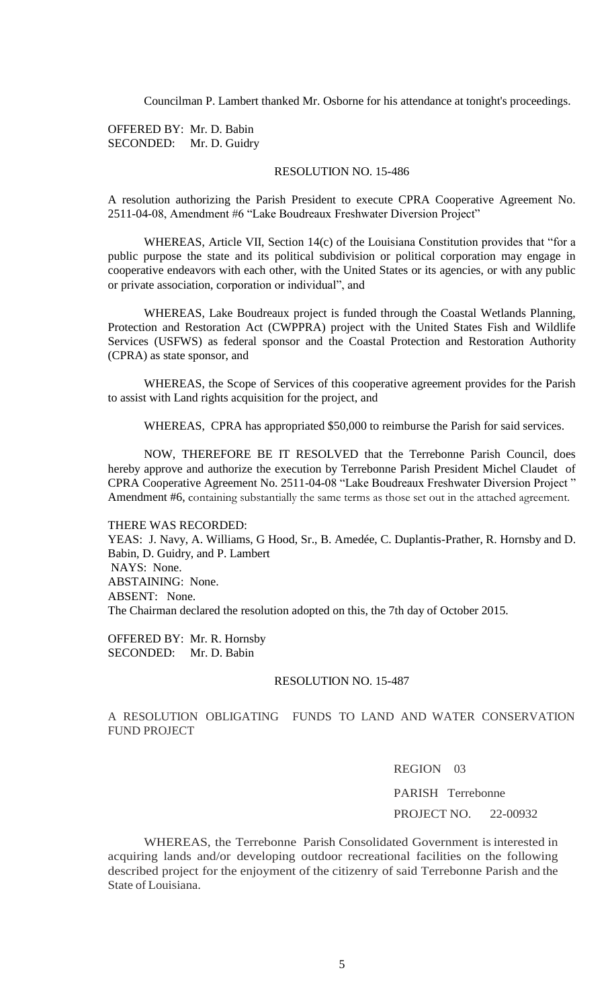Councilman P. Lambert thanked Mr. Osborne for his attendance at tonight's proceedings.

OFFERED BY: Mr. D. Babin SECONDED: Mr. D. Guidry

# RESOLUTION NO. 15-486

A resolution authorizing the Parish President to execute CPRA Cooperative Agreement No. 2511-04-08, Amendment #6 "Lake Boudreaux Freshwater Diversion Project"

WHEREAS, Article VII, Section 14(c) of the Louisiana Constitution provides that "for a public purpose the state and its political subdivision or political corporation may engage in cooperative endeavors with each other, with the United States or its agencies, or with any public or private association, corporation or individual", and

WHEREAS, Lake Boudreaux project is funded through the Coastal Wetlands Planning, Protection and Restoration Act (CWPPRA) project with the United States Fish and Wildlife Services (USFWS) as federal sponsor and the Coastal Protection and Restoration Authority (CPRA) as state sponsor, and

WHEREAS, the Scope of Services of this cooperative agreement provides for the Parish to assist with Land rights acquisition for the project, and

WHEREAS, CPRA has appropriated \$50,000 to reimburse the Parish for said services.

NOW, THEREFORE BE IT RESOLVED that the Terrebonne Parish Council, does hereby approve and authorize the execution by Terrebonne Parish President Michel Claudet of CPRA Cooperative Agreement No. 2511-04-08 "Lake Boudreaux Freshwater Diversion Project " Amendment #6, containing substantially the same terms as those set out in the attached agreement.

THERE WAS RECORDED:

YEAS: J. Navy, A. Williams, G Hood, Sr., B. Amedée, C. Duplantis-Prather, R. Hornsby and D. Babin, D. Guidry, and P. Lambert NAYS: None. ABSTAINING: None. ABSENT: None. The Chairman declared the resolution adopted on this, the 7th day of October 2015.

OFFERED BY: Mr. R. Hornsby SECONDED: Mr. D. Babin

#### RESOLUTION NO. 15-487

# A RESOLUTION OBLIGATING FUNDS TO LAND AND WATER CONSERVATION FUND PROJECT

# REGION 03

PARISH Terrebonne PROJECT NO. 22-00932

WHEREAS, the Terrebonne Parish Consolidated Government is interested in acquiring lands and/or developing outdoor recreational facilities on the following described project for the enjoyment of the citizenry of said Terrebonne Parish and the State of Louisiana.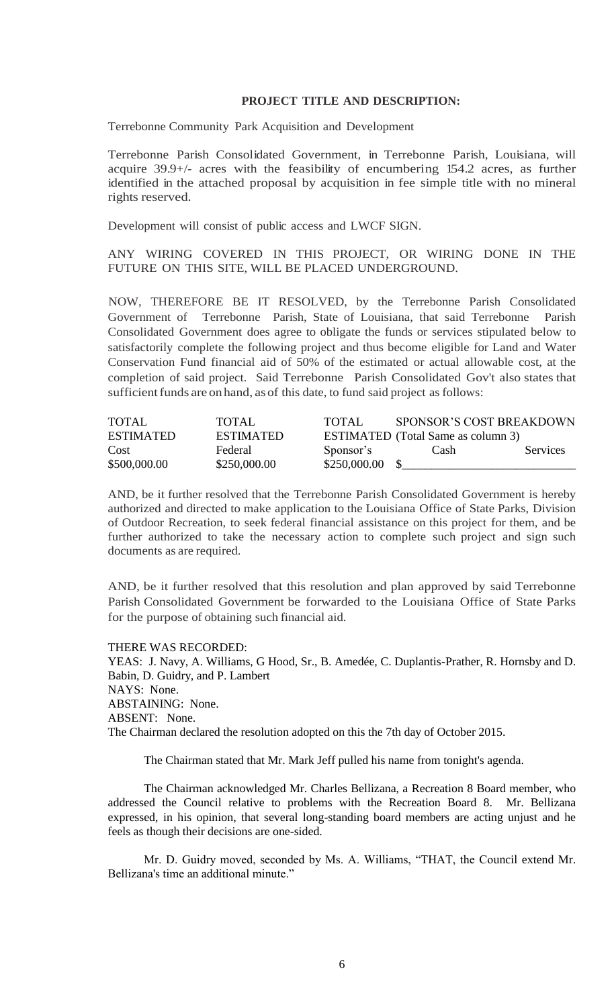### **PROJECT TITLE AND DESCRIPTION:**

Terrebonne Community Park Acquisition and Development

Terrebonne Parish Consolidated Government, in Terrebonne Parish, Louisiana, will acquire 39.9+/- acres with the feasibility of encumbering 154.2 acres, as further identified in the attached proposal by acquisition in fee simple title with no mineral rights reserved.

Development will consist of public access and LWCF SIGN.

ANY WIRING COVERED IN THIS PROJECT, OR WIRING DONE IN THE FUTURE ON THIS SITE, WILL BE PLACED UNDERGROUND.

NOW, THEREFORE BE IT RESOLVED, by the Terrebonne Parish Consolidated Government of Terrebonne Parish, State of Louisiana, that said Terrebonne Parish Consolidated Government does agree to obligate the funds or services stipulated below to satisfactorily complete the following project and thus become eligible for Land and Water Conservation Fund financial aid of 50% of the estimated or actual allowable cost, at the completion of said project. Said Terrebonne Parish Consolidated Gov't also states that sufficient funds are on hand, as of this date, to fund said project as follows:

| <b>TOTAL</b>     | TOTAL            | TOTAL.       | <b>SPONSOR'S COST BREAKDOWN</b>           |          |
|------------------|------------------|--------------|-------------------------------------------|----------|
| <b>ESTIMATED</b> | <b>ESTIMATED</b> |              | <b>ESTIMATED</b> (Total Same as column 3) |          |
| Cost             | Federal          | Sponsor's    | Cash                                      | Services |
| \$500,000.00     | \$250,000.00     | \$250,000.00 |                                           |          |

AND, be it further resolved that the Terrebonne Parish Consolidated Government is hereby authorized and directed to make application to the Louisiana Office of State Parks, Division of Outdoor Recreation, to seek federal financial assistance on this project for them, and be further authorized to take the necessary action to complete such project and sign such documents as are required.

AND, be it further resolved that this resolution and plan approved by said Terrebonne Parish Consolidated Government be forwarded to the Louisiana Office of State Parks for the purpose of obtaining such financial aid.

THERE WAS RECORDED: YEAS: J. Navy, A. Williams, G Hood, Sr., B. Amedée, C. Duplantis-Prather, R. Hornsby and D. Babin, D. Guidry, and P. Lambert NAYS: None. ABSTAINING: None. ABSENT: None. The Chairman declared the resolution adopted on this the 7th day of October 2015.

The Chairman stated that Mr. Mark Jeff pulled his name from tonight's agenda.

The Chairman acknowledged Mr. Charles Bellizana, a Recreation 8 Board member, who addressed the Council relative to problems with the Recreation Board 8. Mr. Bellizana expressed, in his opinion, that several long-standing board members are acting unjust and he feels as though their decisions are one-sided.

Mr. D. Guidry moved, seconded by Ms. A. Williams, "THAT, the Council extend Mr. Bellizana's time an additional minute."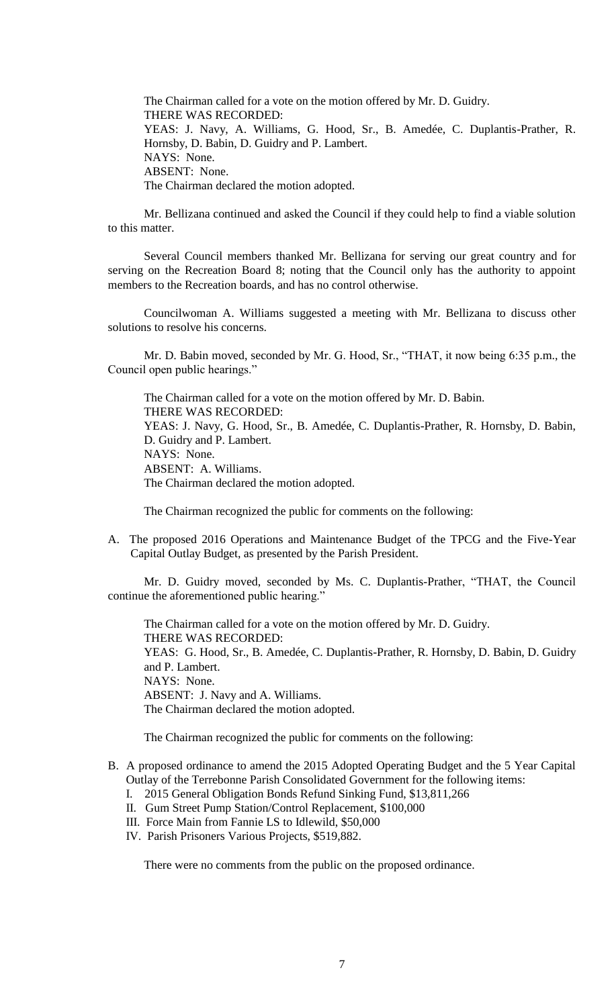The Chairman called for a vote on the motion offered by Mr. D. Guidry. THERE WAS RECORDED: YEAS: J. Navy, A. Williams, G. Hood, Sr., B. Amedée, C. Duplantis-Prather, R. Hornsby, D. Babin, D. Guidry and P. Lambert. NAYS: None. ABSENT: None. The Chairman declared the motion adopted.

Mr. Bellizana continued and asked the Council if they could help to find a viable solution to this matter.

Several Council members thanked Mr. Bellizana for serving our great country and for serving on the Recreation Board 8; noting that the Council only has the authority to appoint members to the Recreation boards, and has no control otherwise.

Councilwoman A. Williams suggested a meeting with Mr. Bellizana to discuss other solutions to resolve his concerns.

Mr. D. Babin moved, seconded by Mr. G. Hood, Sr., "THAT, it now being 6:35 p.m., the Council open public hearings."

The Chairman called for a vote on the motion offered by Mr. D. Babin. THERE WAS RECORDED: YEAS: J. Navy, G. Hood, Sr., B. Amedée, C. Duplantis-Prather, R. Hornsby, D. Babin, D. Guidry and P. Lambert. NAYS: None. ABSENT: A. Williams. The Chairman declared the motion adopted.

The Chairman recognized the public for comments on the following:

A. The proposed 2016 Operations and Maintenance Budget of the TPCG and the Five-Year Capital Outlay Budget, as presented by the Parish President.

Mr. D. Guidry moved, seconded by Ms. C. Duplantis-Prather, "THAT, the Council continue the aforementioned public hearing."

The Chairman called for a vote on the motion offered by Mr. D. Guidry. THERE WAS RECORDED: YEAS: G. Hood, Sr., B. Amedée, C. Duplantis-Prather, R. Hornsby, D. Babin, D. Guidry and P. Lambert. NAYS: None. ABSENT: J. Navy and A. Williams. The Chairman declared the motion adopted.

The Chairman recognized the public for comments on the following:

- B. A proposed ordinance to amend the 2015 Adopted Operating Budget and the 5 Year Capital Outlay of the Terrebonne Parish Consolidated Government for the following items:
	- I. 2015 General Obligation Bonds Refund Sinking Fund, \$13,811,266
	- II. Gum Street Pump Station/Control Replacement, \$100,000 III. Force Main from Fannie LS to Idlewild, \$50,000
	- IV. Parish Prisoners Various Projects, \$519,882.
	-

There were no comments from the public on the proposed ordinance.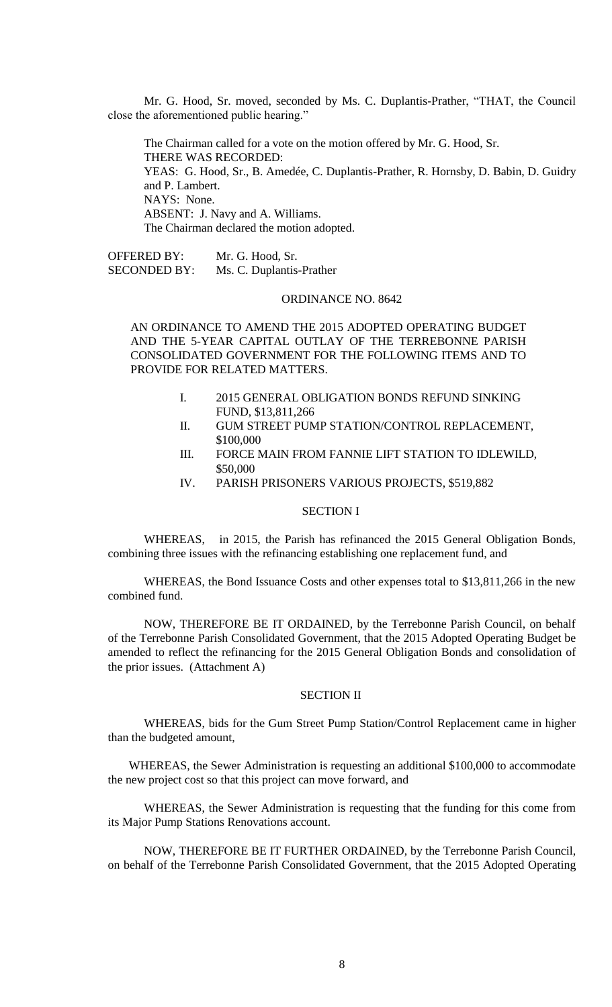Mr. G. Hood, Sr. moved, seconded by Ms. C. Duplantis-Prather, "THAT, the Council close the aforementioned public hearing."

The Chairman called for a vote on the motion offered by Mr. G. Hood, Sr. THERE WAS RECORDED: YEAS: G. Hood, Sr., B. Amedée, C. Duplantis-Prather, R. Hornsby, D. Babin, D. Guidry and P. Lambert. NAYS: None. ABSENT: J. Navy and A. Williams. The Chairman declared the motion adopted.

OFFERED BY: Mr. G. Hood, Sr. SECONDED BY: Ms. C. Duplantis-Prather

#### ORDINANCE NO. 8642

AN ORDINANCE TO AMEND THE 2015 ADOPTED OPERATING BUDGET AND THE 5-YEAR CAPITAL OUTLAY OF THE TERREBONNE PARISH CONSOLIDATED GOVERNMENT FOR THE FOLLOWING ITEMS AND TO PROVIDE FOR RELATED MATTERS.

- I. 2015 GENERAL OBLIGATION BONDS REFUND SINKING FUND, \$13,811,266
- II. GUM STREET PUMP STATION/CONTROL REPLACEMENT, \$100,000
- III. FORCE MAIN FROM FANNIE LIFT STATION TO IDLEWILD, \$50,000
- IV. PARISH PRISONERS VARIOUS PROJECTS, \$519,882

## SECTION I

WHEREAS, in 2015, the Parish has refinanced the 2015 General Obligation Bonds, combining three issues with the refinancing establishing one replacement fund, and

WHEREAS, the Bond Issuance Costs and other expenses total to \$13,811,266 in the new combined fund.

NOW, THEREFORE BE IT ORDAINED, by the Terrebonne Parish Council, on behalf of the Terrebonne Parish Consolidated Government, that the 2015 Adopted Operating Budget be amended to reflect the refinancing for the 2015 General Obligation Bonds and consolidation of the prior issues. (Attachment A)

## SECTION II

WHEREAS, bids for the Gum Street Pump Station/Control Replacement came in higher than the budgeted amount,

WHEREAS, the Sewer Administration is requesting an additional \$100,000 to accommodate the new project cost so that this project can move forward, and

WHEREAS, the Sewer Administration is requesting that the funding for this come from its Major Pump Stations Renovations account.

NOW, THEREFORE BE IT FURTHER ORDAINED, by the Terrebonne Parish Council, on behalf of the Terrebonne Parish Consolidated Government, that the 2015 Adopted Operating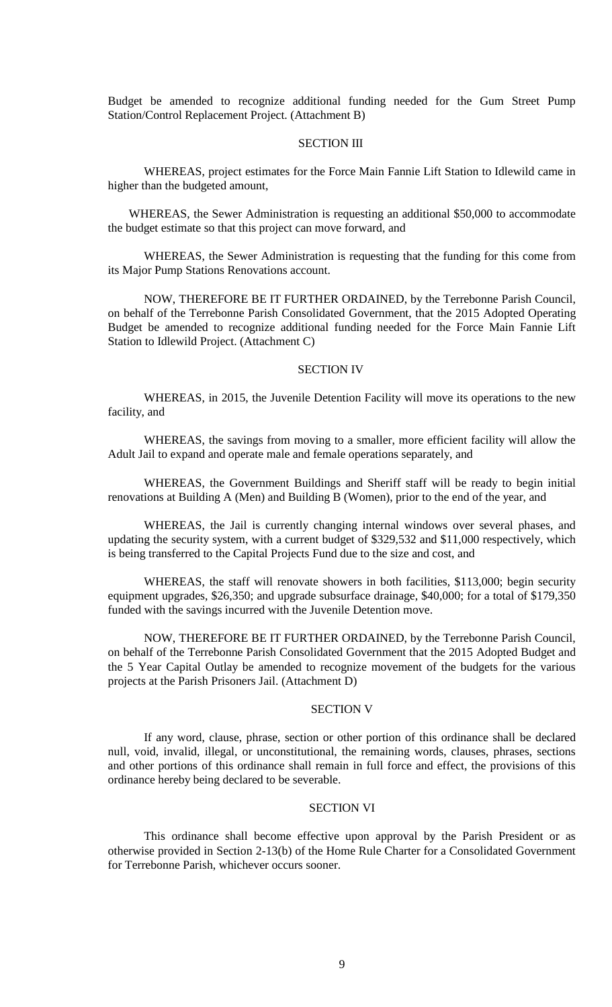Budget be amended to recognize additional funding needed for the Gum Street Pump Station/Control Replacement Project. (Attachment B)

### SECTION III

WHEREAS, project estimates for the Force Main Fannie Lift Station to Idlewild came in higher than the budgeted amount,

WHEREAS, the Sewer Administration is requesting an additional \$50,000 to accommodate the budget estimate so that this project can move forward, and

WHEREAS, the Sewer Administration is requesting that the funding for this come from its Major Pump Stations Renovations account.

NOW, THEREFORE BE IT FURTHER ORDAINED, by the Terrebonne Parish Council, on behalf of the Terrebonne Parish Consolidated Government, that the 2015 Adopted Operating Budget be amended to recognize additional funding needed for the Force Main Fannie Lift Station to Idlewild Project. (Attachment C)

### SECTION IV

WHEREAS, in 2015, the Juvenile Detention Facility will move its operations to the new facility, and

WHEREAS, the savings from moving to a smaller, more efficient facility will allow the Adult Jail to expand and operate male and female operations separately, and

WHEREAS, the Government Buildings and Sheriff staff will be ready to begin initial renovations at Building A (Men) and Building B (Women), prior to the end of the year, and

WHEREAS, the Jail is currently changing internal windows over several phases, and updating the security system, with a current budget of \$329,532 and \$11,000 respectively, which is being transferred to the Capital Projects Fund due to the size and cost, and

WHEREAS, the staff will renovate showers in both facilities, \$113,000; begin security equipment upgrades, \$26,350; and upgrade subsurface drainage, \$40,000; for a total of \$179,350 funded with the savings incurred with the Juvenile Detention move.

NOW, THEREFORE BE IT FURTHER ORDAINED, by the Terrebonne Parish Council, on behalf of the Terrebonne Parish Consolidated Government that the 2015 Adopted Budget and the 5 Year Capital Outlay be amended to recognize movement of the budgets for the various projects at the Parish Prisoners Jail. (Attachment D)

# SECTION V

If any word, clause, phrase, section or other portion of this ordinance shall be declared null, void, invalid, illegal, or unconstitutional, the remaining words, clauses, phrases, sections and other portions of this ordinance shall remain in full force and effect, the provisions of this ordinance hereby being declared to be severable.

## SECTION VI

This ordinance shall become effective upon approval by the Parish President or as otherwise provided in Section 2-13(b) of the Home Rule Charter for a Consolidated Government for Terrebonne Parish, whichever occurs sooner.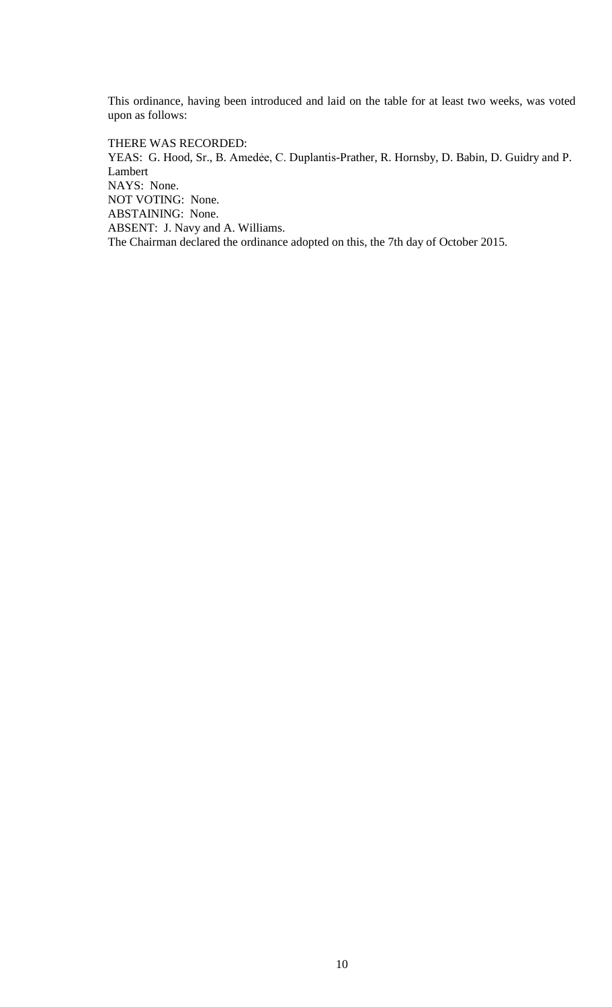This ordinance, having been introduced and laid on the table for at least two weeks, was voted upon as follows:

THERE WAS RECORDED: YEAS: G. Hood, Sr., B. Amedée, C. Duplantis-Prather, R. Hornsby, D. Babin, D. Guidry and P. Lambert NAYS: None. NOT VOTING: None. ABSTAINING: None. ABSENT: J. Navy and A. Williams. The Chairman declared the ordinance adopted on this, the 7th day of October 2015.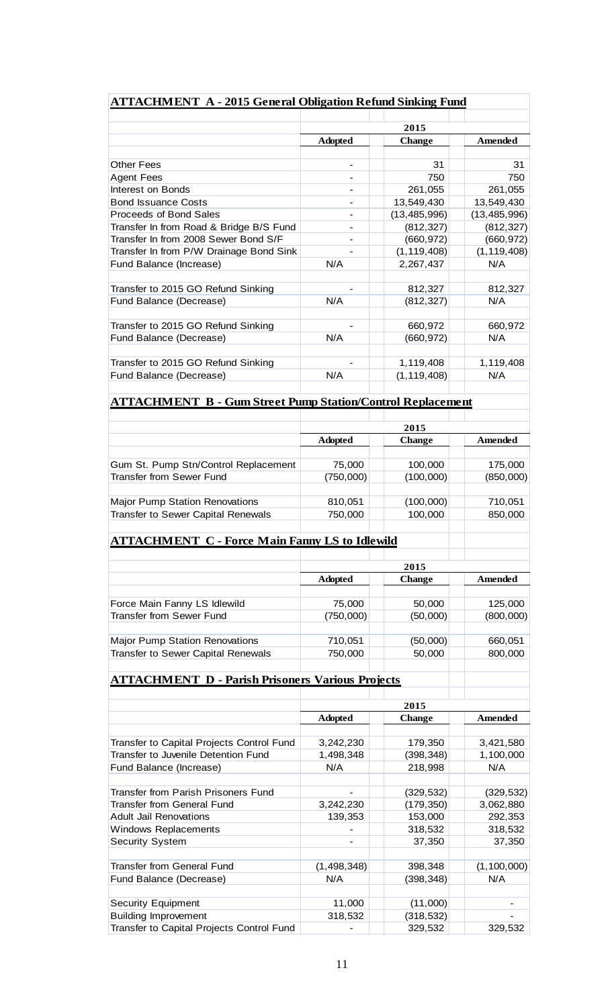|                                                                   | 2015           |                       |                |
|-------------------------------------------------------------------|----------------|-----------------------|----------------|
|                                                                   | <b>Adopted</b> | <b>Change</b>         | <b>Amended</b> |
| <b>Other Fees</b>                                                 |                | 31                    | 31             |
| <b>Agent Fees</b>                                                 |                | 750                   | 750            |
| Interest on Bonds                                                 |                | 261,055               | 261,055        |
| <b>Bond Issuance Costs</b>                                        |                | 13,549,430            | 13,549,430     |
| Proceeds of Bond Sales                                            |                | (13, 485, 996)        | (13, 485, 996) |
| Transfer In from Road & Bridge B/S Fund                           |                | (812, 327)            | (812, 327)     |
| Transfer In from 2008 Sewer Bond S/F                              |                | (660, 972)            | (660, 972)     |
| Transfer In from P/W Drainage Bond Sink                           |                | (1, 119, 408)         | (1, 119, 408)  |
| Fund Balance (Increase)                                           | N/A            | 2,267,437             | N/A            |
|                                                                   |                |                       |                |
| Transfer to 2015 GO Refund Sinking                                |                | 812,327               | 812,327        |
| Fund Balance (Decrease)                                           | N/A            | (812, 327)            | N/A            |
| Transfer to 2015 GO Refund Sinking                                |                | 660,972               | 660,972        |
| Fund Balance (Decrease)                                           | N/A            | (660, 972)            | N/A            |
|                                                                   |                |                       |                |
| Transfer to 2015 GO Refund Sinking                                |                | 1,119,408             | 1,119,408      |
| Fund Balance (Decrease)                                           | N/A            | (1, 119, 408)         | N/A            |
| <b>ATTACHMENT B - Gum Street Pump Station/Control Replacement</b> |                |                       |                |
|                                                                   |                |                       |                |
|                                                                   | <b>Adopted</b> | 2015<br><b>Change</b> | Amended        |
|                                                                   |                |                       |                |
| Gum St. Pump Stn/Control Replacement                              | 75,000         | 100,000               | 175,000        |
| <b>Transfer from Sewer Fund</b>                                   | (750,000)      | (100,000)             | (850,000)      |
|                                                                   |                |                       |                |
| <b>Major Pump Station Renovations</b>                             | 810,051        | (100,000)             | 710,051        |
| Transfer to Sewer Capital Renewals                                | 750,000        | 100,000               | 850,000        |
| <b>ATTACHMENT C - Force Main Fanny LS to Idlewild</b>             |                |                       |                |
|                                                                   |                |                       |                |
|                                                                   |                | 2015                  |                |
|                                                                   | <b>Adopted</b> | <b>Change</b>         | Amended        |
|                                                                   |                |                       |                |
| Force Main Fanny LS Idlewild                                      | 75,000         | 50,000                | 125,000        |
| <b>Transfer from Sewer Fund</b>                                   | (750,000)      | (50,000)              | (800,000)      |
| Major Pump Station Renovations                                    | 710,051        | (50,000)              | 660,051        |
| Transfer to Sewer Capital Renewals                                | 750,000        | 50,000                | 800,000        |
|                                                                   |                |                       |                |
| <b>ATTACHMENT D - Parish Prisoners Various Projects</b>           |                |                       |                |
|                                                                   | 2015           |                       |                |
|                                                                   | <b>Adopted</b> | <b>Change</b>         | Amended        |
|                                                                   |                |                       |                |
| Transfer to Capital Projects Control Fund                         | 3,242,230      | 179,350               | 3,421,580      |
| Transfer to Juvenile Detention Fund                               | 1,498,348      | (398, 348)            | 1,100,000      |
| Fund Balance (Increase)                                           | N/A            | 218,998               | N/A            |
|                                                                   |                |                       |                |
| Transfer from Parish Prisoners Fund                               |                | (329, 532)            | (329, 532)     |
| <b>Transfer from General Fund</b>                                 | 3,242,230      | (179, 350)            | 3,062,880      |
| <b>Adult Jail Renovations</b>                                     | 139,353        | 153,000               | 292,353        |
| <b>Windows Replacements</b>                                       |                | 318,532               | 318,532        |
| <b>Security System</b>                                            |                | 37,350                | 37,350         |
| <b>Transfer from General Fund</b>                                 | (1, 498, 348)  | 398,348               | (1, 100, 000)  |
| Fund Balance (Decrease)                                           | N/A            | (398, 348)            | N/A            |
|                                                                   |                |                       |                |
|                                                                   |                |                       |                |
| <b>Security Equipment</b>                                         | 11,000         | (11,000)              |                |

Transfer to Capital Projects Control Fund | Transfer 1999,532 | 329,532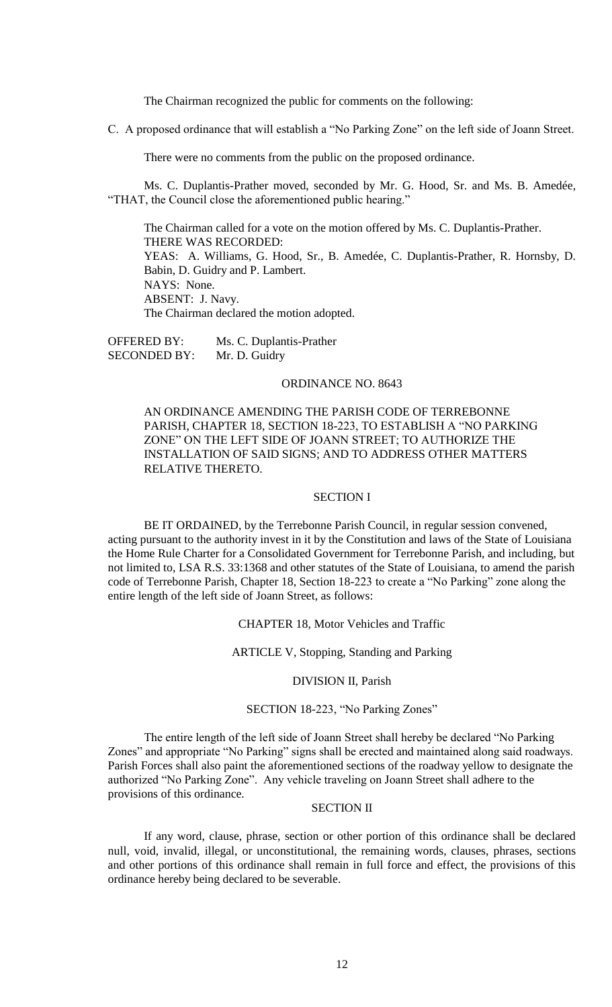The Chairman recognized the public for comments on the following:

C. A proposed ordinance that will establish a "No Parking Zone" on the left side of Joann Street.

There were no comments from the public on the proposed ordinance.

Ms. C. Duplantis-Prather moved, seconded by Mr. G. Hood, Sr. and Ms. B. Amedée, "THAT, the Council close the aforementioned public hearing."

The Chairman called for a vote on the motion offered by Ms. C. Duplantis-Prather. THERE WAS RECORDED: YEAS: A. Williams, G. Hood, Sr., B. Amedée, C. Duplantis-Prather, R. Hornsby, D. Babin, D. Guidry and P. Lambert. NAYS: None. ABSENT: J. Navy. The Chairman declared the motion adopted.

OFFERED BY: Ms. C. Duplantis-Prather SECONDED BY: Mr. D. Guidry

## ORDINANCE NO. 8643

AN ORDINANCE AMENDING THE PARISH CODE OF TERREBONNE PARISH, CHAPTER 18, SECTION 18-223, TO ESTABLISH A "NO PARKING ZONE" ON THE LEFT SIDE OF JOANN STREET; TO AUTHORIZE THE INSTALLATION OF SAID SIGNS; AND TO ADDRESS OTHER MATTERS RELATIVE THERETO.

## SECTION I

BE IT ORDAINED, by the Terrebonne Parish Council, in regular session convened, acting pursuant to the authority invest in it by the Constitution and laws of the State of Louisiana the Home Rule Charter for a Consolidated Government for Terrebonne Parish, and including, but not limited to, LSA R.S. 33:1368 and other statutes of the State of Louisiana, to amend the parish code of Terrebonne Parish, Chapter 18, Section 18-223 to create a "No Parking" zone along the entire length of the left side of Joann Street, as follows:

### CHAPTER 18, Motor Vehicles and Traffic

## ARTICLE V, Stopping, Standing and Parking

#### DIVISION II, Parish

# SECTION 18-223, "No Parking Zones"

The entire length of the left side of Joann Street shall hereby be declared "No Parking Zones" and appropriate "No Parking" signs shall be erected and maintained along said roadways. Parish Forces shall also paint the aforementioned sections of the roadway yellow to designate the authorized "No Parking Zone". Any vehicle traveling on Joann Street shall adhere to the provisions of this ordinance.

## SECTION II

If any word, clause, phrase, section or other portion of this ordinance shall be declared null, void, invalid, illegal, or unconstitutional, the remaining words, clauses, phrases, sections and other portions of this ordinance shall remain in full force and effect, the provisions of this ordinance hereby being declared to be severable.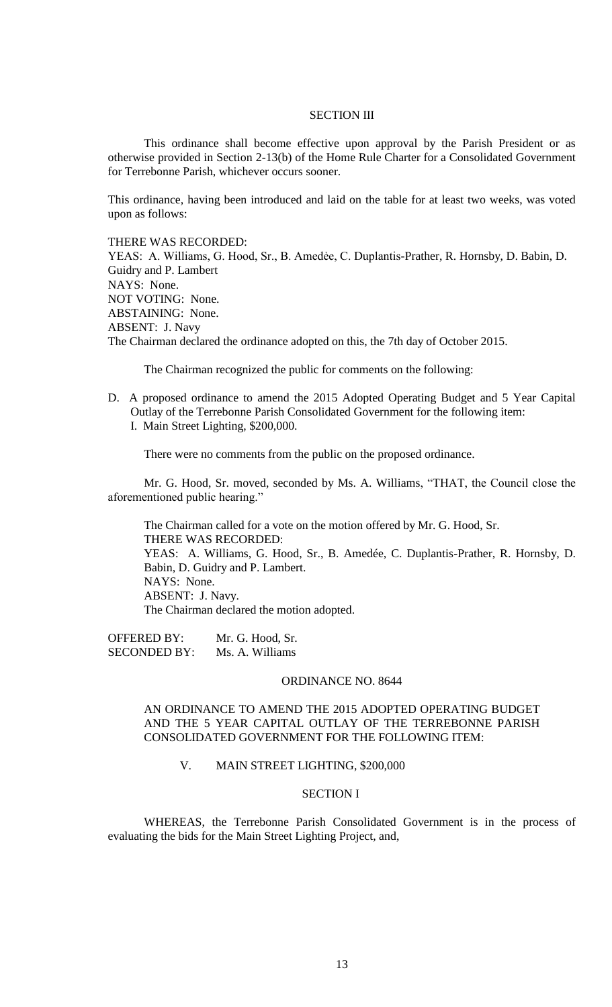# SECTION III

This ordinance shall become effective upon approval by the Parish President or as otherwise provided in Section 2-13(b) of the Home Rule Charter for a Consolidated Government for Terrebonne Parish, whichever occurs sooner.

This ordinance, having been introduced and laid on the table for at least two weeks, was voted upon as follows:

THERE WAS RECORDED:

YEAS: A. Williams, G. Hood, Sr., B. Amedẻe, C. Duplantis-Prather, R. Hornsby, D. Babin, D. Guidry and P. Lambert NAYS: None. NOT VOTING: None. ABSTAINING: None. ABSENT: J. Navy The Chairman declared the ordinance adopted on this, the 7th day of October 2015.

The Chairman recognized the public for comments on the following:

- D. A proposed ordinance to amend the 2015 Adopted Operating Budget and 5 Year Capital Outlay of the Terrebonne Parish Consolidated Government for the following item: I. Main Street Lighting, \$200,000.
	-

There were no comments from the public on the proposed ordinance.

Mr. G. Hood, Sr. moved, seconded by Ms. A. Williams, "THAT, the Council close the aforementioned public hearing."

The Chairman called for a vote on the motion offered by Mr. G. Hood, Sr. THERE WAS RECORDED: YEAS: A. Williams, G. Hood, Sr., B. Amedée, C. Duplantis-Prather, R. Hornsby, D. Babin, D. Guidry and P. Lambert. NAYS: None. ABSENT: J. Navy. The Chairman declared the motion adopted.

OFFERED BY: Mr. G. Hood, Sr. SECONDED BY: Ms. A. Williams

#### ORDINANCE NO. 8644

# AN ORDINANCE TO AMEND THE 2015 ADOPTED OPERATING BUDGET AND THE 5 YEAR CAPITAL OUTLAY OF THE TERREBONNE PARISH CONSOLIDATED GOVERNMENT FOR THE FOLLOWING ITEM:

# V. MAIN STREET LIGHTING, \$200,000

# SECTION I

WHEREAS, the Terrebonne Parish Consolidated Government is in the process of evaluating the bids for the Main Street Lighting Project, and,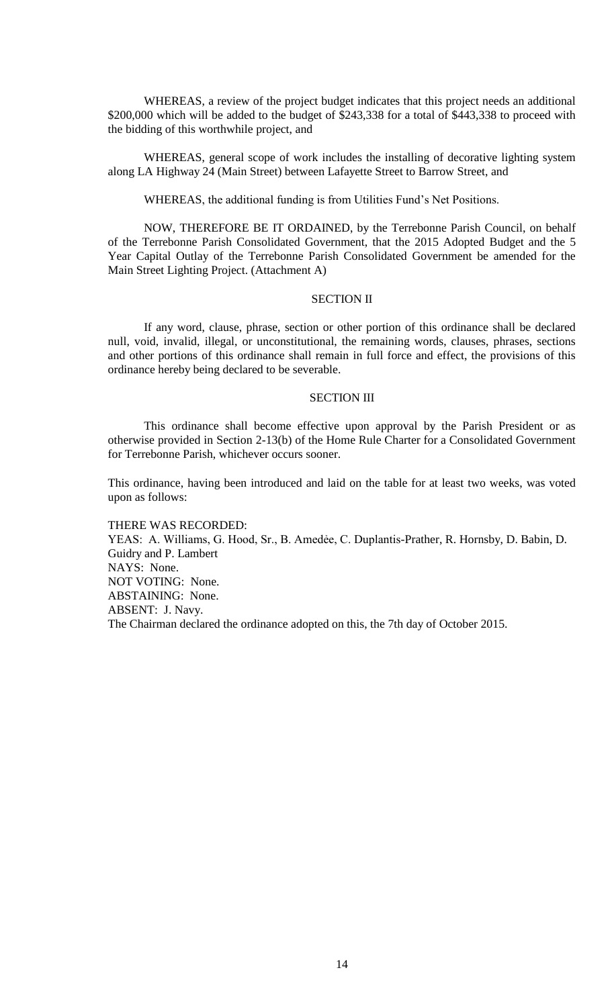WHEREAS, a review of the project budget indicates that this project needs an additional \$200,000 which will be added to the budget of \$243,338 for a total of \$443,338 to proceed with the bidding of this worthwhile project, and

WHEREAS, general scope of work includes the installing of decorative lighting system along LA Highway 24 (Main Street) between Lafayette Street to Barrow Street, and

WHEREAS, the additional funding is from Utilities Fund's Net Positions.

NOW, THEREFORE BE IT ORDAINED, by the Terrebonne Parish Council, on behalf of the Terrebonne Parish Consolidated Government, that the 2015 Adopted Budget and the 5 Year Capital Outlay of the Terrebonne Parish Consolidated Government be amended for the Main Street Lighting Project. (Attachment A)

### SECTION II

If any word, clause, phrase, section or other portion of this ordinance shall be declared null, void, invalid, illegal, or unconstitutional, the remaining words, clauses, phrases, sections and other portions of this ordinance shall remain in full force and effect, the provisions of this ordinance hereby being declared to be severable.

### SECTION III

This ordinance shall become effective upon approval by the Parish President or as otherwise provided in Section 2-13(b) of the Home Rule Charter for a Consolidated Government for Terrebonne Parish, whichever occurs sooner.

This ordinance, having been introduced and laid on the table for at least two weeks, was voted upon as follows:

THERE WAS RECORDED: YEAS: A. Williams, G. Hood, Sr., B. Amedẻe, C. Duplantis-Prather, R. Hornsby, D. Babin, D. Guidry and P. Lambert NAYS: None. NOT VOTING: None. ABSTAINING: None. ABSENT: J. Navy. The Chairman declared the ordinance adopted on this, the 7th day of October 2015.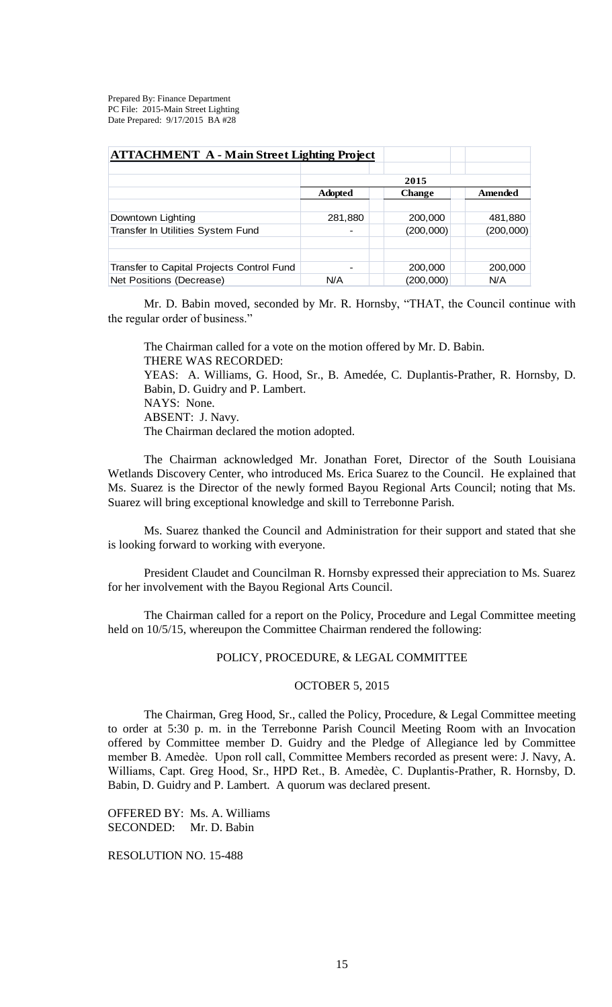Prepared By: Finance Department PC File: 2015-Main Street Lighting Date Prepared: 9/17/2015 BA #28

| <b>ATTACHMENT A - Main Street Lighting Project</b> |                |               |           |  |  |
|----------------------------------------------------|----------------|---------------|-----------|--|--|
|                                                    |                |               |           |  |  |
|                                                    | 2015           |               |           |  |  |
|                                                    | <b>Adopted</b> | <b>Change</b> | Amended   |  |  |
|                                                    |                |               |           |  |  |
| Downtown Lighting                                  | 281,880        | 200,000       | 481,880   |  |  |
| Transfer In Utilities System Fund                  |                | (200,000)     | (200,000) |  |  |
|                                                    |                |               |           |  |  |
|                                                    |                |               |           |  |  |
| Transfer to Capital Projects Control Fund          |                | 200,000       | 200,000   |  |  |
| Net Positions (Decrease)                           | N/A            | (200,000)     | N/A       |  |  |

Mr. D. Babin moved, seconded by Mr. R. Hornsby, "THAT, the Council continue with the regular order of business."

The Chairman called for a vote on the motion offered by Mr. D. Babin. THERE WAS RECORDED: YEAS: A. Williams, G. Hood, Sr., B. Amedée, C. Duplantis-Prather, R. Hornsby, D. Babin, D. Guidry and P. Lambert. NAYS: None. ABSENT: J. Navy. The Chairman declared the motion adopted.

The Chairman acknowledged Mr. Jonathan Foret, Director of the South Louisiana Wetlands Discovery Center, who introduced Ms. Erica Suarez to the Council. He explained that Ms. Suarez is the Director of the newly formed Bayou Regional Arts Council; noting that Ms. Suarez will bring exceptional knowledge and skill to Terrebonne Parish.

Ms. Suarez thanked the Council and Administration for their support and stated that she is looking forward to working with everyone.

President Claudet and Councilman R. Hornsby expressed their appreciation to Ms. Suarez for her involvement with the Bayou Regional Arts Council.

The Chairman called for a report on the Policy, Procedure and Legal Committee meeting held on 10/5/15, whereupon the Committee Chairman rendered the following:

### POLICY, PROCEDURE, & LEGAL COMMITTEE

### OCTOBER 5, 2015

The Chairman, Greg Hood, Sr., called the Policy, Procedure, & Legal Committee meeting to order at 5:30 p. m. in the Terrebonne Parish Council Meeting Room with an Invocation offered by Committee member D. Guidry and the Pledge of Allegiance led by Committee member B. Amedѐe. Upon roll call, Committee Members recorded as present were: J. Navy, A. Williams, Capt. Greg Hood, Sr., HPD Ret., B. Amedѐe, C. Duplantis-Prather, R. Hornsby, D. Babin, D. Guidry and P. Lambert. A quorum was declared present.

OFFERED BY: Ms. A. Williams SECONDED: Mr. D. Babin

RESOLUTION NO. 15-488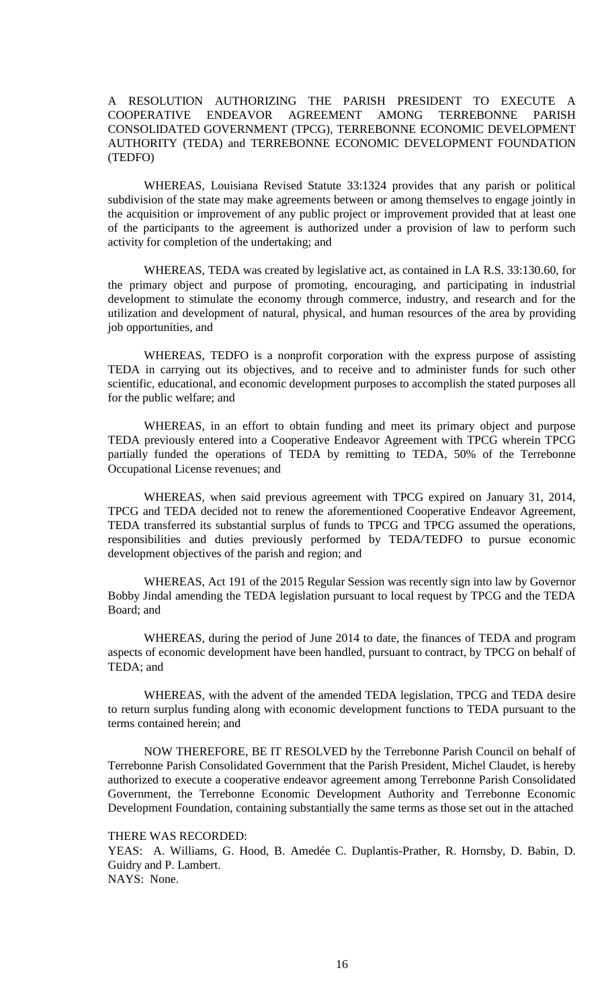# A RESOLUTION AUTHORIZING THE PARISH PRESIDENT TO EXECUTE A COOPERATIVE ENDEAVOR AGREEMENT AMONG TERREBONNE PARISH CONSOLIDATED GOVERNMENT (TPCG), TERREBONNE ECONOMIC DEVELOPMENT AUTHORITY (TEDA) and TERREBONNE ECONOMIC DEVELOPMENT FOUNDATION (TEDFO)

WHEREAS, Louisiana Revised Statute 33:1324 provides that any parish or political subdivision of the state may make agreements between or among themselves to engage jointly in the acquisition or improvement of any public project or improvement provided that at least one of the participants to the agreement is authorized under a provision of law to perform such activity for completion of the undertaking; and

WHEREAS, TEDA was created by legislative act, as contained in LA R.S. 33:130.60, for the primary object and purpose of promoting, encouraging, and participating in industrial development to stimulate the economy through commerce, industry, and research and for the utilization and development of natural, physical, and human resources of the area by providing job opportunities, and

WHEREAS, TEDFO is a nonprofit corporation with the express purpose of assisting TEDA in carrying out its objectives, and to receive and to administer funds for such other scientific, educational, and economic development purposes to accomplish the stated purposes all for the public welfare; and

WHEREAS, in an effort to obtain funding and meet its primary object and purpose TEDA previously entered into a Cooperative Endeavor Agreement with TPCG wherein TPCG partially funded the operations of TEDA by remitting to TEDA, 50% of the Terrebonne Occupational License revenues; and

WHEREAS, when said previous agreement with TPCG expired on January 31, 2014, TPCG and TEDA decided not to renew the aforementioned Cooperative Endeavor Agreement, TEDA transferred its substantial surplus of funds to TPCG and TPCG assumed the operations, responsibilities and duties previously performed by TEDA/TEDFO to pursue economic development objectives of the parish and region; and

WHEREAS, Act 191 of the 2015 Regular Session was recently sign into law by Governor Bobby Jindal amending the TEDA legislation pursuant to local request by TPCG and the TEDA Board; and

WHEREAS, during the period of June 2014 to date, the finances of TEDA and program aspects of economic development have been handled, pursuant to contract, by TPCG on behalf of TEDA; and

WHEREAS, with the advent of the amended TEDA legislation, TPCG and TEDA desire to return surplus funding along with economic development functions to TEDA pursuant to the terms contained herein; and

NOW THEREFORE, BE IT RESOLVED by the Terrebonne Parish Council on behalf of Terrebonne Parish Consolidated Government that the Parish President, Michel Claudet, is hereby authorized to execute a cooperative endeavor agreement among Terrebonne Parish Consolidated Government, the Terrebonne Economic Development Authority and Terrebonne Economic Development Foundation, containing substantially the same terms as those set out in the attached

THERE WAS RECORDED:

YEAS: A. Williams, G. Hood, B. Amedée C. Duplantis-Prather, R. Hornsby, D. Babin, D. Guidry and P. Lambert.

NAYS: None.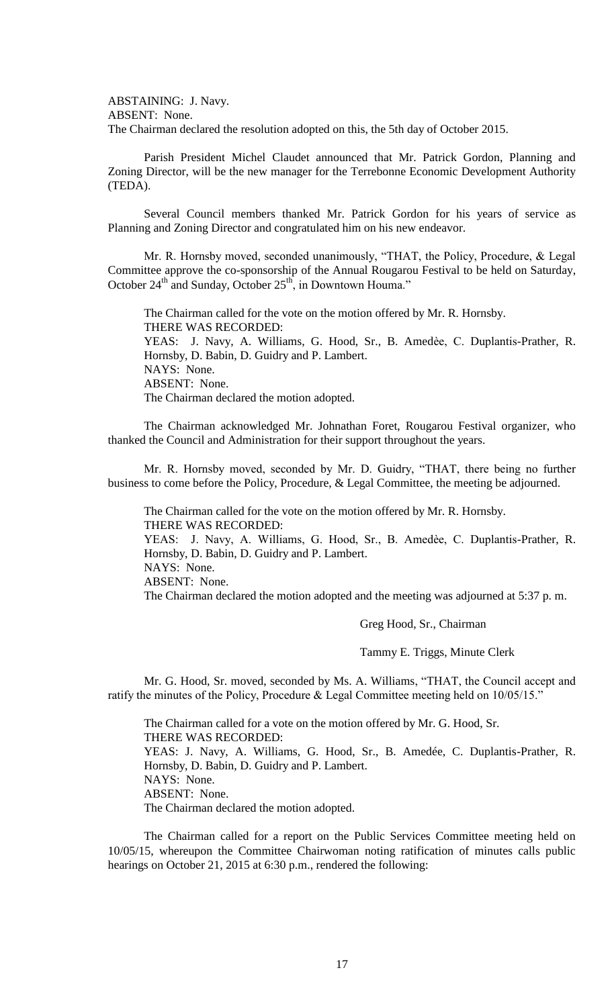ABSTAINING: J. Navy. ABSENT: None. The Chairman declared the resolution adopted on this, the 5th day of October 2015.

Parish President Michel Claudet announced that Mr. Patrick Gordon, Planning and Zoning Director, will be the new manager for the Terrebonne Economic Development Authority (TEDA).

Several Council members thanked Mr. Patrick Gordon for his years of service as Planning and Zoning Director and congratulated him on his new endeavor.

Mr. R. Hornsby moved, seconded unanimously, "THAT, the Policy, Procedure, & Legal Committee approve the co-sponsorship of the Annual Rougarou Festival to be held on Saturday, October  $24<sup>th</sup>$  and Sunday, October  $25<sup>th</sup>$ , in Downtown Houma."

The Chairman called for the vote on the motion offered by Mr. R. Hornsby. THERE WAS RECORDED: YEAS: J. Navy, A. Williams, G. Hood, Sr., B. Amedèe, C. Duplantis-Prather, R. Hornsby, D. Babin, D. Guidry and P. Lambert. NAYS: None. ABSENT: None. The Chairman declared the motion adopted.

The Chairman acknowledged Mr. Johnathan Foret, Rougarou Festival organizer, who thanked the Council and Administration for their support throughout the years.

Mr. R. Hornsby moved, seconded by Mr. D. Guidry, "THAT, there being no further business to come before the Policy, Procedure, & Legal Committee, the meeting be adjourned.

The Chairman called for the vote on the motion offered by Mr. R. Hornsby. THERE WAS RECORDED:

YEAS: J. Navy, A. Williams, G. Hood, Sr., B. Amedèe, C. Duplantis-Prather, R. Hornsby, D. Babin, D. Guidry and P. Lambert. NAYS: None. ABSENT: None.

The Chairman declared the motion adopted and the meeting was adjourned at 5:37 p. m.

Greg Hood, Sr., Chairman

Tammy E. Triggs, Minute Clerk

Mr. G. Hood, Sr. moved, seconded by Ms. A. Williams, "THAT, the Council accept and ratify the minutes of the Policy, Procedure & Legal Committee meeting held on 10/05/15."

The Chairman called for a vote on the motion offered by Mr. G. Hood, Sr. THERE WAS RECORDED: YEAS: J. Navy, A. Williams, G. Hood, Sr., B. Amedée, C. Duplantis-Prather, R. Hornsby, D. Babin, D. Guidry and P. Lambert. NAYS: None. ABSENT: None. The Chairman declared the motion adopted.

The Chairman called for a report on the Public Services Committee meeting held on 10/05/15, whereupon the Committee Chairwoman noting ratification of minutes calls public hearings on October 21, 2015 at 6:30 p.m., rendered the following: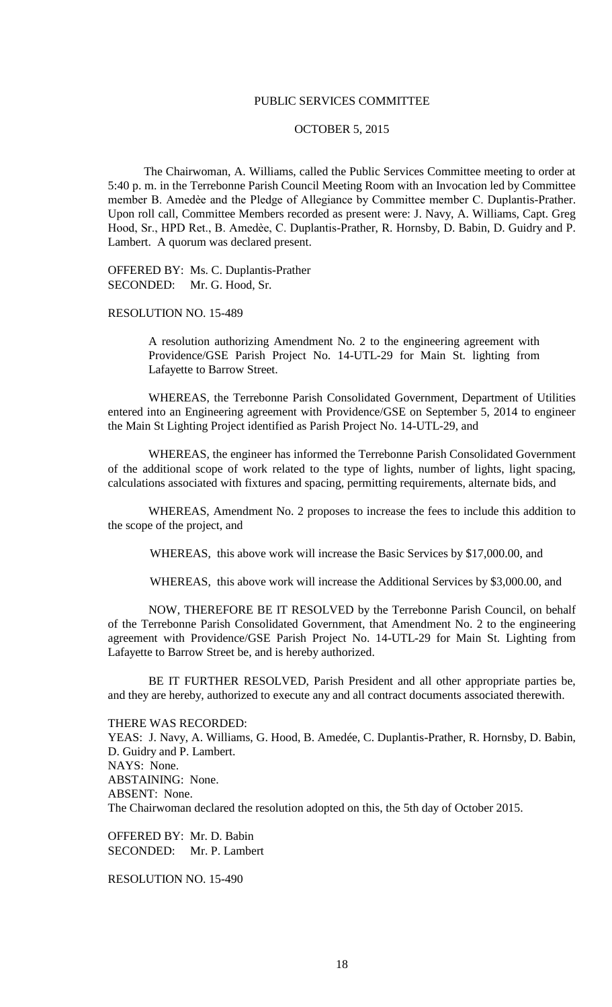### PUBLIC SERVICES COMMITTEE

## OCTOBER 5, 2015

The Chairwoman, A. Williams, called the Public Services Committee meeting to order at 5:40 p. m. in the Terrebonne Parish Council Meeting Room with an Invocation led by Committee member B. Amedèe and the Pledge of Allegiance by Committee member C. Duplantis-Prather. Upon roll call, Committee Members recorded as present were: J. Navy, A. Williams, Capt. Greg Hood, Sr., HPD Ret., B. Amedèe, C. Duplantis-Prather, R. Hornsby, D. Babin, D. Guidry and P. Lambert. A quorum was declared present.

OFFERED BY: Ms. C. Duplantis-Prather SECONDED: Mr. G. Hood, Sr.

RESOLUTION NO. 15-489

A resolution authorizing Amendment No. 2 to the engineering agreement with Providence/GSE Parish Project No. 14-UTL-29 for Main St. lighting from Lafayette to Barrow Street.

WHEREAS, the Terrebonne Parish Consolidated Government, Department of Utilities entered into an Engineering agreement with Providence/GSE on September 5, 2014 to engineer the Main St Lighting Project identified as Parish Project No. 14-UTL-29, and

WHEREAS, the engineer has informed the Terrebonne Parish Consolidated Government of the additional scope of work related to the type of lights, number of lights, light spacing, calculations associated with fixtures and spacing, permitting requirements, alternate bids, and

WHEREAS, Amendment No. 2 proposes to increase the fees to include this addition to the scope of the project, and

WHEREAS, this above work will increase the Basic Services by \$17,000.00, and

WHEREAS, this above work will increase the Additional Services by \$3,000.00, and

NOW, THEREFORE BE IT RESOLVED by the Terrebonne Parish Council, on behalf of the Terrebonne Parish Consolidated Government, that Amendment No. 2 to the engineering agreement with Providence/GSE Parish Project No. 14-UTL-29 for Main St. Lighting from Lafayette to Barrow Street be, and is hereby authorized.

BE IT FURTHER RESOLVED, Parish President and all other appropriate parties be, and they are hereby, authorized to execute any and all contract documents associated therewith.

#### THERE WAS RECORDED:

YEAS: J. Navy, A. Williams, G. Hood, B. Amedée, C. Duplantis-Prather, R. Hornsby, D. Babin, D. Guidry and P. Lambert. NAYS: None. ABSTAINING: None. ABSENT: None. The Chairwoman declared the resolution adopted on this, the 5th day of October 2015.

OFFERED BY: Mr. D. Babin SECONDED: Mr. P. Lambert

RESOLUTION NO. 15-490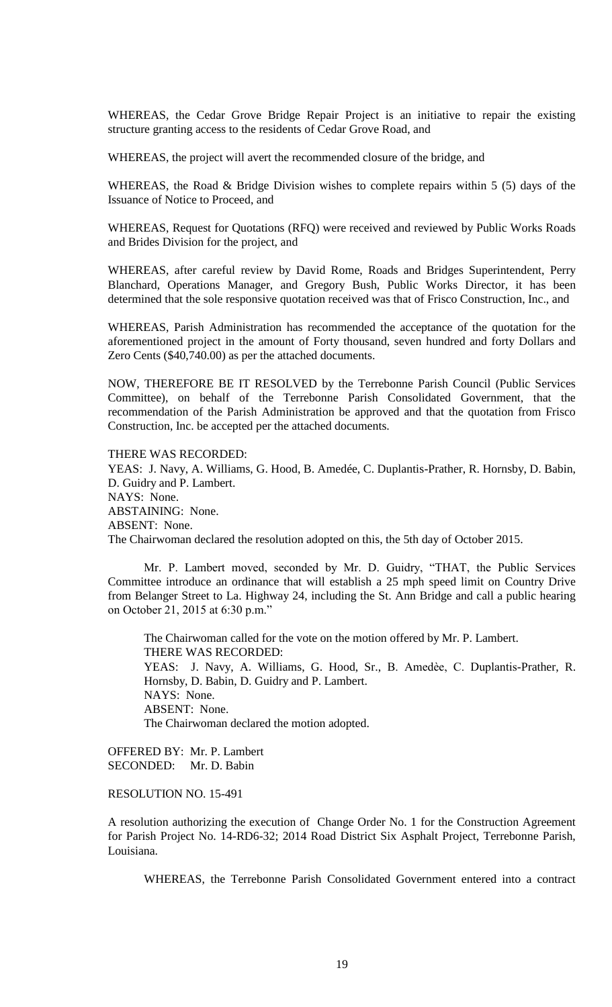WHEREAS, the Cedar Grove Bridge Repair Project is an initiative to repair the existing structure granting access to the residents of Cedar Grove Road, and

WHEREAS, the project will avert the recommended closure of the bridge, and

WHEREAS, the Road & Bridge Division wishes to complete repairs within 5 (5) days of the Issuance of Notice to Proceed, and

WHEREAS, Request for Quotations (RFQ) were received and reviewed by Public Works Roads and Brides Division for the project, and

WHEREAS, after careful review by David Rome, Roads and Bridges Superintendent, Perry Blanchard, Operations Manager, and Gregory Bush, Public Works Director, it has been determined that the sole responsive quotation received was that of Frisco Construction, Inc., and

WHEREAS, Parish Administration has recommended the acceptance of the quotation for the aforementioned project in the amount of Forty thousand, seven hundred and forty Dollars and Zero Cents (\$40,740.00) as per the attached documents.

NOW, THEREFORE BE IT RESOLVED by the Terrebonne Parish Council (Public Services Committee), on behalf of the Terrebonne Parish Consolidated Government, that the recommendation of the Parish Administration be approved and that the quotation from Frisco Construction, Inc. be accepted per the attached documents.

THERE WAS RECORDED:

YEAS: J. Navy, A. Williams, G. Hood, B. Amedée, C. Duplantis-Prather, R. Hornsby, D. Babin, D. Guidry and P. Lambert. NAYS: None. ABSTAINING: None. ABSENT: None. The Chairwoman declared the resolution adopted on this, the 5th day of October 2015.

Mr. P. Lambert moved, seconded by Mr. D. Guidry, "THAT, the Public Services Committee introduce an ordinance that will establish a 25 mph speed limit on Country Drive from Belanger Street to La. Highway 24, including the St. Ann Bridge and call a public hearing on October 21, 2015 at 6:30 p.m."

The Chairwoman called for the vote on the motion offered by Mr. P. Lambert. THERE WAS RECORDED: YEAS: J. Navy, A. Williams, G. Hood, Sr., B. Amedèe, C. Duplantis-Prather, R. Hornsby, D. Babin, D. Guidry and P. Lambert. NAYS: None. ABSENT: None. The Chairwoman declared the motion adopted.

OFFERED BY: Mr. P. Lambert SECONDED: Mr. D. Babin

RESOLUTION NO. 15-491

A resolution authorizing the execution of Change Order No. 1 for the Construction Agreement for Parish Project No. 14-RD6-32; 2014 Road District Six Asphalt Project, Terrebonne Parish, Louisiana.

WHEREAS, the Terrebonne Parish Consolidated Government entered into a contract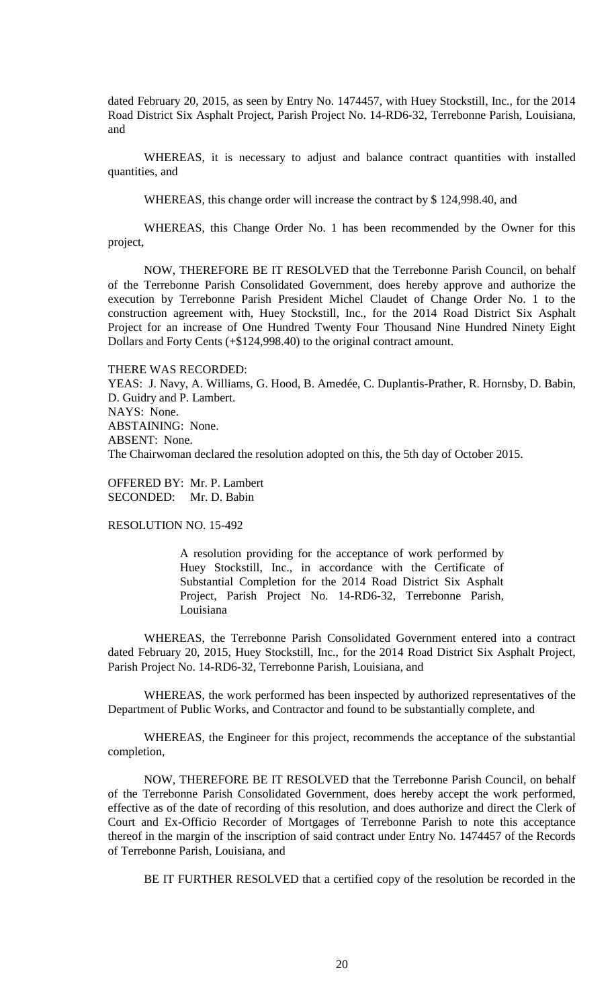dated February 20, 2015, as seen by Entry No. 1474457, with Huey Stockstill, Inc., for the 2014 Road District Six Asphalt Project, Parish Project No. 14-RD6-32, Terrebonne Parish, Louisiana, and

WHEREAS, it is necessary to adjust and balance contract quantities with installed quantities, and

WHEREAS, this change order will increase the contract by \$ 124,998.40, and

WHEREAS, this Change Order No. 1 has been recommended by the Owner for this project,

NOW, THEREFORE BE IT RESOLVED that the Terrebonne Parish Council, on behalf of the Terrebonne Parish Consolidated Government, does hereby approve and authorize the execution by Terrebonne Parish President Michel Claudet of Change Order No. 1 to the construction agreement with, Huey Stockstill, Inc., for the 2014 Road District Six Asphalt Project for an increase of One Hundred Twenty Four Thousand Nine Hundred Ninety Eight Dollars and Forty Cents (+\$124,998.40) to the original contract amount.

#### THERE WAS RECORDED:

YEAS: J. Navy, A. Williams, G. Hood, B. Amedée, C. Duplantis-Prather, R. Hornsby, D. Babin, D. Guidry and P. Lambert. NAYS: None. ABSTAINING: None. ABSENT: None. The Chairwoman declared the resolution adopted on this, the 5th day of October 2015.

OFFERED BY: Mr. P. Lambert SECONDED: Mr. D. Babin

RESOLUTION NO. 15-492

A resolution providing for the acceptance of work performed by Huey Stockstill, Inc., in accordance with the Certificate of Substantial Completion for the 2014 Road District Six Asphalt Project, Parish Project No. 14-RD6-32, Terrebonne Parish, Louisiana

WHEREAS, the Terrebonne Parish Consolidated Government entered into a contract dated February 20, 2015, Huey Stockstill, Inc., for the 2014 Road District Six Asphalt Project, Parish Project No. 14-RD6-32, Terrebonne Parish, Louisiana, and

WHEREAS, the work performed has been inspected by authorized representatives of the Department of Public Works, and Contractor and found to be substantially complete, and

WHEREAS, the Engineer for this project, recommends the acceptance of the substantial completion,

NOW, THEREFORE BE IT RESOLVED that the Terrebonne Parish Council, on behalf of the Terrebonne Parish Consolidated Government, does hereby accept the work performed, effective as of the date of recording of this resolution, and does authorize and direct the Clerk of Court and Ex-Officio Recorder of Mortgages of Terrebonne Parish to note this acceptance thereof in the margin of the inscription of said contract under Entry No. 1474457 of the Records of Terrebonne Parish, Louisiana, and

BE IT FURTHER RESOLVED that a certified copy of the resolution be recorded in the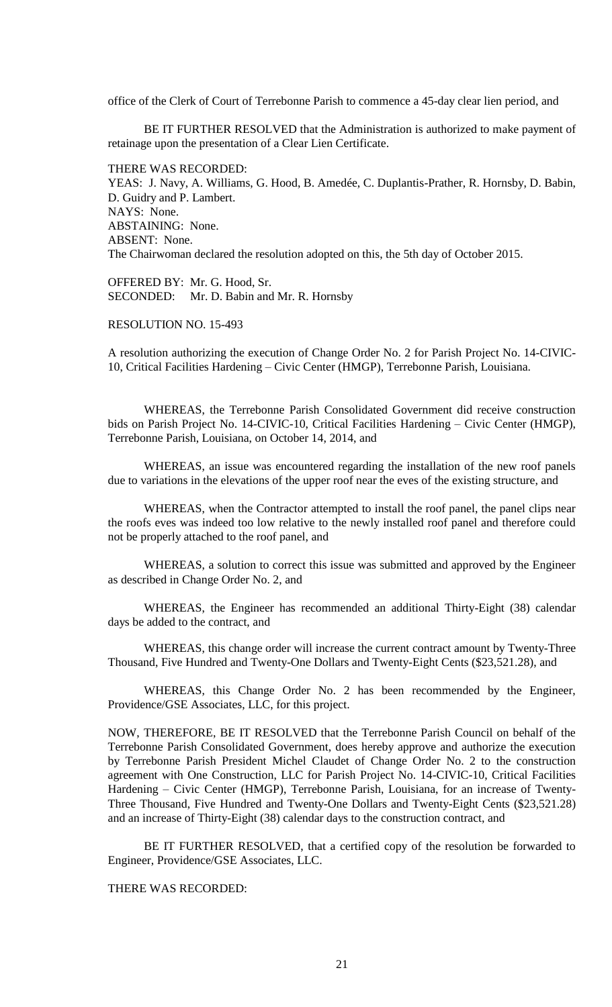office of the Clerk of Court of Terrebonne Parish to commence a 45-day clear lien period, and

BE IT FURTHER RESOLVED that the Administration is authorized to make payment of retainage upon the presentation of a Clear Lien Certificate.

THERE WAS RECORDED: YEAS: J. Navy, A. Williams, G. Hood, B. Amedée, C. Duplantis-Prather, R. Hornsby, D. Babin, D. Guidry and P. Lambert. NAYS: None. ABSTAINING: None. ABSENT: None. The Chairwoman declared the resolution adopted on this, the 5th day of October 2015.

OFFERED BY: Mr. G. Hood, Sr. SECONDED: Mr. D. Babin and Mr. R. Hornsby

RESOLUTION NO. 15-493

A resolution authorizing the execution of Change Order No. 2 for Parish Project No. 14-CIVIC-10, Critical Facilities Hardening – Civic Center (HMGP), Terrebonne Parish, Louisiana.

WHEREAS, the Terrebonne Parish Consolidated Government did receive construction bids on Parish Project No. 14-CIVIC-10, Critical Facilities Hardening – Civic Center (HMGP), Terrebonne Parish, Louisiana, on October 14, 2014, and

WHEREAS, an issue was encountered regarding the installation of the new roof panels due to variations in the elevations of the upper roof near the eves of the existing structure, and

WHEREAS, when the Contractor attempted to install the roof panel, the panel clips near the roofs eves was indeed too low relative to the newly installed roof panel and therefore could not be properly attached to the roof panel, and

WHEREAS, a solution to correct this issue was submitted and approved by the Engineer as described in Change Order No. 2, and

WHEREAS, the Engineer has recommended an additional Thirty-Eight (38) calendar days be added to the contract, and

WHEREAS, this change order will increase the current contract amount by Twenty-Three Thousand, Five Hundred and Twenty-One Dollars and Twenty-Eight Cents (\$23,521.28), and

WHEREAS, this Change Order No. 2 has been recommended by the Engineer, Providence/GSE Associates, LLC, for this project.

NOW, THEREFORE, BE IT RESOLVED that the Terrebonne Parish Council on behalf of the Terrebonne Parish Consolidated Government, does hereby approve and authorize the execution by Terrebonne Parish President Michel Claudet of Change Order No. 2 to the construction agreement with One Construction, LLC for Parish Project No. 14-CIVIC-10, Critical Facilities Hardening – Civic Center (HMGP), Terrebonne Parish, Louisiana, for an increase of Twenty-Three Thousand, Five Hundred and Twenty-One Dollars and Twenty-Eight Cents (\$23,521.28) and an increase of Thirty-Eight (38) calendar days to the construction contract, and

BE IT FURTHER RESOLVED, that a certified copy of the resolution be forwarded to Engineer, Providence/GSE Associates, LLC.

THERE WAS RECORDED: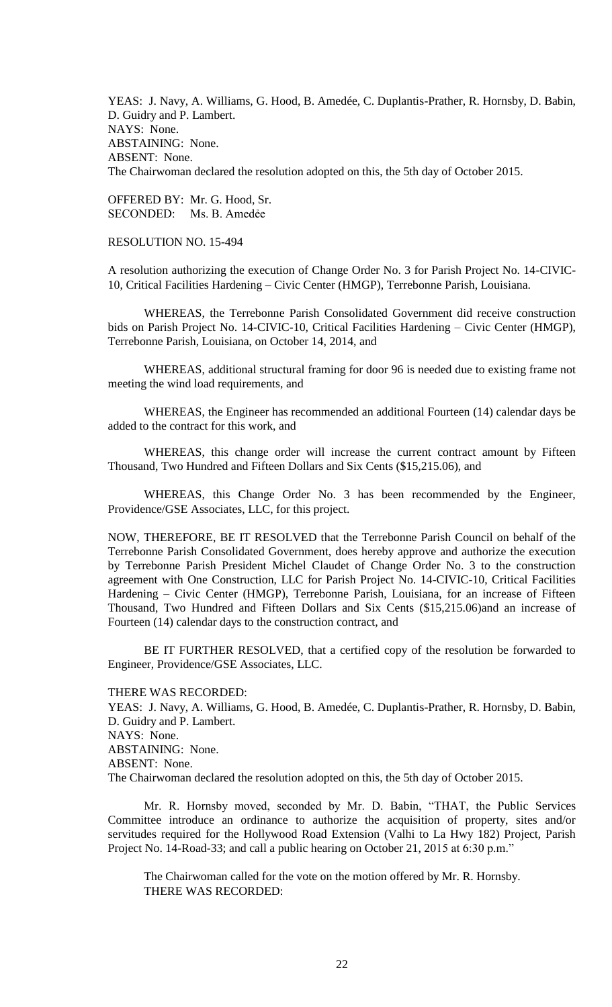YEAS: J. Navy, A. Williams, G. Hood, B. Amedée, C. Duplantis-Prather, R. Hornsby, D. Babin, D. Guidry and P. Lambert. NAYS: None. ABSTAINING: None. ABSENT: None. The Chairwoman declared the resolution adopted on this, the 5th day of October 2015.

OFFERED BY: Mr. G. Hood, Sr. SECONDED: Ms. B. Amedẻe

RESOLUTION NO. 15-494

A resolution authorizing the execution of Change Order No. 3 for Parish Project No. 14-CIVIC-10, Critical Facilities Hardening – Civic Center (HMGP), Terrebonne Parish, Louisiana.

WHEREAS, the Terrebonne Parish Consolidated Government did receive construction bids on Parish Project No. 14-CIVIC-10, Critical Facilities Hardening – Civic Center (HMGP), Terrebonne Parish, Louisiana, on October 14, 2014, and

WHEREAS, additional structural framing for door 96 is needed due to existing frame not meeting the wind load requirements, and

WHEREAS, the Engineer has recommended an additional Fourteen (14) calendar days be added to the contract for this work, and

WHEREAS, this change order will increase the current contract amount by Fifteen Thousand, Two Hundred and Fifteen Dollars and Six Cents (\$15,215.06), and

WHEREAS, this Change Order No. 3 has been recommended by the Engineer, Providence/GSE Associates, LLC, for this project.

NOW, THEREFORE, BE IT RESOLVED that the Terrebonne Parish Council on behalf of the Terrebonne Parish Consolidated Government, does hereby approve and authorize the execution by Terrebonne Parish President Michel Claudet of Change Order No. 3 to the construction agreement with One Construction, LLC for Parish Project No. 14-CIVIC-10, Critical Facilities Hardening – Civic Center (HMGP), Terrebonne Parish, Louisiana, for an increase of Fifteen Thousand, Two Hundred and Fifteen Dollars and Six Cents (\$15,215.06)and an increase of Fourteen (14) calendar days to the construction contract, and

BE IT FURTHER RESOLVED, that a certified copy of the resolution be forwarded to Engineer, Providence/GSE Associates, LLC.

THERE WAS RECORDED:

YEAS: J. Navy, A. Williams, G. Hood, B. Amedée, C. Duplantis-Prather, R. Hornsby, D. Babin, D. Guidry and P. Lambert. NAYS: None. ABSTAINING: None. ABSENT: None. The Chairwoman declared the resolution adopted on this, the 5th day of October 2015.

Mr. R. Hornsby moved, seconded by Mr. D. Babin, "THAT, the Public Services Committee introduce an ordinance to authorize the acquisition of property, sites and/or servitudes required for the Hollywood Road Extension (Valhi to La Hwy 182) Project, Parish Project No. 14-Road-33; and call a public hearing on October 21, 2015 at 6:30 p.m."

The Chairwoman called for the vote on the motion offered by Mr. R. Hornsby. THERE WAS RECORDED: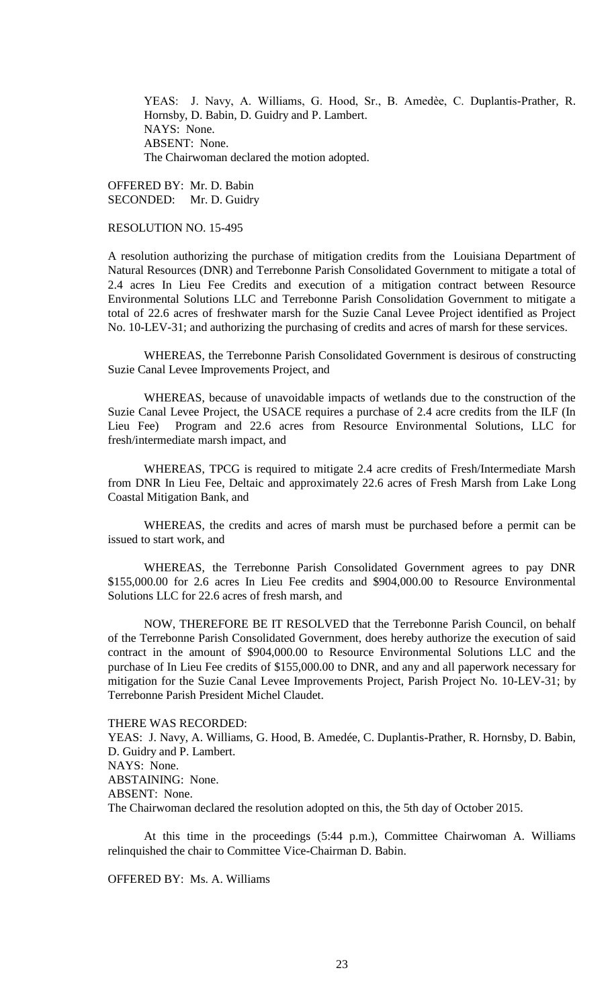YEAS: J. Navy, A. Williams, G. Hood, Sr., B. Amedèe, C. Duplantis-Prather, R. Hornsby, D. Babin, D. Guidry and P. Lambert. NAYS: None. ABSENT: None. The Chairwoman declared the motion adopted.

OFFERED BY: Mr. D. Babin SECONDED: Mr. D. Guidry

RESOLUTION NO. 15-495

A resolution authorizing the purchase of mitigation credits from the Louisiana Department of Natural Resources (DNR) and Terrebonne Parish Consolidated Government to mitigate a total of 2.4 acres In Lieu Fee Credits and execution of a mitigation contract between Resource Environmental Solutions LLC and Terrebonne Parish Consolidation Government to mitigate a total of 22.6 acres of freshwater marsh for the Suzie Canal Levee Project identified as Project No. 10-LEV-31; and authorizing the purchasing of credits and acres of marsh for these services.

WHEREAS, the Terrebonne Parish Consolidated Government is desirous of constructing Suzie Canal Levee Improvements Project, and

WHEREAS, because of unavoidable impacts of wetlands due to the construction of the Suzie Canal Levee Project, the USACE requires a purchase of 2.4 acre credits from the ILF (In Lieu Fee) Program and 22.6 acres from Resource Environmental Solutions, LLC for fresh/intermediate marsh impact, and

WHEREAS, TPCG is required to mitigate 2.4 acre credits of Fresh/Intermediate Marsh from DNR In Lieu Fee, Deltaic and approximately 22.6 acres of Fresh Marsh from Lake Long Coastal Mitigation Bank, and

WHEREAS, the credits and acres of marsh must be purchased before a permit can be issued to start work, and

WHEREAS, the Terrebonne Parish Consolidated Government agrees to pay DNR \$155,000.00 for 2.6 acres In Lieu Fee credits and \$904,000.00 to Resource Environmental Solutions LLC for 22.6 acres of fresh marsh, and

NOW, THEREFORE BE IT RESOLVED that the Terrebonne Parish Council, on behalf of the Terrebonne Parish Consolidated Government, does hereby authorize the execution of said contract in the amount of \$904,000.00 to Resource Environmental Solutions LLC and the purchase of In Lieu Fee credits of \$155,000.00 to DNR, and any and all paperwork necessary for mitigation for the Suzie Canal Levee Improvements Project, Parish Project No. 10-LEV-31; by Terrebonne Parish President Michel Claudet.

THERE WAS RECORDED:

YEAS: J. Navy, A. Williams, G. Hood, B. Amedée, C. Duplantis-Prather, R. Hornsby, D. Babin, D. Guidry and P. Lambert. NAYS: None. ABSTAINING: None. ABSENT: None. The Chairwoman declared the resolution adopted on this, the 5th day of October 2015.

At this time in the proceedings (5:44 p.m.), Committee Chairwoman A. Williams relinquished the chair to Committee Vice-Chairman D. Babin.

OFFERED BY: Ms. A. Williams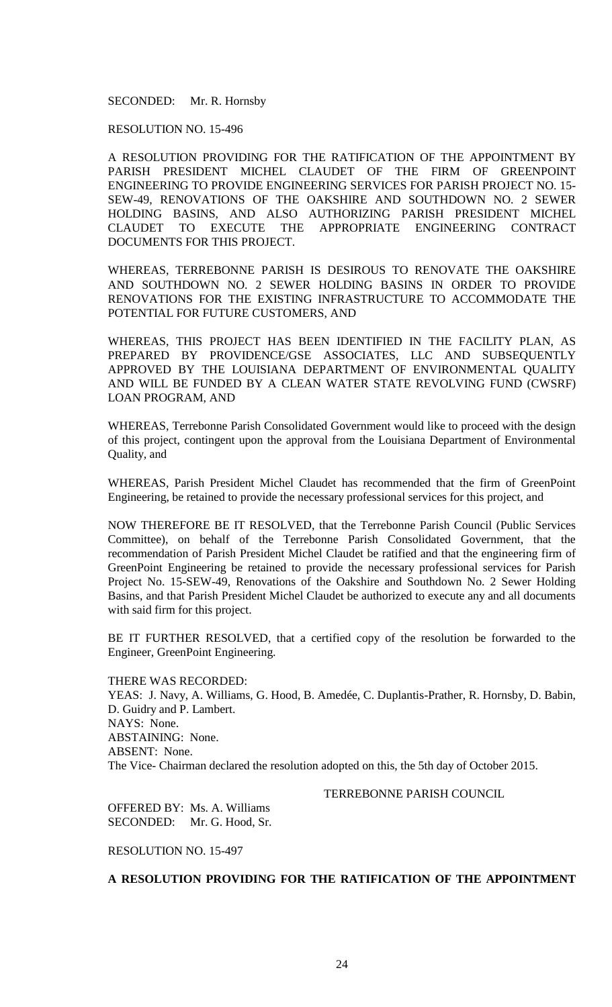SECONDED: Mr. R. Hornsby

RESOLUTION NO. 15-496

A RESOLUTION PROVIDING FOR THE RATIFICATION OF THE APPOINTMENT BY PARISH PRESIDENT MICHEL CLAUDET OF THE FIRM OF GREENPOINT ENGINEERING TO PROVIDE ENGINEERING SERVICES FOR PARISH PROJECT NO. 15- SEW-49, RENOVATIONS OF THE OAKSHIRE AND SOUTHDOWN NO. 2 SEWER HOLDING BASINS, AND ALSO AUTHORIZING PARISH PRESIDENT MICHEL CLAUDET TO EXECUTE THE APPROPRIATE ENGINEERING CONTRACT DOCUMENTS FOR THIS PROJECT.

WHEREAS, TERREBONNE PARISH IS DESIROUS TO RENOVATE THE OAKSHIRE AND SOUTHDOWN NO. 2 SEWER HOLDING BASINS IN ORDER TO PROVIDE RENOVATIONS FOR THE EXISTING INFRASTRUCTURE TO ACCOMMODATE THE POTENTIAL FOR FUTURE CUSTOMERS, AND

WHEREAS, THIS PROJECT HAS BEEN IDENTIFIED IN THE FACILITY PLAN, AS PREPARED BY PROVIDENCE/GSE ASSOCIATES, LLC AND SUBSEQUENTLY APPROVED BY THE LOUISIANA DEPARTMENT OF ENVIRONMENTAL QUALITY AND WILL BE FUNDED BY A CLEAN WATER STATE REVOLVING FUND (CWSRF) LOAN PROGRAM, AND

WHEREAS, Terrebonne Parish Consolidated Government would like to proceed with the design of this project, contingent upon the approval from the Louisiana Department of Environmental Quality, and

WHEREAS, Parish President Michel Claudet has recommended that the firm of GreenPoint Engineering, be retained to provide the necessary professional services for this project, and

NOW THEREFORE BE IT RESOLVED, that the Terrebonne Parish Council (Public Services Committee), on behalf of the Terrebonne Parish Consolidated Government, that the recommendation of Parish President Michel Claudet be ratified and that the engineering firm of GreenPoint Engineering be retained to provide the necessary professional services for Parish Project No. 15-SEW-49, Renovations of the Oakshire and Southdown No. 2 Sewer Holding Basins, and that Parish President Michel Claudet be authorized to execute any and all documents with said firm for this project.

BE IT FURTHER RESOLVED, that a certified copy of the resolution be forwarded to the Engineer, GreenPoint Engineering.

THERE WAS RECORDED: YEAS: J. Navy, A. Williams, G. Hood, B. Amedée, C. Duplantis-Prather, R. Hornsby, D. Babin, D. Guidry and P. Lambert. NAYS: None. ABSTAINING: None. ABSENT: None. The Vice- Chairman declared the resolution adopted on this, the 5th day of October 2015.

TERREBONNE PARISH COUNCIL

OFFERED BY: Ms. A. Williams SECONDED: Mr. G. Hood, Sr.

RESOLUTION NO. 15-497

**A RESOLUTION PROVIDING FOR THE RATIFICATION OF THE APPOINTMENT**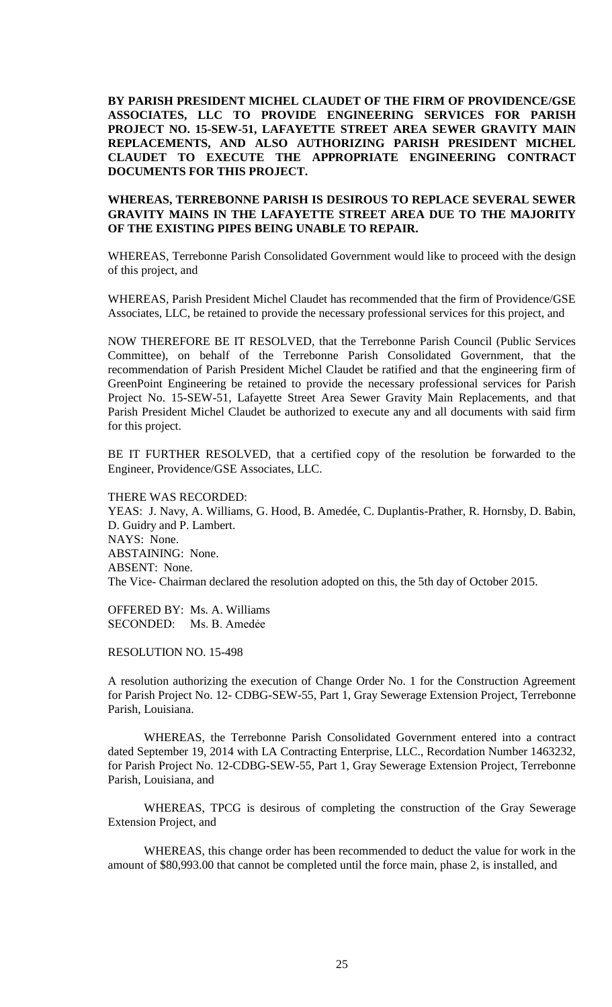**BY PARISH PRESIDENT MICHEL CLAUDET OF THE FIRM OF PROVIDENCE/GSE ASSOCIATES, LLC TO PROVIDE ENGINEERING SERVICES FOR PARISH PROJECT NO. 15-SEW-51, LAFAYETTE STREET AREA SEWER GRAVITY MAIN REPLACEMENTS, AND ALSO AUTHORIZING PARISH PRESIDENT MICHEL CLAUDET TO EXECUTE THE APPROPRIATE ENGINEERING CONTRACT DOCUMENTS FOR THIS PROJECT.** 

# **WHEREAS, TERREBONNE PARISH IS DESIROUS TO REPLACE SEVERAL SEWER GRAVITY MAINS IN THE LAFAYETTE STREET AREA DUE TO THE MAJORITY OF THE EXISTING PIPES BEING UNABLE TO REPAIR.**

WHEREAS, Terrebonne Parish Consolidated Government would like to proceed with the design of this project, and

WHEREAS, Parish President Michel Claudet has recommended that the firm of Providence/GSE Associates, LLC, be retained to provide the necessary professional services for this project, and

NOW THEREFORE BE IT RESOLVED, that the Terrebonne Parish Council (Public Services Committee), on behalf of the Terrebonne Parish Consolidated Government, that the recommendation of Parish President Michel Claudet be ratified and that the engineering firm of GreenPoint Engineering be retained to provide the necessary professional services for Parish Project No. 15-SEW-51, Lafayette Street Area Sewer Gravity Main Replacements, and that Parish President Michel Claudet be authorized to execute any and all documents with said firm for this project.

BE IT FURTHER RESOLVED, that a certified copy of the resolution be forwarded to the Engineer, Providence/GSE Associates, LLC.

THERE WAS RECORDED: YEAS: J. Navy, A. Williams, G. Hood, B. Amedée, C. Duplantis-Prather, R. Hornsby, D. Babin, D. Guidry and P. Lambert. NAYS: None. ABSTAINING: None. ABSENT: None. The Vice- Chairman declared the resolution adopted on this, the 5th day of October 2015.

OFFERED BY: Ms. A. Williams SECONDED: Ms. B. Amedẻe

RESOLUTION NO. 15-498

A resolution authorizing the execution of Change Order No. 1 for the Construction Agreement for Parish Project No. 12- CDBG-SEW-55, Part 1, Gray Sewerage Extension Project, Terrebonne Parish, Louisiana.

WHEREAS, the Terrebonne Parish Consolidated Government entered into a contract dated September 19, 2014 with LA Contracting Enterprise, LLC., Recordation Number 1463232, for Parish Project No. 12-CDBG-SEW-55, Part 1, Gray Sewerage Extension Project, Terrebonne Parish, Louisiana, and

WHEREAS, TPCG is desirous of completing the construction of the Gray Sewerage Extension Project, and

WHEREAS, this change order has been recommended to deduct the value for work in the amount of \$80,993.00 that cannot be completed until the force main, phase 2, is installed, and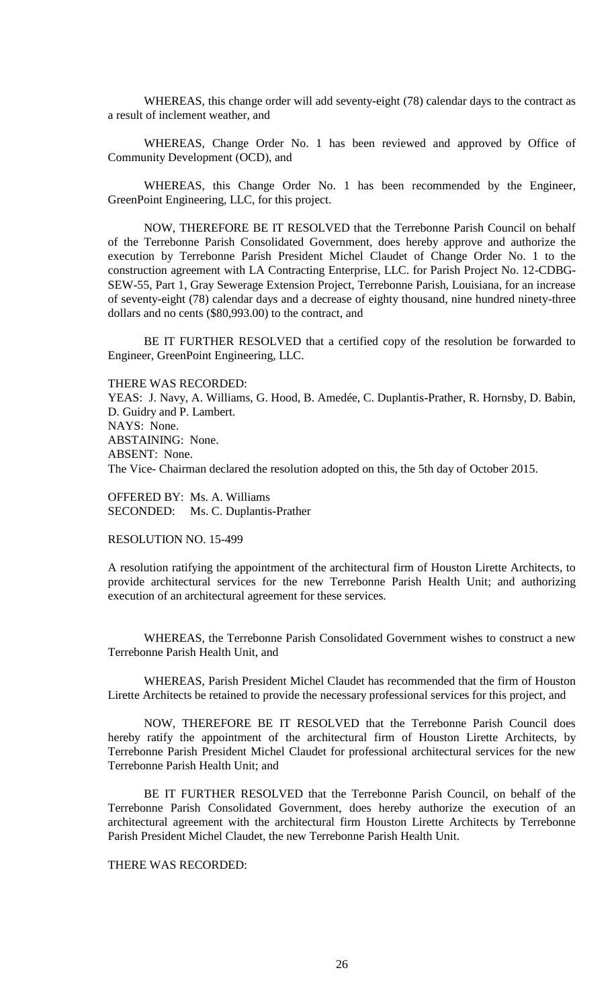WHEREAS, this change order will add seventy-eight (78) calendar days to the contract as a result of inclement weather, and

WHEREAS, Change Order No. 1 has been reviewed and approved by Office of Community Development (OCD), and

WHEREAS, this Change Order No. 1 has been recommended by the Engineer, GreenPoint Engineering, LLC, for this project.

NOW, THEREFORE BE IT RESOLVED that the Terrebonne Parish Council on behalf of the Terrebonne Parish Consolidated Government, does hereby approve and authorize the execution by Terrebonne Parish President Michel Claudet of Change Order No. 1 to the construction agreement with LA Contracting Enterprise, LLC. for Parish Project No. 12-CDBG-SEW-55, Part 1, Gray Sewerage Extension Project, Terrebonne Parish, Louisiana, for an increase of seventy-eight (78) calendar days and a decrease of eighty thousand, nine hundred ninety-three dollars and no cents (\$80,993.00) to the contract, and

BE IT FURTHER RESOLVED that a certified copy of the resolution be forwarded to Engineer, GreenPoint Engineering, LLC.

THERE WAS RECORDED:

YEAS: J. Navy, A. Williams, G. Hood, B. Amedée, C. Duplantis-Prather, R. Hornsby, D. Babin, D. Guidry and P. Lambert. NAYS: None. ABSTAINING: None. ABSENT: None. The Vice- Chairman declared the resolution adopted on this, the 5th day of October 2015.

OFFERED BY: Ms. A. Williams SECONDED: Ms. C. Duplantis-Prather

RESOLUTION NO. 15-499

A resolution ratifying the appointment of the architectural firm of Houston Lirette Architects, to provide architectural services for the new Terrebonne Parish Health Unit; and authorizing execution of an architectural agreement for these services.

WHEREAS, the Terrebonne Parish Consolidated Government wishes to construct a new Terrebonne Parish Health Unit, and

WHEREAS, Parish President Michel Claudet has recommended that the firm of Houston Lirette Architects be retained to provide the necessary professional services for this project, and

NOW, THEREFORE BE IT RESOLVED that the Terrebonne Parish Council does hereby ratify the appointment of the architectural firm of Houston Lirette Architects, by Terrebonne Parish President Michel Claudet for professional architectural services for the new Terrebonne Parish Health Unit; and

BE IT FURTHER RESOLVED that the Terrebonne Parish Council, on behalf of the Terrebonne Parish Consolidated Government, does hereby authorize the execution of an architectural agreement with the architectural firm Houston Lirette Architects by Terrebonne Parish President Michel Claudet, the new Terrebonne Parish Health Unit.

THERE WAS RECORDED: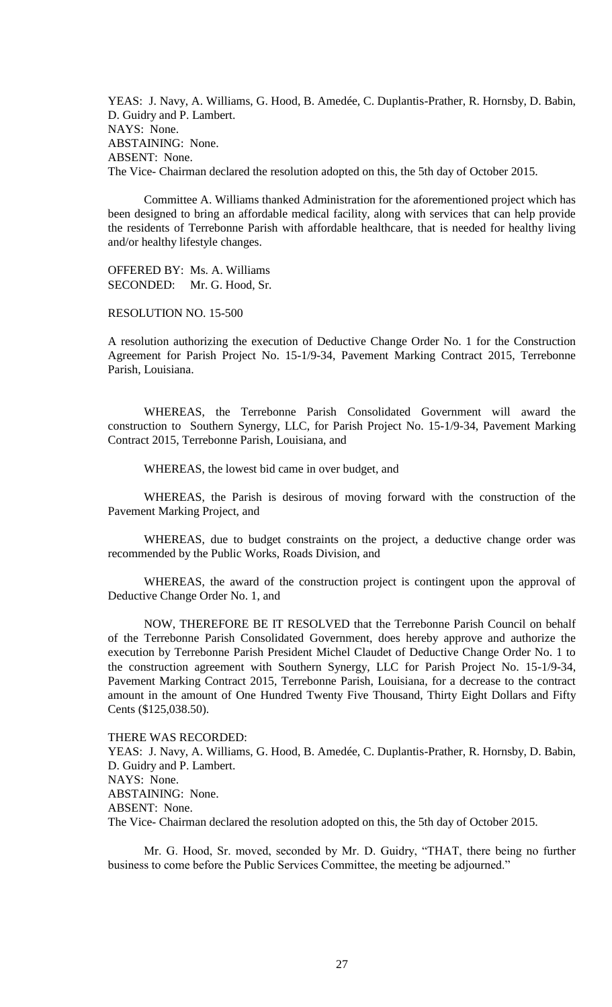YEAS: J. Navy, A. Williams, G. Hood, B. Amedée, C. Duplantis-Prather, R. Hornsby, D. Babin, D. Guidry and P. Lambert. NAYS: None. ABSTAINING: None. ABSENT: None. The Vice- Chairman declared the resolution adopted on this, the 5th day of October 2015.

Committee A. Williams thanked Administration for the aforementioned project which has been designed to bring an affordable medical facility, along with services that can help provide the residents of Terrebonne Parish with affordable healthcare, that is needed for healthy living and/or healthy lifestyle changes.

OFFERED BY: Ms. A. Williams SECONDED: Mr. G. Hood, Sr.

RESOLUTION NO. 15-500

A resolution authorizing the execution of Deductive Change Order No. 1 for the Construction Agreement for Parish Project No. 15-1/9-34, Pavement Marking Contract 2015, Terrebonne Parish, Louisiana.

WHEREAS, the Terrebonne Parish Consolidated Government will award the construction to Southern Synergy, LLC, for Parish Project No. 15-1/9-34, Pavement Marking Contract 2015, Terrebonne Parish, Louisiana, and

WHEREAS, the lowest bid came in over budget, and

WHEREAS, the Parish is desirous of moving forward with the construction of the Pavement Marking Project, and

WHEREAS, due to budget constraints on the project, a deductive change order was recommended by the Public Works, Roads Division, and

WHEREAS, the award of the construction project is contingent upon the approval of Deductive Change Order No. 1, and

NOW, THEREFORE BE IT RESOLVED that the Terrebonne Parish Council on behalf of the Terrebonne Parish Consolidated Government, does hereby approve and authorize the execution by Terrebonne Parish President Michel Claudet of Deductive Change Order No. 1 to the construction agreement with Southern Synergy, LLC for Parish Project No. 15-1/9-34, Pavement Marking Contract 2015, Terrebonne Parish, Louisiana, for a decrease to the contract amount in the amount of One Hundred Twenty Five Thousand, Thirty Eight Dollars and Fifty Cents (\$125,038.50).

THERE WAS RECORDED:

YEAS: J. Navy, A. Williams, G. Hood, B. Amedée, C. Duplantis-Prather, R. Hornsby, D. Babin, D. Guidry and P. Lambert. NAYS: None. ABSTAINING: None. ABSENT: None. The Vice- Chairman declared the resolution adopted on this, the 5th day of October 2015.

Mr. G. Hood, Sr. moved, seconded by Mr. D. Guidry, "THAT, there being no further business to come before the Public Services Committee, the meeting be adjourned."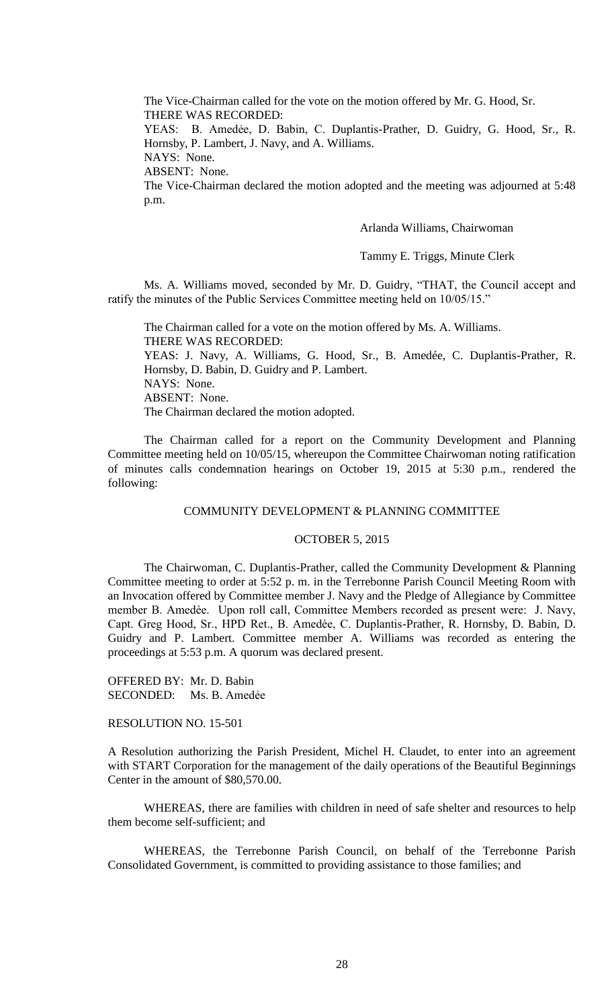The Vice-Chairman called for the vote on the motion offered by Mr. G. Hood, Sr. THERE WAS RECORDED:

YEAS: B. Amedẻe, D. Babin, C. Duplantis-Prather, D. Guidry, G. Hood, Sr., R. Hornsby, P. Lambert, J. Navy, and A. Williams.

NAYS: None.

ABSENT: None.

The Vice-Chairman declared the motion adopted and the meeting was adjourned at 5:48 p.m.

Arlanda Williams, Chairwoman

Tammy E. Triggs, Minute Clerk

Ms. A. Williams moved, seconded by Mr. D. Guidry, "THAT, the Council accept and ratify the minutes of the Public Services Committee meeting held on 10/05/15."

The Chairman called for a vote on the motion offered by Ms. A. Williams. THERE WAS RECORDED: YEAS: J. Navy, A. Williams, G. Hood, Sr., B. Amedée, C. Duplantis-Prather, R. Hornsby, D. Babin, D. Guidry and P. Lambert. NAYS: None. ABSENT: None. The Chairman declared the motion adopted.

The Chairman called for a report on the Community Development and Planning Committee meeting held on 10/05/15, whereupon the Committee Chairwoman noting ratification of minutes calls condemnation hearings on October 19, 2015 at 5:30 p.m., rendered the following:

# COMMUNITY DEVELOPMENT & PLANNING COMMITTEE

#### OCTOBER 5, 2015

The Chairwoman, C. Duplantis-Prather, called the Community Development & Planning Committee meeting to order at 5:52 p. m. in the Terrebonne Parish Council Meeting Room with an Invocation offered by Committee member J. Navy and the Pledge of Allegiance by Committee member B. Amedѐe. Upon roll call, Committee Members recorded as present were: J. Navy, Capt. Greg Hood, Sr., HPD Ret., B. Amedѐe, C. Duplantis-Prather, R. Hornsby, D. Babin, D. Guidry and P. Lambert. Committee member A. Williams was recorded as entering the proceedings at 5:53 p.m. A quorum was declared present.

OFFERED BY: Mr. D. Babin SECONDED: Ms. B. Amedẻe

RESOLUTION NO. 15-501

A Resolution authorizing the Parish President, Michel H. Claudet, to enter into an agreement with START Corporation for the management of the daily operations of the Beautiful Beginnings Center in the amount of \$80,570.00.

WHEREAS, there are families with children in need of safe shelter and resources to help them become self-sufficient; and

WHEREAS, the Terrebonne Parish Council, on behalf of the Terrebonne Parish Consolidated Government, is committed to providing assistance to those families; and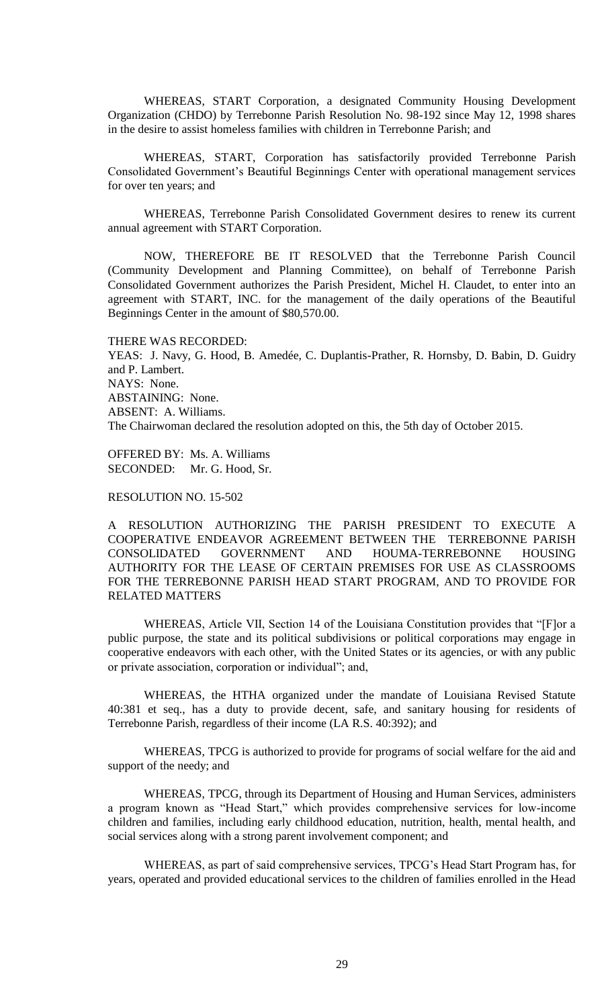WHEREAS, START Corporation, a designated Community Housing Development Organization (CHDO) by Terrebonne Parish Resolution No. 98-192 since May 12, 1998 shares in the desire to assist homeless families with children in Terrebonne Parish; and

WHEREAS, START, Corporation has satisfactorily provided Terrebonne Parish Consolidated Government's Beautiful Beginnings Center with operational management services for over ten years; and

WHEREAS, Terrebonne Parish Consolidated Government desires to renew its current annual agreement with START Corporation.

NOW, THEREFORE BE IT RESOLVED that the Terrebonne Parish Council (Community Development and Planning Committee), on behalf of Terrebonne Parish Consolidated Government authorizes the Parish President, Michel H. Claudet, to enter into an agreement with START, INC. for the management of the daily operations of the Beautiful Beginnings Center in the amount of \$80,570.00.

THERE WAS RECORDED: YEAS: J. Navy, G. Hood, B. Amedée, C. Duplantis-Prather, R. Hornsby, D. Babin, D. Guidry and P. Lambert. NAYS: None. ABSTAINING: None. ABSENT: A. Williams. The Chairwoman declared the resolution adopted on this, the 5th day of October 2015.

OFFERED BY: Ms. A. Williams SECONDED: Mr. G. Hood, Sr.

RESOLUTION NO. 15-502

A RESOLUTION AUTHORIZING THE PARISH PRESIDENT TO EXECUTE A COOPERATIVE ENDEAVOR AGREEMENT BETWEEN THE TERREBONNE PARISH CONSOLIDATED GOVERNMENT AND HOUMA-TERREBONNE HOUSING AUTHORITY FOR THE LEASE OF CERTAIN PREMISES FOR USE AS CLASSROOMS FOR THE TERREBONNE PARISH HEAD START PROGRAM, AND TO PROVIDE FOR RELATED MATTERS

WHEREAS, Article VII, Section 14 of the Louisiana Constitution provides that "[F]or a public purpose, the state and its political subdivisions or political corporations may engage in cooperative endeavors with each other, with the United States or its agencies, or with any public or private association, corporation or individual"; and,

WHEREAS, the HTHA organized under the mandate of Louisiana Revised Statute 40:381 et seq., has a duty to provide decent, safe, and sanitary housing for residents of Terrebonne Parish, regardless of their income (LA R.S. 40:392); and

WHEREAS, TPCG is authorized to provide for programs of social welfare for the aid and support of the needy; and

WHEREAS, TPCG, through its Department of Housing and Human Services, administers a program known as "Head Start," which provides comprehensive services for low-income children and families, including early childhood education, nutrition, health, mental health, and social services along with a strong parent involvement component; and

WHEREAS, as part of said comprehensive services, TPCG's Head Start Program has, for years, operated and provided educational services to the children of families enrolled in the Head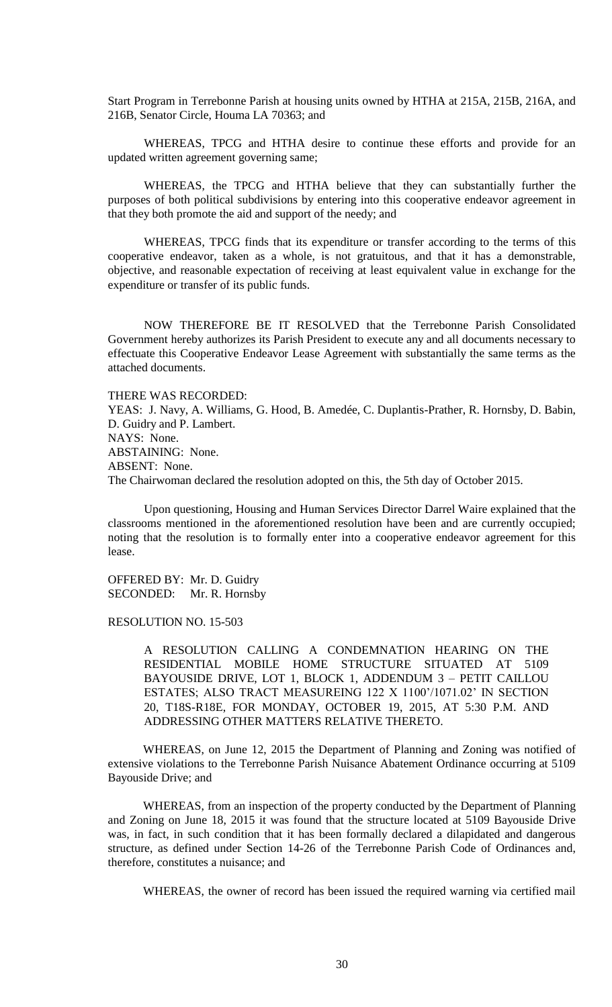Start Program in Terrebonne Parish at housing units owned by HTHA at 215A, 215B, 216A, and 216B, Senator Circle, Houma LA 70363; and

WHEREAS, TPCG and HTHA desire to continue these efforts and provide for an updated written agreement governing same;

WHEREAS, the TPCG and HTHA believe that they can substantially further the purposes of both political subdivisions by entering into this cooperative endeavor agreement in that they both promote the aid and support of the needy; and

WHEREAS, TPCG finds that its expenditure or transfer according to the terms of this cooperative endeavor, taken as a whole, is not gratuitous, and that it has a demonstrable, objective, and reasonable expectation of receiving at least equivalent value in exchange for the expenditure or transfer of its public funds.

NOW THEREFORE BE IT RESOLVED that the Terrebonne Parish Consolidated Government hereby authorizes its Parish President to execute any and all documents necessary to effectuate this Cooperative Endeavor Lease Agreement with substantially the same terms as the attached documents.

THERE WAS RECORDED: YEAS: J. Navy, A. Williams, G. Hood, B. Amedée, C. Duplantis-Prather, R. Hornsby, D. Babin, D. Guidry and P. Lambert. NAYS: None. ABSTAINING: None. ABSENT: None. The Chairwoman declared the resolution adopted on this, the 5th day of October 2015.

Upon questioning, Housing and Human Services Director Darrel Waire explained that the classrooms mentioned in the aforementioned resolution have been and are currently occupied; noting that the resolution is to formally enter into a cooperative endeavor agreement for this lease.

OFFERED BY: Mr. D. Guidry SECONDED: Mr. R. Hornsby

# RESOLUTION NO. 15-503

A RESOLUTION CALLING A CONDEMNATION HEARING ON THE RESIDENTIAL MOBILE HOME STRUCTURE SITUATED AT 5109 BAYOUSIDE DRIVE, LOT 1, BLOCK 1, ADDENDUM 3 – PETIT CAILLOU ESTATES; ALSO TRACT MEASUREING 122 X 1100'/1071.02' IN SECTION 20, T18S-R18E, FOR MONDAY, OCTOBER 19, 2015, AT 5:30 P.M. AND ADDRESSING OTHER MATTERS RELATIVE THERETO.

WHEREAS, on June 12, 2015 the Department of Planning and Zoning was notified of extensive violations to the Terrebonne Parish Nuisance Abatement Ordinance occurring at 5109 Bayouside Drive; and

WHEREAS, from an inspection of the property conducted by the Department of Planning and Zoning on June 18, 2015 it was found that the structure located at 5109 Bayouside Drive was, in fact, in such condition that it has been formally declared a dilapidated and dangerous structure, as defined under Section 14-26 of the Terrebonne Parish Code of Ordinances and, therefore, constitutes a nuisance; and

WHEREAS, the owner of record has been issued the required warning via certified mail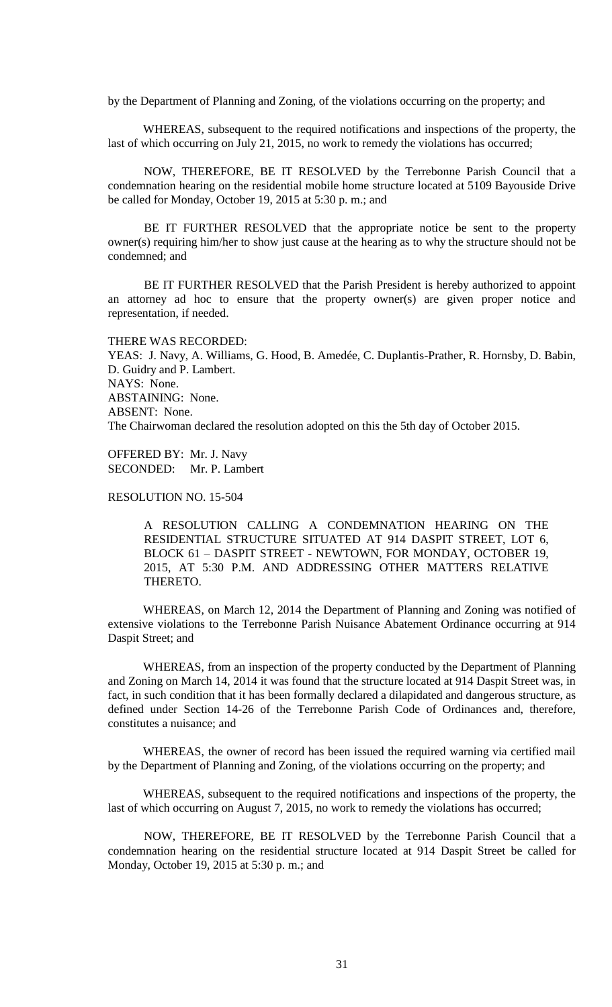by the Department of Planning and Zoning, of the violations occurring on the property; and

WHEREAS, subsequent to the required notifications and inspections of the property, the last of which occurring on July 21, 2015, no work to remedy the violations has occurred;

NOW, THEREFORE, BE IT RESOLVED by the Terrebonne Parish Council that a condemnation hearing on the residential mobile home structure located at 5109 Bayouside Drive be called for Monday, October 19, 2015 at 5:30 p. m.; and

BE IT FURTHER RESOLVED that the appropriate notice be sent to the property owner(s) requiring him/her to show just cause at the hearing as to why the structure should not be condemned; and

BE IT FURTHER RESOLVED that the Parish President is hereby authorized to appoint an attorney ad hoc to ensure that the property owner(s) are given proper notice and representation, if needed.

THERE WAS RECORDED: YEAS: J. Navy, A. Williams, G. Hood, B. Amedée, C. Duplantis-Prather, R. Hornsby, D. Babin, D. Guidry and P. Lambert. NAYS: None. ABSTAINING: None. ABSENT: None. The Chairwoman declared the resolution adopted on this the 5th day of October 2015.

OFFERED BY: Mr. J. Navy SECONDED: Mr. P. Lambert

## RESOLUTION NO. 15-504

A RESOLUTION CALLING A CONDEMNATION HEARING ON THE RESIDENTIAL STRUCTURE SITUATED AT 914 DASPIT STREET, LOT 6, BLOCK 61 – DASPIT STREET - NEWTOWN, FOR MONDAY, OCTOBER 19, 2015, AT 5:30 P.M. AND ADDRESSING OTHER MATTERS RELATIVE THERETO.

WHEREAS, on March 12, 2014 the Department of Planning and Zoning was notified of extensive violations to the Terrebonne Parish Nuisance Abatement Ordinance occurring at 914 Daspit Street; and

WHEREAS, from an inspection of the property conducted by the Department of Planning and Zoning on March 14, 2014 it was found that the structure located at 914 Daspit Street was, in fact, in such condition that it has been formally declared a dilapidated and dangerous structure, as defined under Section 14-26 of the Terrebonne Parish Code of Ordinances and, therefore, constitutes a nuisance; and

WHEREAS, the owner of record has been issued the required warning via certified mail by the Department of Planning and Zoning, of the violations occurring on the property; and

WHEREAS, subsequent to the required notifications and inspections of the property, the last of which occurring on August 7, 2015, no work to remedy the violations has occurred;

NOW, THEREFORE, BE IT RESOLVED by the Terrebonne Parish Council that a condemnation hearing on the residential structure located at 914 Daspit Street be called for Monday, October 19, 2015 at 5:30 p. m.; and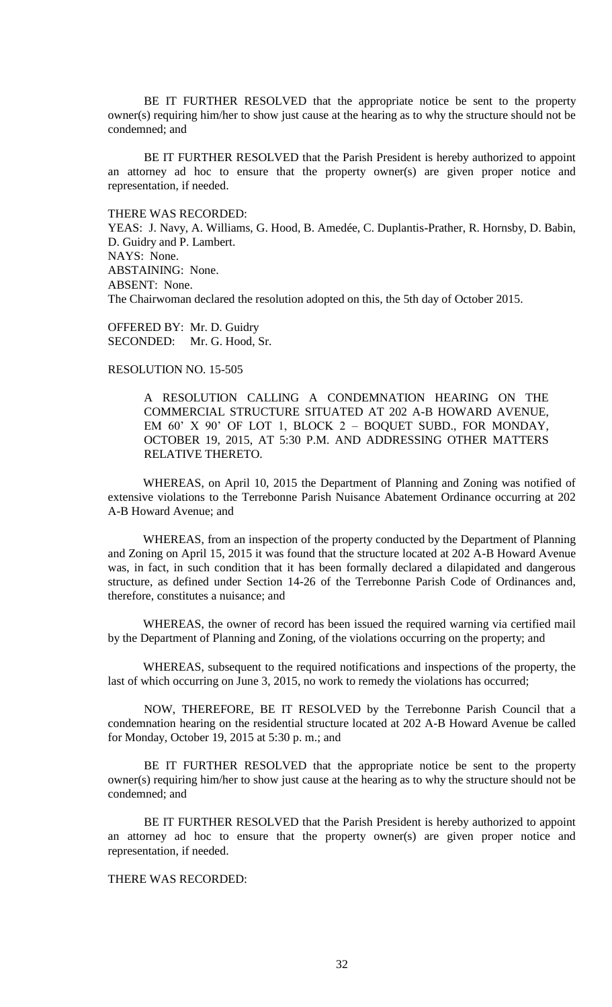BE IT FURTHER RESOLVED that the appropriate notice be sent to the property owner(s) requiring him/her to show just cause at the hearing as to why the structure should not be condemned; and

BE IT FURTHER RESOLVED that the Parish President is hereby authorized to appoint an attorney ad hoc to ensure that the property owner(s) are given proper notice and representation, if needed.

THERE WAS RECORDED:

YEAS: J. Navy, A. Williams, G. Hood, B. Amedée, C. Duplantis-Prather, R. Hornsby, D. Babin, D. Guidry and P. Lambert. NAYS: None. ABSTAINING: None. ABSENT: None. The Chairwoman declared the resolution adopted on this, the 5th day of October 2015.

OFFERED BY: Mr. D. Guidry SECONDED: Mr. G. Hood, Sr.

## RESOLUTION NO. 15-505

A RESOLUTION CALLING A CONDEMNATION HEARING ON THE COMMERCIAL STRUCTURE SITUATED AT 202 A-B HOWARD AVENUE, EM 60' X 90' OF LOT 1, BLOCK 2 – BOQUET SUBD., FOR MONDAY, OCTOBER 19, 2015, AT 5:30 P.M. AND ADDRESSING OTHER MATTERS RELATIVE THERETO.

WHEREAS, on April 10, 2015 the Department of Planning and Zoning was notified of extensive violations to the Terrebonne Parish Nuisance Abatement Ordinance occurring at 202 A-B Howard Avenue; and

WHEREAS, from an inspection of the property conducted by the Department of Planning and Zoning on April 15, 2015 it was found that the structure located at 202 A-B Howard Avenue was, in fact, in such condition that it has been formally declared a dilapidated and dangerous structure, as defined under Section 14-26 of the Terrebonne Parish Code of Ordinances and, therefore, constitutes a nuisance; and

WHEREAS, the owner of record has been issued the required warning via certified mail by the Department of Planning and Zoning, of the violations occurring on the property; and

WHEREAS, subsequent to the required notifications and inspections of the property, the last of which occurring on June 3, 2015, no work to remedy the violations has occurred;

NOW, THEREFORE, BE IT RESOLVED by the Terrebonne Parish Council that a condemnation hearing on the residential structure located at 202 A-B Howard Avenue be called for Monday, October 19, 2015 at 5:30 p. m.; and

BE IT FURTHER RESOLVED that the appropriate notice be sent to the property owner(s) requiring him/her to show just cause at the hearing as to why the structure should not be condemned; and

BE IT FURTHER RESOLVED that the Parish President is hereby authorized to appoint an attorney ad hoc to ensure that the property owner(s) are given proper notice and representation, if needed.

# THERE WAS RECORDED: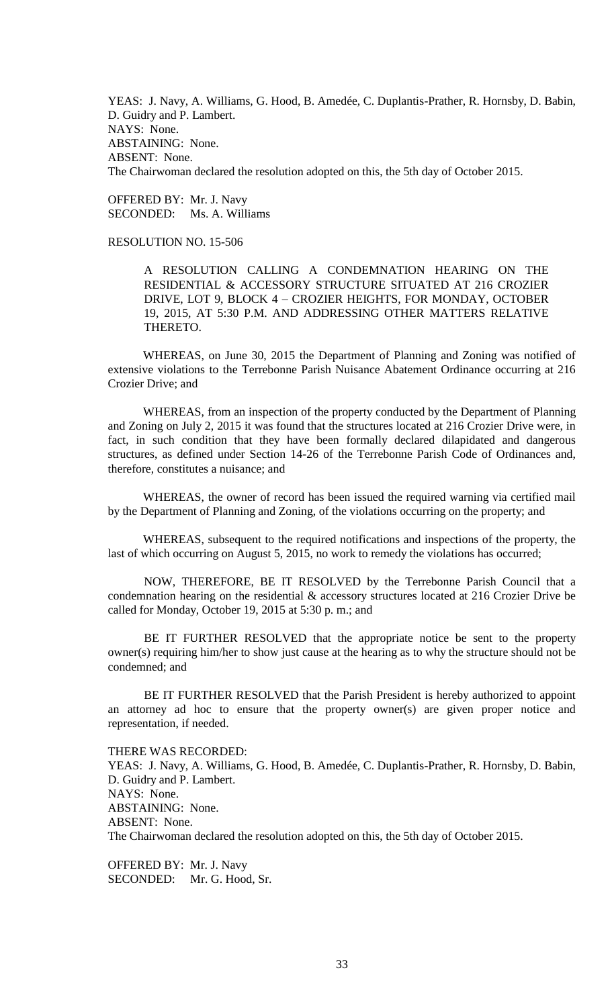YEAS: J. Navy, A. Williams, G. Hood, B. Amedée, C. Duplantis-Prather, R. Hornsby, D. Babin, D. Guidry and P. Lambert. NAYS: None. ABSTAINING: None. ABSENT: None. The Chairwoman declared the resolution adopted on this, the 5th day of October 2015.

OFFERED BY: Mr. J. Navy SECONDED: Ms. A. Williams

# RESOLUTION NO. 15-506

A RESOLUTION CALLING A CONDEMNATION HEARING ON THE RESIDENTIAL & ACCESSORY STRUCTURE SITUATED AT 216 CROZIER DRIVE, LOT 9, BLOCK 4 – CROZIER HEIGHTS, FOR MONDAY, OCTOBER 19, 2015, AT 5:30 P.M. AND ADDRESSING OTHER MATTERS RELATIVE THERETO.

WHEREAS, on June 30, 2015 the Department of Planning and Zoning was notified of extensive violations to the Terrebonne Parish Nuisance Abatement Ordinance occurring at 216 Crozier Drive; and

WHEREAS, from an inspection of the property conducted by the Department of Planning and Zoning on July 2, 2015 it was found that the structures located at 216 Crozier Drive were, in fact, in such condition that they have been formally declared dilapidated and dangerous structures, as defined under Section 14-26 of the Terrebonne Parish Code of Ordinances and, therefore, constitutes a nuisance; and

WHEREAS, the owner of record has been issued the required warning via certified mail by the Department of Planning and Zoning, of the violations occurring on the property; and

WHEREAS, subsequent to the required notifications and inspections of the property, the last of which occurring on August 5, 2015, no work to remedy the violations has occurred;

NOW, THEREFORE, BE IT RESOLVED by the Terrebonne Parish Council that a condemnation hearing on the residential & accessory structures located at 216 Crozier Drive be called for Monday, October 19, 2015 at 5:30 p. m.; and

BE IT FURTHER RESOLVED that the appropriate notice be sent to the property owner(s) requiring him/her to show just cause at the hearing as to why the structure should not be condemned; and

BE IT FURTHER RESOLVED that the Parish President is hereby authorized to appoint an attorney ad hoc to ensure that the property owner(s) are given proper notice and representation, if needed.

THERE WAS RECORDED: YEAS: J. Navy, A. Williams, G. Hood, B. Amedée, C. Duplantis-Prather, R. Hornsby, D. Babin, D. Guidry and P. Lambert. NAYS: None. ABSTAINING: None. ABSENT: None. The Chairwoman declared the resolution adopted on this, the 5th day of October 2015.

OFFERED BY: Mr. J. Navy SECONDED: Mr. G. Hood, Sr.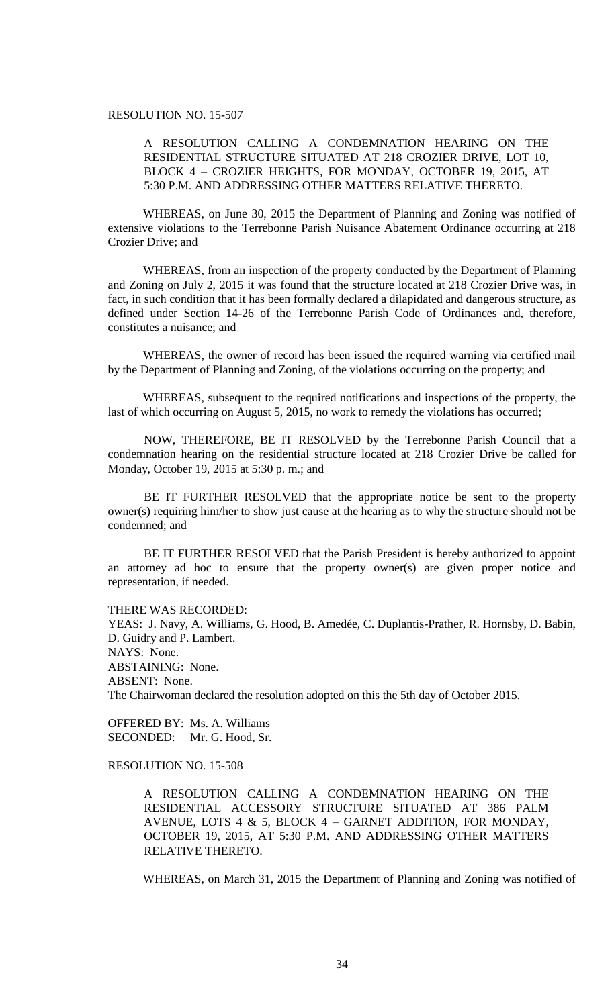# RESOLUTION NO. 15-507

# A RESOLUTION CALLING A CONDEMNATION HEARING ON THE RESIDENTIAL STRUCTURE SITUATED AT 218 CROZIER DRIVE, LOT 10, BLOCK 4 – CROZIER HEIGHTS, FOR MONDAY, OCTOBER 19, 2015, AT 5:30 P.M. AND ADDRESSING OTHER MATTERS RELATIVE THERETO.

WHEREAS, on June 30, 2015 the Department of Planning and Zoning was notified of extensive violations to the Terrebonne Parish Nuisance Abatement Ordinance occurring at 218 Crozier Drive; and

WHEREAS, from an inspection of the property conducted by the Department of Planning and Zoning on July 2, 2015 it was found that the structure located at 218 Crozier Drive was, in fact, in such condition that it has been formally declared a dilapidated and dangerous structure, as defined under Section 14-26 of the Terrebonne Parish Code of Ordinances and, therefore, constitutes a nuisance; and

WHEREAS, the owner of record has been issued the required warning via certified mail by the Department of Planning and Zoning, of the violations occurring on the property; and

WHEREAS, subsequent to the required notifications and inspections of the property, the last of which occurring on August 5, 2015, no work to remedy the violations has occurred;

NOW, THEREFORE, BE IT RESOLVED by the Terrebonne Parish Council that a condemnation hearing on the residential structure located at 218 Crozier Drive be called for Monday, October 19, 2015 at 5:30 p. m.; and

BE IT FURTHER RESOLVED that the appropriate notice be sent to the property owner(s) requiring him/her to show just cause at the hearing as to why the structure should not be condemned; and

BE IT FURTHER RESOLVED that the Parish President is hereby authorized to appoint an attorney ad hoc to ensure that the property owner(s) are given proper notice and representation, if needed.

THERE WAS RECORDED:

YEAS: J. Navy, A. Williams, G. Hood, B. Amedée, C. Duplantis-Prather, R. Hornsby, D. Babin, D. Guidry and P. Lambert. NAYS: None. ABSTAINING: None. ABSENT: None. The Chairwoman declared the resolution adopted on this the 5th day of October 2015.

OFFERED BY: Ms. A. Williams SECONDED: Mr. G. Hood, Sr.

RESOLUTION NO. 15-508

A RESOLUTION CALLING A CONDEMNATION HEARING ON THE RESIDENTIAL ACCESSORY STRUCTURE SITUATED AT 386 PALM AVENUE, LOTS 4  $&$  5, BLOCK 4 – GARNET ADDITION, FOR MONDAY, OCTOBER 19, 2015, AT 5:30 P.M. AND ADDRESSING OTHER MATTERS RELATIVE THERETO.

WHEREAS, on March 31, 2015 the Department of Planning and Zoning was notified of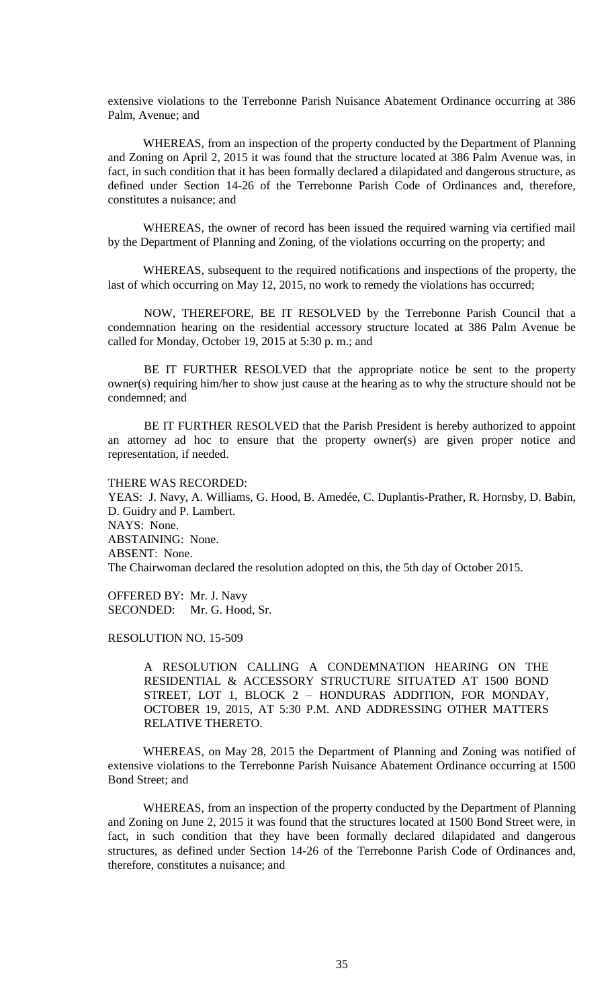extensive violations to the Terrebonne Parish Nuisance Abatement Ordinance occurring at 386 Palm, Avenue; and

WHEREAS, from an inspection of the property conducted by the Department of Planning and Zoning on April 2, 2015 it was found that the structure located at 386 Palm Avenue was, in fact, in such condition that it has been formally declared a dilapidated and dangerous structure, as defined under Section 14-26 of the Terrebonne Parish Code of Ordinances and, therefore, constitutes a nuisance; and

WHEREAS, the owner of record has been issued the required warning via certified mail by the Department of Planning and Zoning, of the violations occurring on the property; and

WHEREAS, subsequent to the required notifications and inspections of the property, the last of which occurring on May 12, 2015, no work to remedy the violations has occurred;

NOW, THEREFORE, BE IT RESOLVED by the Terrebonne Parish Council that a condemnation hearing on the residential accessory structure located at 386 Palm Avenue be called for Monday, October 19, 2015 at 5:30 p. m.; and

BE IT FURTHER RESOLVED that the appropriate notice be sent to the property owner(s) requiring him/her to show just cause at the hearing as to why the structure should not be condemned; and

BE IT FURTHER RESOLVED that the Parish President is hereby authorized to appoint an attorney ad hoc to ensure that the property owner(s) are given proper notice and representation, if needed.

THERE WAS RECORDED:

YEAS: J. Navy, A. Williams, G. Hood, B. Amedée, C. Duplantis-Prather, R. Hornsby, D. Babin, D. Guidry and P. Lambert. NAYS: None. ABSTAINING: None. ABSENT: None. The Chairwoman declared the resolution adopted on this, the 5th day of October 2015.

OFFERED BY: Mr. J. Navy SECONDED: Mr. G. Hood, Sr.

RESOLUTION NO. 15-509

A RESOLUTION CALLING A CONDEMNATION HEARING ON THE RESIDENTIAL & ACCESSORY STRUCTURE SITUATED AT 1500 BOND STREET, LOT 1, BLOCK 2 – HONDURAS ADDITION, FOR MONDAY, OCTOBER 19, 2015, AT 5:30 P.M. AND ADDRESSING OTHER MATTERS RELATIVE THERETO.

WHEREAS, on May 28, 2015 the Department of Planning and Zoning was notified of extensive violations to the Terrebonne Parish Nuisance Abatement Ordinance occurring at 1500 Bond Street; and

WHEREAS, from an inspection of the property conducted by the Department of Planning and Zoning on June 2, 2015 it was found that the structures located at 1500 Bond Street were, in fact, in such condition that they have been formally declared dilapidated and dangerous structures, as defined under Section 14-26 of the Terrebonne Parish Code of Ordinances and, therefore, constitutes a nuisance; and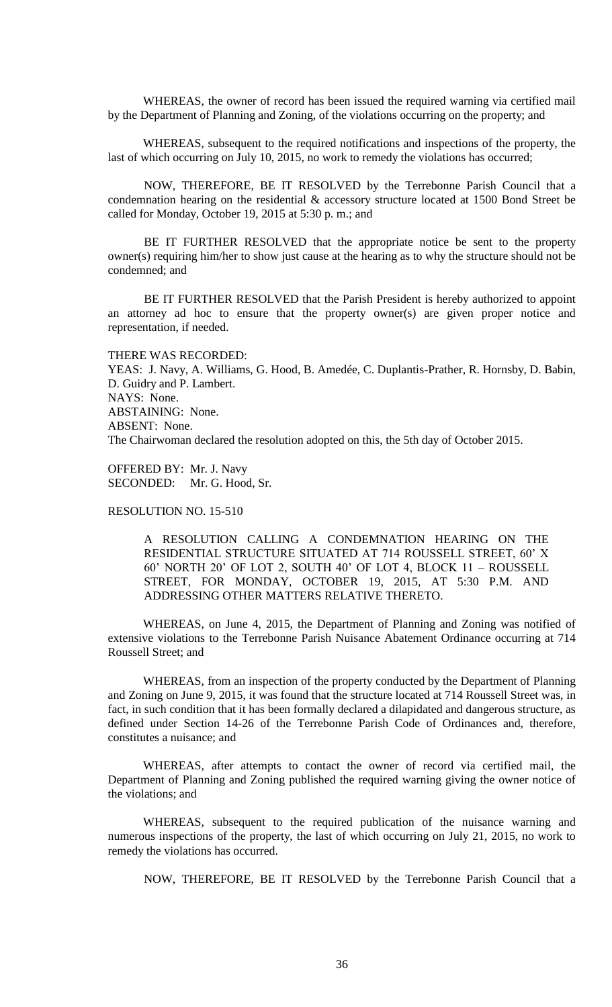WHEREAS, the owner of record has been issued the required warning via certified mail by the Department of Planning and Zoning, of the violations occurring on the property; and

WHEREAS, subsequent to the required notifications and inspections of the property, the last of which occurring on July 10, 2015, no work to remedy the violations has occurred;

NOW, THEREFORE, BE IT RESOLVED by the Terrebonne Parish Council that a condemnation hearing on the residential & accessory structure located at 1500 Bond Street be called for Monday, October 19, 2015 at 5:30 p. m.; and

BE IT FURTHER RESOLVED that the appropriate notice be sent to the property owner(s) requiring him/her to show just cause at the hearing as to why the structure should not be condemned; and

BE IT FURTHER RESOLVED that the Parish President is hereby authorized to appoint an attorney ad hoc to ensure that the property owner(s) are given proper notice and representation, if needed.

THERE WAS RECORDED: YEAS: J. Navy, A. Williams, G. Hood, B. Amedée, C. Duplantis-Prather, R. Hornsby, D. Babin, D. Guidry and P. Lambert. NAYS: None. ABSTAINING: None. ABSENT: None. The Chairwoman declared the resolution adopted on this, the 5th day of October 2015.

OFFERED BY: Mr. J. Navy SECONDED: Mr. G. Hood, Sr.

# RESOLUTION NO. 15-510

A RESOLUTION CALLING A CONDEMNATION HEARING ON THE RESIDENTIAL STRUCTURE SITUATED AT 714 ROUSSELL STREET, 60' X 60' NORTH 20' OF LOT 2, SOUTH 40' OF LOT 4, BLOCK 11 – ROUSSELL STREET, FOR MONDAY, OCTOBER 19, 2015, AT 5:30 P.M. AND ADDRESSING OTHER MATTERS RELATIVE THERETO.

WHEREAS, on June 4, 2015, the Department of Planning and Zoning was notified of extensive violations to the Terrebonne Parish Nuisance Abatement Ordinance occurring at 714 Roussell Street; and

WHEREAS, from an inspection of the property conducted by the Department of Planning and Zoning on June 9, 2015, it was found that the structure located at 714 Roussell Street was, in fact, in such condition that it has been formally declared a dilapidated and dangerous structure, as defined under Section 14-26 of the Terrebonne Parish Code of Ordinances and, therefore, constitutes a nuisance; and

WHEREAS, after attempts to contact the owner of record via certified mail, the Department of Planning and Zoning published the required warning giving the owner notice of the violations; and

WHEREAS, subsequent to the required publication of the nuisance warning and numerous inspections of the property, the last of which occurring on July 21, 2015, no work to remedy the violations has occurred.

NOW, THEREFORE, BE IT RESOLVED by the Terrebonne Parish Council that a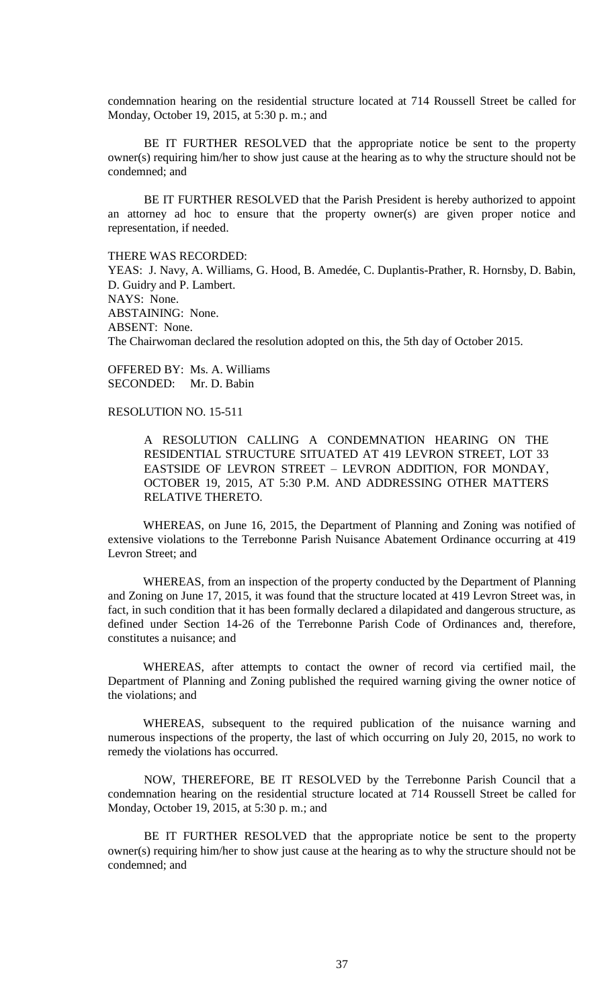condemnation hearing on the residential structure located at 714 Roussell Street be called for Monday, October 19, 2015, at 5:30 p. m.; and

BE IT FURTHER RESOLVED that the appropriate notice be sent to the property owner(s) requiring him/her to show just cause at the hearing as to why the structure should not be condemned; and

BE IT FURTHER RESOLVED that the Parish President is hereby authorized to appoint an attorney ad hoc to ensure that the property owner(s) are given proper notice and representation, if needed.

THERE WAS RECORDED:

YEAS: J. Navy, A. Williams, G. Hood, B. Amedée, C. Duplantis-Prather, R. Hornsby, D. Babin, D. Guidry and P. Lambert. NAYS: None. ABSTAINING: None. ABSENT: None. The Chairwoman declared the resolution adopted on this, the 5th day of October 2015.

OFFERED BY: Ms. A. Williams SECONDED: Mr. D. Babin

### RESOLUTION NO. 15-511

A RESOLUTION CALLING A CONDEMNATION HEARING ON THE RESIDENTIAL STRUCTURE SITUATED AT 419 LEVRON STREET, LOT 33 EASTSIDE OF LEVRON STREET – LEVRON ADDITION, FOR MONDAY, OCTOBER 19, 2015, AT 5:30 P.M. AND ADDRESSING OTHER MATTERS RELATIVE THERETO.

WHEREAS, on June 16, 2015, the Department of Planning and Zoning was notified of extensive violations to the Terrebonne Parish Nuisance Abatement Ordinance occurring at 419 Levron Street; and

WHEREAS, from an inspection of the property conducted by the Department of Planning and Zoning on June 17, 2015, it was found that the structure located at 419 Levron Street was, in fact, in such condition that it has been formally declared a dilapidated and dangerous structure, as defined under Section 14-26 of the Terrebonne Parish Code of Ordinances and, therefore, constitutes a nuisance; and

WHEREAS, after attempts to contact the owner of record via certified mail, the Department of Planning and Zoning published the required warning giving the owner notice of the violations; and

WHEREAS, subsequent to the required publication of the nuisance warning and numerous inspections of the property, the last of which occurring on July 20, 2015, no work to remedy the violations has occurred.

NOW, THEREFORE, BE IT RESOLVED by the Terrebonne Parish Council that a condemnation hearing on the residential structure located at 714 Roussell Street be called for Monday, October 19, 2015, at 5:30 p. m.; and

BE IT FURTHER RESOLVED that the appropriate notice be sent to the property owner(s) requiring him/her to show just cause at the hearing as to why the structure should not be condemned; and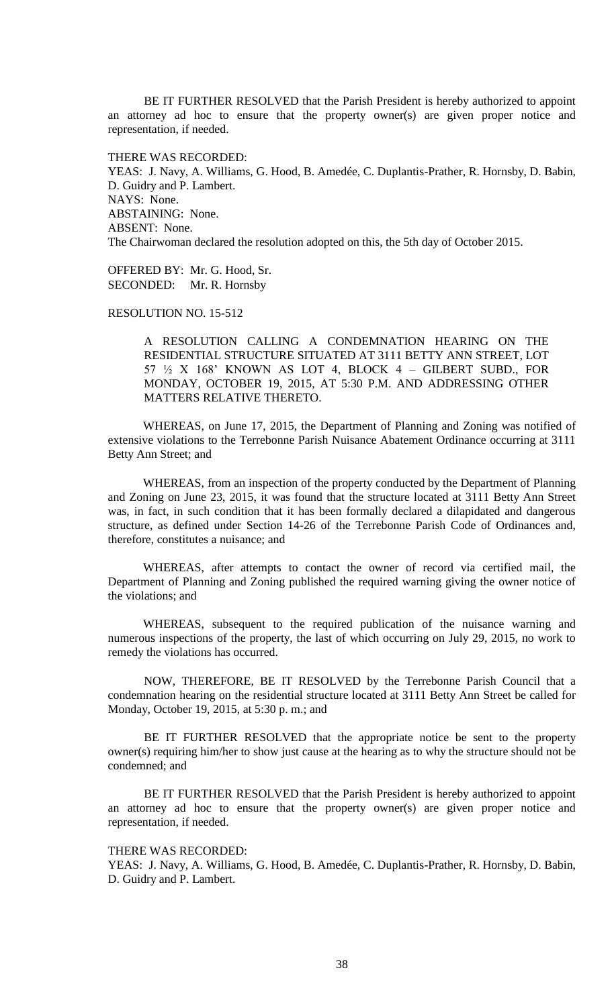BE IT FURTHER RESOLVED that the Parish President is hereby authorized to appoint an attorney ad hoc to ensure that the property owner(s) are given proper notice and representation, if needed.

THERE WAS RECORDED:

YEAS: J. Navy, A. Williams, G. Hood, B. Amedée, C. Duplantis-Prather, R. Hornsby, D. Babin, D. Guidry and P. Lambert. NAYS: None. ABSTAINING: None. ABSENT: None. The Chairwoman declared the resolution adopted on this, the 5th day of October 2015.

OFFERED BY: Mr. G. Hood, Sr. SECONDED: Mr. R. Hornsby

RESOLUTION NO. 15-512

A RESOLUTION CALLING A CONDEMNATION HEARING ON THE RESIDENTIAL STRUCTURE SITUATED AT 3111 BETTY ANN STREET, LOT 57 ½ X 168' KNOWN AS LOT 4, BLOCK 4 – GILBERT SUBD., FOR MONDAY, OCTOBER 19, 2015, AT 5:30 P.M. AND ADDRESSING OTHER MATTERS RELATIVE THERETO.

WHEREAS, on June 17, 2015, the Department of Planning and Zoning was notified of extensive violations to the Terrebonne Parish Nuisance Abatement Ordinance occurring at 3111 Betty Ann Street; and

WHEREAS, from an inspection of the property conducted by the Department of Planning and Zoning on June 23, 2015, it was found that the structure located at 3111 Betty Ann Street was, in fact, in such condition that it has been formally declared a dilapidated and dangerous structure, as defined under Section 14-26 of the Terrebonne Parish Code of Ordinances and, therefore, constitutes a nuisance; and

WHEREAS, after attempts to contact the owner of record via certified mail, the Department of Planning and Zoning published the required warning giving the owner notice of the violations; and

WHEREAS, subsequent to the required publication of the nuisance warning and numerous inspections of the property, the last of which occurring on July 29, 2015, no work to remedy the violations has occurred.

NOW, THEREFORE, BE IT RESOLVED by the Terrebonne Parish Council that a condemnation hearing on the residential structure located at 3111 Betty Ann Street be called for Monday, October 19, 2015, at 5:30 p. m.; and

BE IT FURTHER RESOLVED that the appropriate notice be sent to the property owner(s) requiring him/her to show just cause at the hearing as to why the structure should not be condemned; and

BE IT FURTHER RESOLVED that the Parish President is hereby authorized to appoint an attorney ad hoc to ensure that the property owner(s) are given proper notice and representation, if needed.

# THERE WAS RECORDED:

YEAS: J. Navy, A. Williams, G. Hood, B. Amedée, C. Duplantis-Prather, R. Hornsby, D. Babin, D. Guidry and P. Lambert.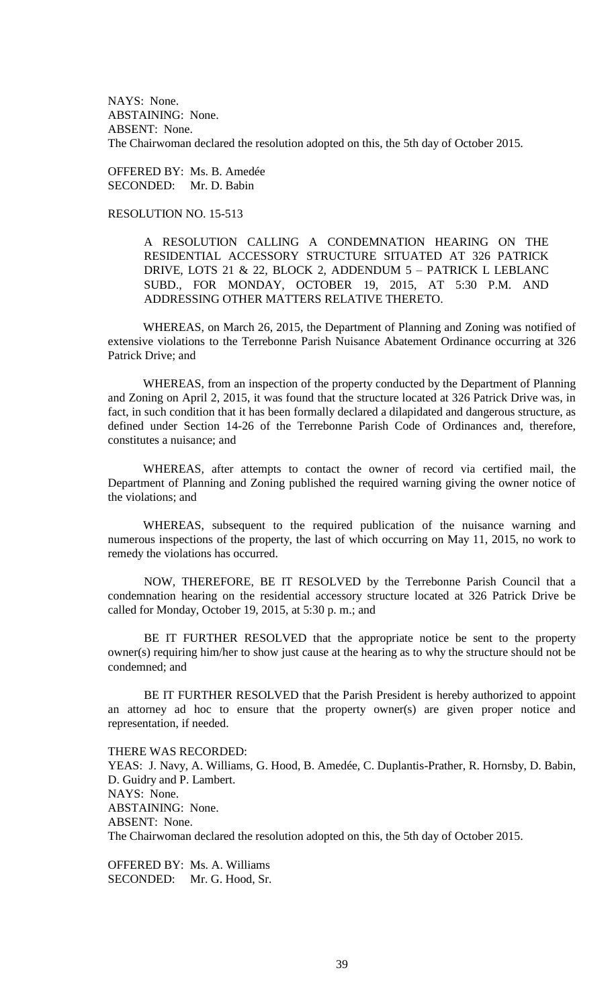NAYS: None. ABSTAINING: None. ABSENT: None. The Chairwoman declared the resolution adopted on this, the 5th day of October 2015.

OFFERED BY: Ms. B. Amedée SECONDED: Mr. D. Babin

RESOLUTION NO. 15-513

A RESOLUTION CALLING A CONDEMNATION HEARING ON THE RESIDENTIAL ACCESSORY STRUCTURE SITUATED AT 326 PATRICK DRIVE, LOTS 21 & 22, BLOCK 2, ADDENDUM 5 – PATRICK L LEBLANC SUBD., FOR MONDAY, OCTOBER 19, 2015, AT 5:30 P.M. AND ADDRESSING OTHER MATTERS RELATIVE THERETO.

WHEREAS, on March 26, 2015, the Department of Planning and Zoning was notified of extensive violations to the Terrebonne Parish Nuisance Abatement Ordinance occurring at 326 Patrick Drive; and

WHEREAS, from an inspection of the property conducted by the Department of Planning and Zoning on April 2, 2015, it was found that the structure located at 326 Patrick Drive was, in fact, in such condition that it has been formally declared a dilapidated and dangerous structure, as defined under Section 14-26 of the Terrebonne Parish Code of Ordinances and, therefore, constitutes a nuisance; and

WHEREAS, after attempts to contact the owner of record via certified mail, the Department of Planning and Zoning published the required warning giving the owner notice of the violations; and

WHEREAS, subsequent to the required publication of the nuisance warning and numerous inspections of the property, the last of which occurring on May 11, 2015, no work to remedy the violations has occurred.

NOW, THEREFORE, BE IT RESOLVED by the Terrebonne Parish Council that a condemnation hearing on the residential accessory structure located at 326 Patrick Drive be called for Monday, October 19, 2015, at 5:30 p. m.; and

BE IT FURTHER RESOLVED that the appropriate notice be sent to the property owner(s) requiring him/her to show just cause at the hearing as to why the structure should not be condemned; and

BE IT FURTHER RESOLVED that the Parish President is hereby authorized to appoint an attorney ad hoc to ensure that the property owner(s) are given proper notice and representation, if needed.

THERE WAS RECORDED: YEAS: J. Navy, A. Williams, G. Hood, B. Amedée, C. Duplantis-Prather, R. Hornsby, D. Babin, D. Guidry and P. Lambert. NAYS: None. ABSTAINING: None. ABSENT: None. The Chairwoman declared the resolution adopted on this, the 5th day of October 2015.

OFFERED BY: Ms. A. Williams SECONDED: Mr. G. Hood, Sr.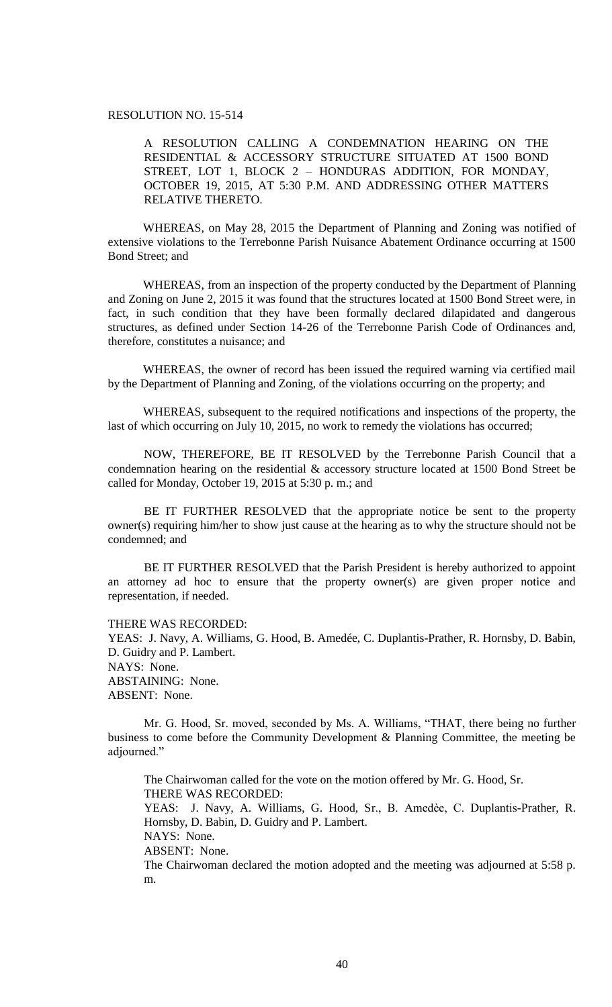# RESOLUTION NO. 15-514

A RESOLUTION CALLING A CONDEMNATION HEARING ON THE RESIDENTIAL & ACCESSORY STRUCTURE SITUATED AT 1500 BOND STREET, LOT 1, BLOCK 2 – HONDURAS ADDITION, FOR MONDAY, OCTOBER 19, 2015, AT 5:30 P.M. AND ADDRESSING OTHER MATTERS RELATIVE THERETO.

WHEREAS, on May 28, 2015 the Department of Planning and Zoning was notified of extensive violations to the Terrebonne Parish Nuisance Abatement Ordinance occurring at 1500 Bond Street; and

WHEREAS, from an inspection of the property conducted by the Department of Planning and Zoning on June 2, 2015 it was found that the structures located at 1500 Bond Street were, in fact, in such condition that they have been formally declared dilapidated and dangerous structures, as defined under Section 14-26 of the Terrebonne Parish Code of Ordinances and, therefore, constitutes a nuisance; and

WHEREAS, the owner of record has been issued the required warning via certified mail by the Department of Planning and Zoning, of the violations occurring on the property; and

WHEREAS, subsequent to the required notifications and inspections of the property, the last of which occurring on July 10, 2015, no work to remedy the violations has occurred;

NOW, THEREFORE, BE IT RESOLVED by the Terrebonne Parish Council that a condemnation hearing on the residential & accessory structure located at 1500 Bond Street be called for Monday, October 19, 2015 at 5:30 p. m.; and

BE IT FURTHER RESOLVED that the appropriate notice be sent to the property owner(s) requiring him/her to show just cause at the hearing as to why the structure should not be condemned; and

BE IT FURTHER RESOLVED that the Parish President is hereby authorized to appoint an attorney ad hoc to ensure that the property owner(s) are given proper notice and representation, if needed.

THERE WAS RECORDED:

YEAS: J. Navy, A. Williams, G. Hood, B. Amedée, C. Duplantis-Prather, R. Hornsby, D. Babin, D. Guidry and P. Lambert. NAYS: None. ABSTAINING: None. ABSENT: None.

Mr. G. Hood, Sr. moved, seconded by Ms. A. Williams, "THAT, there being no further business to come before the Community Development & Planning Committee, the meeting be adjourned."

The Chairwoman called for the vote on the motion offered by Mr. G. Hood, Sr. THERE WAS RECORDED: YEAS: J. Navy, A. Williams, G. Hood, Sr., B. Amedèe, C. Duplantis-Prather, R. Hornsby, D. Babin, D. Guidry and P. Lambert. NAYS: None. ABSENT: None. The Chairwoman declared the motion adopted and the meeting was adjourned at 5:58 p. m.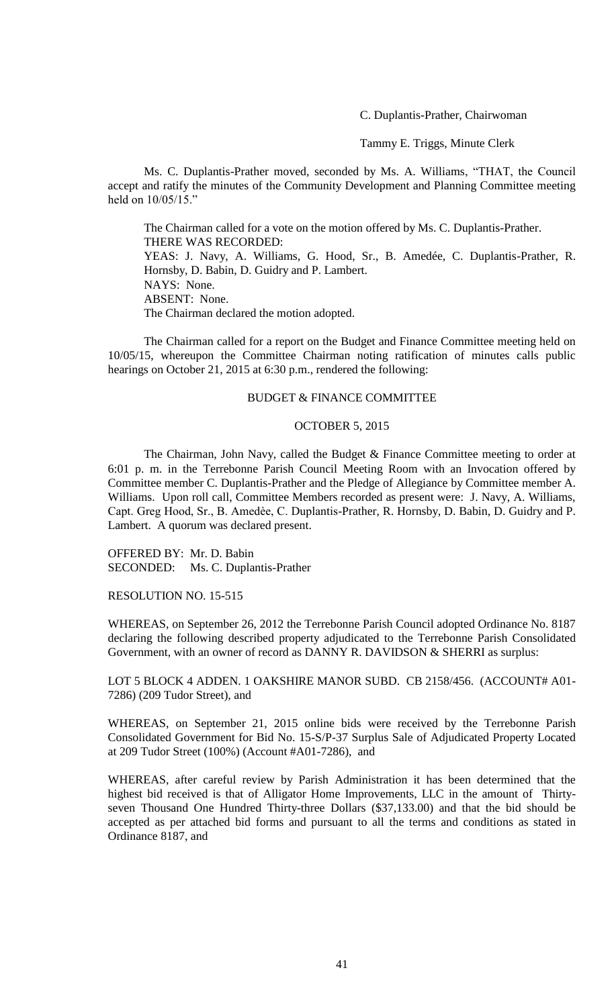C. Duplantis-Prather, Chairwoman

Tammy E. Triggs, Minute Clerk

Ms. C. Duplantis-Prather moved, seconded by Ms. A. Williams, "THAT, the Council accept and ratify the minutes of the Community Development and Planning Committee meeting held on 10/05/15."

The Chairman called for a vote on the motion offered by Ms. C. Duplantis-Prather. THERE WAS RECORDED: YEAS: J. Navy, A. Williams, G. Hood, Sr., B. Amedée, C. Duplantis-Prather, R. Hornsby, D. Babin, D. Guidry and P. Lambert. NAYS: None. ABSENT: None. The Chairman declared the motion adopted.

The Chairman called for a report on the Budget and Finance Committee meeting held on 10/05/15, whereupon the Committee Chairman noting ratification of minutes calls public hearings on October 21, 2015 at 6:30 p.m., rendered the following:

### BUDGET & FINANCE COMMITTEE

#### OCTOBER 5, 2015

The Chairman, John Navy, called the Budget & Finance Committee meeting to order at 6:01 p. m. in the Terrebonne Parish Council Meeting Room with an Invocation offered by Committee member C. Duplantis-Prather and the Pledge of Allegiance by Committee member A. Williams. Upon roll call, Committee Members recorded as present were: J. Navy, A. Williams, Capt. Greg Hood, Sr., B. Amedѐe, C. Duplantis-Prather, R. Hornsby, D. Babin, D. Guidry and P. Lambert. A quorum was declared present.

OFFERED BY: Mr. D. Babin SECONDED: Ms. C. Duplantis-Prather

RESOLUTION NO. 15-515

WHEREAS, on September 26, 2012 the Terrebonne Parish Council adopted Ordinance No. 8187 declaring the following described property adjudicated to the Terrebonne Parish Consolidated Government, with an owner of record as DANNY R. DAVIDSON & SHERRI as surplus:

LOT 5 BLOCK 4 ADDEN. 1 OAKSHIRE MANOR SUBD. CB 2158/456. (ACCOUNT# A01- 7286) (209 Tudor Street), and

WHEREAS, on September 21, 2015 online bids were received by the Terrebonne Parish Consolidated Government for Bid No. 15-S/P-37 Surplus Sale of Adjudicated Property Located at 209 Tudor Street (100%) (Account #A01-7286), and

WHEREAS, after careful review by Parish Administration it has been determined that the highest bid received is that of Alligator Home Improvements, LLC in the amount of Thirtyseven Thousand One Hundred Thirty-three Dollars (\$37,133.00) and that the bid should be accepted as per attached bid forms and pursuant to all the terms and conditions as stated in Ordinance 8187, and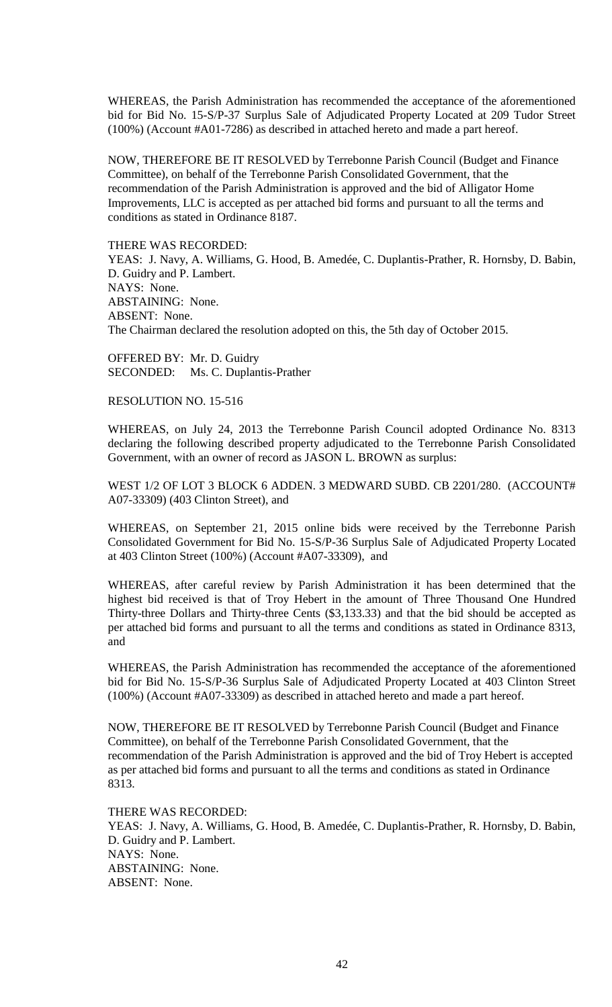WHEREAS, the Parish Administration has recommended the acceptance of the aforementioned bid for Bid No. 15-S/P-37 Surplus Sale of Adjudicated Property Located at 209 Tudor Street (100%) (Account #A01-7286) as described in attached hereto and made a part hereof.

NOW, THEREFORE BE IT RESOLVED by Terrebonne Parish Council (Budget and Finance Committee), on behalf of the Terrebonne Parish Consolidated Government, that the recommendation of the Parish Administration is approved and the bid of Alligator Home Improvements, LLC is accepted as per attached bid forms and pursuant to all the terms and conditions as stated in Ordinance 8187.

THERE WAS RECORDED:

YEAS: J. Navy, A. Williams, G. Hood, B. Amedée, C. Duplantis-Prather, R. Hornsby, D. Babin, D. Guidry and P. Lambert. NAYS: None. ABSTAINING: None. ABSENT: None. The Chairman declared the resolution adopted on this, the 5th day of October 2015.

OFFERED BY: Mr. D. Guidry SECONDED: Ms. C. Duplantis-Prather

RESOLUTION NO. 15-516

WHEREAS, on July 24, 2013 the Terrebonne Parish Council adopted Ordinance No. 8313 declaring the following described property adjudicated to the Terrebonne Parish Consolidated Government, with an owner of record as JASON L. BROWN as surplus:

WEST 1/2 OF LOT 3 BLOCK 6 ADDEN. 3 MEDWARD SUBD. CB 2201/280. (ACCOUNT# A07-33309) (403 Clinton Street), and

WHEREAS, on September 21, 2015 online bids were received by the Terrebonne Parish Consolidated Government for Bid No. 15-S/P-36 Surplus Sale of Adjudicated Property Located at 403 Clinton Street (100%) (Account #A07-33309), and

WHEREAS, after careful review by Parish Administration it has been determined that the highest bid received is that of Troy Hebert in the amount of Three Thousand One Hundred Thirty-three Dollars and Thirty-three Cents (\$3,133.33) and that the bid should be accepted as per attached bid forms and pursuant to all the terms and conditions as stated in Ordinance 8313, and

WHEREAS, the Parish Administration has recommended the acceptance of the aforementioned bid for Bid No. 15-S/P-36 Surplus Sale of Adjudicated Property Located at 403 Clinton Street (100%) (Account #A07-33309) as described in attached hereto and made a part hereof.

NOW, THEREFORE BE IT RESOLVED by Terrebonne Parish Council (Budget and Finance Committee), on behalf of the Terrebonne Parish Consolidated Government, that the recommendation of the Parish Administration is approved and the bid of Troy Hebert is accepted as per attached bid forms and pursuant to all the terms and conditions as stated in Ordinance 8313.

THERE WAS RECORDED:

YEAS: J. Navy, A. Williams, G. Hood, B. Amedée, C. Duplantis-Prather, R. Hornsby, D. Babin, D. Guidry and P. Lambert. NAYS: None. ABSTAINING: None. ABSENT: None.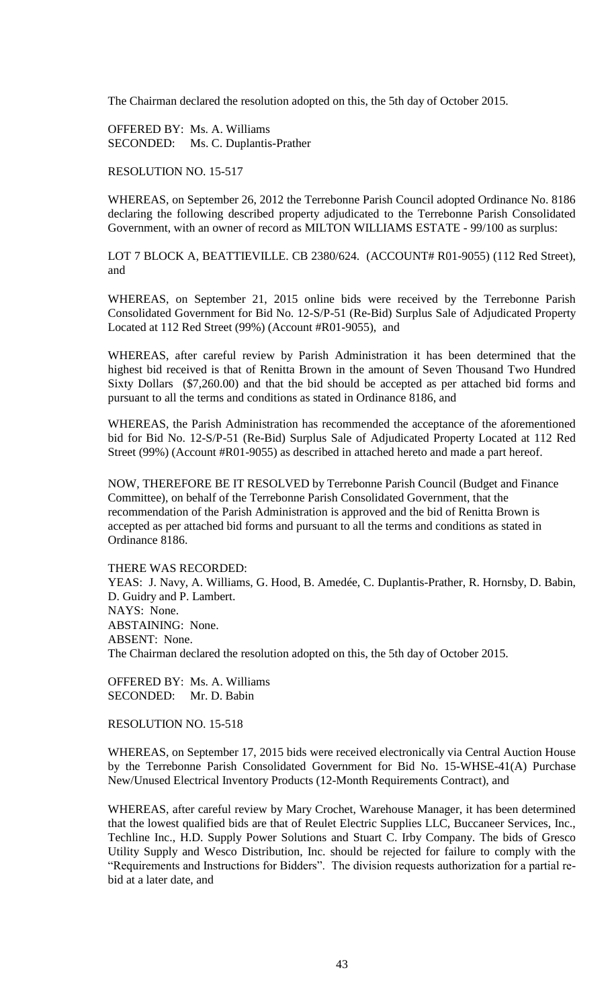The Chairman declared the resolution adopted on this, the 5th day of October 2015.

OFFERED BY: Ms. A. Williams SECONDED: Ms. C. Duplantis-Prather

RESOLUTION NO. 15-517

WHEREAS, on September 26, 2012 the Terrebonne Parish Council adopted Ordinance No. 8186 declaring the following described property adjudicated to the Terrebonne Parish Consolidated Government, with an owner of record as MILTON WILLIAMS ESTATE - 99/100 as surplus:

LOT 7 BLOCK A, BEATTIEVILLE. CB 2380/624. (ACCOUNT# R01-9055) (112 Red Street), and

WHEREAS, on September 21, 2015 online bids were received by the Terrebonne Parish Consolidated Government for Bid No. 12-S/P-51 (Re-Bid) Surplus Sale of Adjudicated Property Located at 112 Red Street (99%) (Account #R01-9055), and

WHEREAS, after careful review by Parish Administration it has been determined that the highest bid received is that of Renitta Brown in the amount of Seven Thousand Two Hundred Sixty Dollars (\$7,260.00) and that the bid should be accepted as per attached bid forms and pursuant to all the terms and conditions as stated in Ordinance 8186, and

WHEREAS, the Parish Administration has recommended the acceptance of the aforementioned bid for Bid No. 12-S/P-51 (Re-Bid) Surplus Sale of Adjudicated Property Located at 112 Red Street (99%) (Account #R01-9055) as described in attached hereto and made a part hereof.

NOW, THEREFORE BE IT RESOLVED by Terrebonne Parish Council (Budget and Finance Committee), on behalf of the Terrebonne Parish Consolidated Government, that the recommendation of the Parish Administration is approved and the bid of Renitta Brown is accepted as per attached bid forms and pursuant to all the terms and conditions as stated in Ordinance 8186.

THERE WAS RECORDED:

YEAS: J. Navy, A. Williams, G. Hood, B. Amedée, C. Duplantis-Prather, R. Hornsby, D. Babin, D. Guidry and P. Lambert. NAYS: None. ABSTAINING: None. ABSENT: None. The Chairman declared the resolution adopted on this, the 5th day of October 2015.

OFFERED BY: Ms. A. Williams SECONDED: Mr. D. Babin

RESOLUTION NO. 15-518

WHEREAS, on September 17, 2015 bids were received electronically via Central Auction House by the Terrebonne Parish Consolidated Government for Bid No. 15-WHSE-41(A) Purchase New/Unused Electrical Inventory Products (12-Month Requirements Contract), and

WHEREAS, after careful review by Mary Crochet, Warehouse Manager, it has been determined that the lowest qualified bids are that of Reulet Electric Supplies LLC, Buccaneer Services, Inc., Techline Inc., H.D. Supply Power Solutions and Stuart C. Irby Company. The bids of Gresco Utility Supply and Wesco Distribution, Inc. should be rejected for failure to comply with the "Requirements and Instructions for Bidders". The division requests authorization for a partial rebid at a later date, and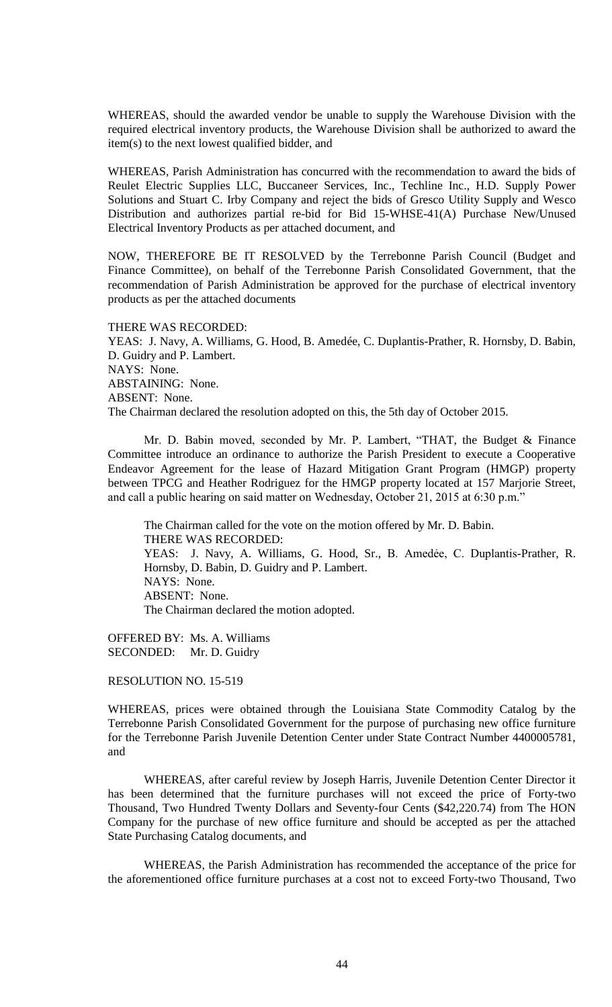WHEREAS, should the awarded vendor be unable to supply the Warehouse Division with the required electrical inventory products, the Warehouse Division shall be authorized to award the item(s) to the next lowest qualified bidder, and

WHEREAS, Parish Administration has concurred with the recommendation to award the bids of Reulet Electric Supplies LLC, Buccaneer Services, Inc., Techline Inc., H.D. Supply Power Solutions and Stuart C. Irby Company and reject the bids of Gresco Utility Supply and Wesco Distribution and authorizes partial re-bid for Bid 15-WHSE-41(A) Purchase New/Unused Electrical Inventory Products as per attached document, and

NOW, THEREFORE BE IT RESOLVED by the Terrebonne Parish Council (Budget and Finance Committee), on behalf of the Terrebonne Parish Consolidated Government, that the recommendation of Parish Administration be approved for the purchase of electrical inventory products as per the attached documents

### THERE WAS RECORDED:

YEAS: J. Navy, A. Williams, G. Hood, B. Amedée, C. Duplantis-Prather, R. Hornsby, D. Babin, D. Guidry and P. Lambert. NAYS: None. ABSTAINING: None. ABSENT: None. The Chairman declared the resolution adopted on this, the 5th day of October 2015.

Mr. D. Babin moved, seconded by Mr. P. Lambert, "THAT, the Budget & Finance Committee introduce an ordinance to authorize the Parish President to execute a Cooperative Endeavor Agreement for the lease of Hazard Mitigation Grant Program (HMGP) property between TPCG and Heather Rodriguez for the HMGP property located at 157 Marjorie Street, and call a public hearing on said matter on Wednesday, October 21, 2015 at 6:30 p.m."

The Chairman called for the vote on the motion offered by Mr. D. Babin. THERE WAS RECORDED: YEAS: J. Navy, A. Williams, G. Hood, Sr., B. Amedėe, C. Duplantis-Prather, R. Hornsby, D. Babin, D. Guidry and P. Lambert. NAYS: None. ABSENT: None. The Chairman declared the motion adopted.

OFFERED BY: Ms. A. Williams SECONDED: Mr. D. Guidry

RESOLUTION NO. 15-519

WHEREAS, prices were obtained through the Louisiana State Commodity Catalog by the Terrebonne Parish Consolidated Government for the purpose of purchasing new office furniture for the Terrebonne Parish Juvenile Detention Center under State Contract Number 4400005781, and

WHEREAS, after careful review by Joseph Harris, Juvenile Detention Center Director it has been determined that the furniture purchases will not exceed the price of Forty-two Thousand, Two Hundred Twenty Dollars and Seventy-four Cents (\$42,220.74) from The HON Company for the purchase of new office furniture and should be accepted as per the attached State Purchasing Catalog documents, and

WHEREAS, the Parish Administration has recommended the acceptance of the price for the aforementioned office furniture purchases at a cost not to exceed Forty-two Thousand, Two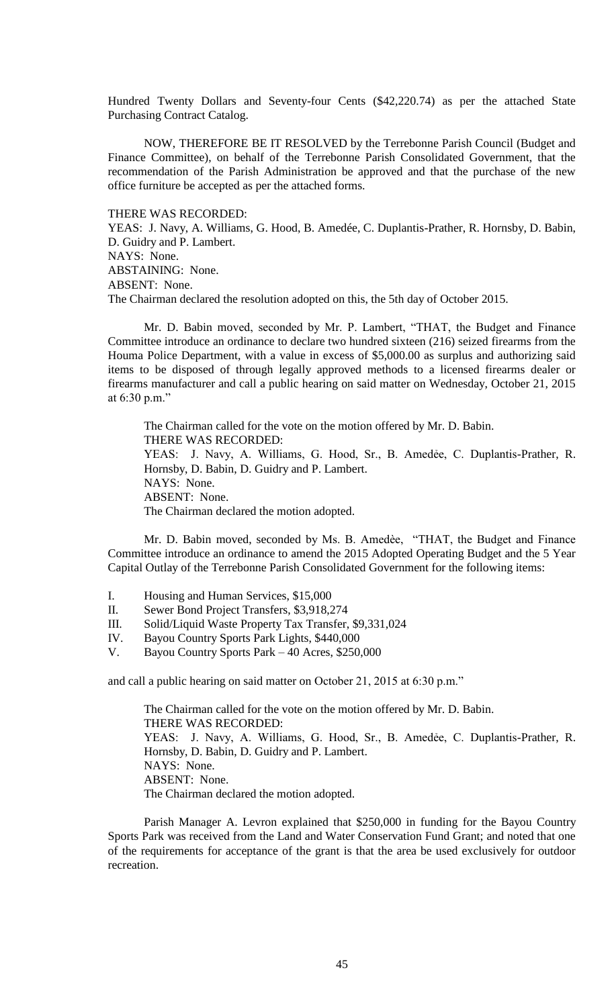Hundred Twenty Dollars and Seventy-four Cents (\$42,220.74) as per the attached State Purchasing Contract Catalog.

NOW, THEREFORE BE IT RESOLVED by the Terrebonne Parish Council (Budget and Finance Committee), on behalf of the Terrebonne Parish Consolidated Government, that the recommendation of the Parish Administration be approved and that the purchase of the new office furniture be accepted as per the attached forms.

THERE WAS RECORDED:

YEAS: J. Navy, A. Williams, G. Hood, B. Amedée, C. Duplantis-Prather, R. Hornsby, D. Babin, D. Guidry and P. Lambert.

NAYS: None.

ABSTAINING: None.

ABSENT: None.

The Chairman declared the resolution adopted on this, the 5th day of October 2015.

Mr. D. Babin moved, seconded by Mr. P. Lambert, "THAT, the Budget and Finance Committee introduce an ordinance to declare two hundred sixteen (216) seized firearms from the Houma Police Department, with a value in excess of \$5,000.00 as surplus and authorizing said items to be disposed of through legally approved methods to a licensed firearms dealer or firearms manufacturer and call a public hearing on said matter on Wednesday, October 21, 2015 at 6:30 p.m."

The Chairman called for the vote on the motion offered by Mr. D. Babin. THERE WAS RECORDED: YEAS: J. Navy, A. Williams, G. Hood, Sr., B. Amedée, C. Duplantis-Prather, R. Hornsby, D. Babin, D. Guidry and P. Lambert. NAYS: None. ABSENT: None. The Chairman declared the motion adopted.

Mr. D. Babin moved, seconded by Ms. B. Amedèe, "THAT, the Budget and Finance Committee introduce an ordinance to amend the 2015 Adopted Operating Budget and the 5 Year Capital Outlay of the Terrebonne Parish Consolidated Government for the following items:

- I. Housing and Human Services, \$15,000
- II. Sewer Bond Project Transfers, \$3,918,274
- III. Solid/Liquid Waste Property Tax Transfer, \$9,331,024
- IV. Bayou Country Sports Park Lights, \$440,000
- V. Bayou Country Sports Park 40 Acres, \$250,000

and call a public hearing on said matter on October 21, 2015 at 6:30 p.m."

The Chairman called for the vote on the motion offered by Mr. D. Babin. THERE WAS RECORDED: YEAS: J. Navy, A. Williams, G. Hood, Sr., B. Amedėe, C. Duplantis-Prather, R. Hornsby, D. Babin, D. Guidry and P. Lambert. NAYS: None. ABSENT: None. The Chairman declared the motion adopted.

Parish Manager A. Levron explained that \$250,000 in funding for the Bayou Country Sports Park was received from the Land and Water Conservation Fund Grant; and noted that one of the requirements for acceptance of the grant is that the area be used exclusively for outdoor recreation.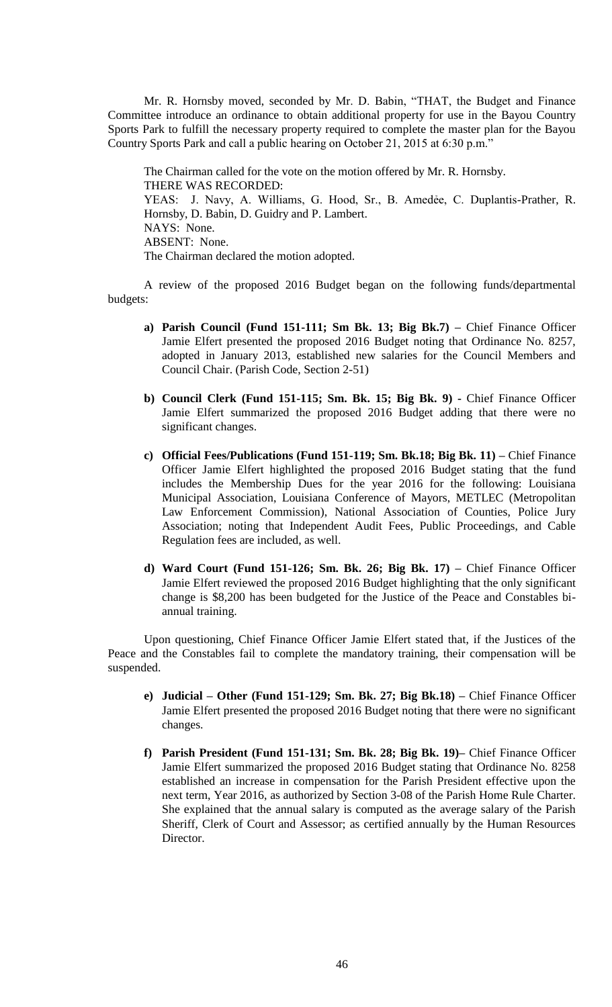Mr. R. Hornsby moved, seconded by Mr. D. Babin, "THAT, the Budget and Finance Committee introduce an ordinance to obtain additional property for use in the Bayou Country Sports Park to fulfill the necessary property required to complete the master plan for the Bayou Country Sports Park and call a public hearing on October 21, 2015 at 6:30 p.m."

The Chairman called for the vote on the motion offered by Mr. R. Hornsby. THERE WAS RECORDED: YEAS: J. Navy, A. Williams, G. Hood, Sr., B. Amedėe, C. Duplantis-Prather, R. Hornsby, D. Babin, D. Guidry and P. Lambert. NAYS: None. ABSENT: None. The Chairman declared the motion adopted.

A review of the proposed 2016 Budget began on the following funds/departmental budgets:

- **a) Parish Council (Fund 151-111; Sm Bk. 13; Big Bk.7) –** Chief Finance Officer Jamie Elfert presented the proposed 2016 Budget noting that Ordinance No. 8257, adopted in January 2013, established new salaries for the Council Members and Council Chair. (Parish Code, Section 2-51)
- **b) Council Clerk (Fund 151-115; Sm. Bk. 15; Big Bk. 9) -** Chief Finance Officer Jamie Elfert summarized the proposed 2016 Budget adding that there were no significant changes.
- **c) Official Fees/Publications (Fund 151-119; Sm. Bk.18; Big Bk. 11) –** Chief Finance Officer Jamie Elfert highlighted the proposed 2016 Budget stating that the fund includes the Membership Dues for the year 2016 for the following: Louisiana Municipal Association, Louisiana Conference of Mayors, METLEC (Metropolitan Law Enforcement Commission), National Association of Counties, Police Jury Association; noting that Independent Audit Fees, Public Proceedings, and Cable Regulation fees are included, as well.
- **d) Ward Court (Fund 151-126; Sm. Bk. 26; Big Bk. 17) –** Chief Finance Officer Jamie Elfert reviewed the proposed 2016 Budget highlighting that the only significant change is \$8,200 has been budgeted for the Justice of the Peace and Constables biannual training.

Upon questioning, Chief Finance Officer Jamie Elfert stated that, if the Justices of the Peace and the Constables fail to complete the mandatory training, their compensation will be suspended.

- **e) Judicial – Other (Fund 151-129; Sm. Bk. 27; Big Bk.18) –** Chief Finance Officer Jamie Elfert presented the proposed 2016 Budget noting that there were no significant changes.
- **f) Parish President (Fund 151-131; Sm. Bk. 28; Big Bk. 19)–** Chief Finance Officer Jamie Elfert summarized the proposed 2016 Budget stating that Ordinance No. 8258 established an increase in compensation for the Parish President effective upon the next term, Year 2016, as authorized by Section 3-08 of the Parish Home Rule Charter. She explained that the annual salary is computed as the average salary of the Parish Sheriff, Clerk of Court and Assessor; as certified annually by the Human Resources Director.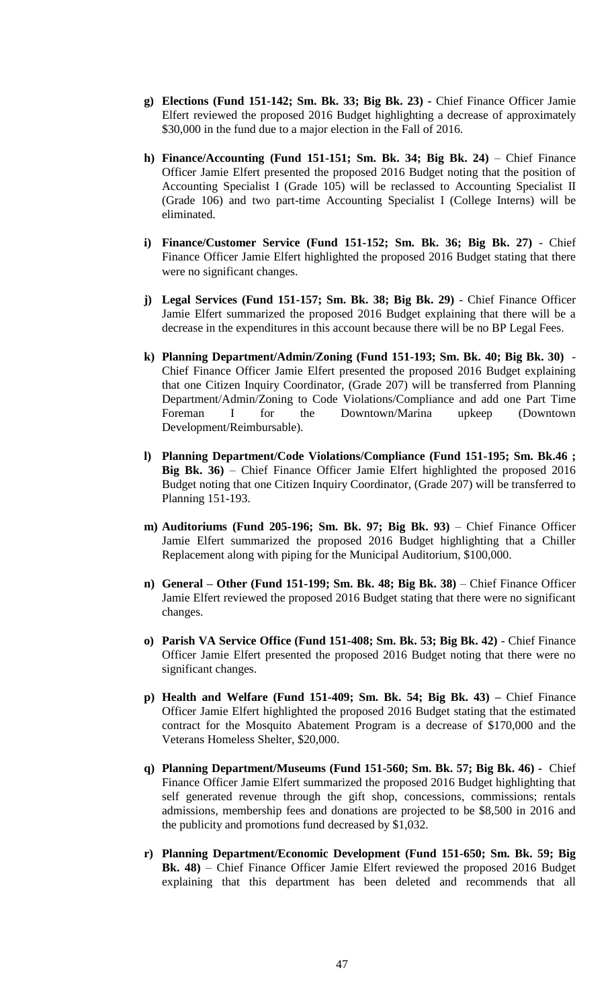- **g) Elections (Fund 151-142; Sm. Bk. 33; Big Bk. 23) -** Chief Finance Officer Jamie Elfert reviewed the proposed 2016 Budget highlighting a decrease of approximately \$30,000 in the fund due to a major election in the Fall of 2016.
- **h) Finance/Accounting (Fund 151-151; Sm. Bk. 34; Big Bk. 24)** Chief Finance Officer Jamie Elfert presented the proposed 2016 Budget noting that the position of Accounting Specialist I (Grade 105) will be reclassed to Accounting Specialist II (Grade 106) and two part-time Accounting Specialist I (College Interns) will be eliminated.
- **i) Finance/Customer Service (Fund 151-152; Sm. Bk. 36; Big Bk. 27)**  Chief Finance Officer Jamie Elfert highlighted the proposed 2016 Budget stating that there were no significant changes.
- **j) Legal Services (Fund 151-157; Sm. Bk. 38; Big Bk. 29)**  Chief Finance Officer Jamie Elfert summarized the proposed 2016 Budget explaining that there will be a decrease in the expenditures in this account because there will be no BP Legal Fees.
- **k) Planning Department/Admin/Zoning (Fund 151-193; Sm. Bk. 40; Big Bk. 30)**  Chief Finance Officer Jamie Elfert presented the proposed 2016 Budget explaining that one Citizen Inquiry Coordinator, (Grade 207) will be transferred from Planning Department/Admin/Zoning to Code Violations/Compliance and add one Part Time Foreman I for the Downtown/Marina upkeep (Downtown Development/Reimbursable).
- **l) Planning Department/Code Violations/Compliance (Fund 151-195; Sm. Bk.46 ; Big Bk. 36)** – Chief Finance Officer Jamie Elfert highlighted the proposed 2016 Budget noting that one Citizen Inquiry Coordinator, (Grade 207) will be transferred to Planning 151-193.
- **m) Auditoriums (Fund 205-196; Sm. Bk. 97; Big Bk. 93)** Chief Finance Officer Jamie Elfert summarized the proposed 2016 Budget highlighting that a Chiller Replacement along with piping for the Municipal Auditorium, \$100,000.
- **n) General – Other (Fund 151-199; Sm. Bk. 48; Big Bk. 38)** Chief Finance Officer Jamie Elfert reviewed the proposed 2016 Budget stating that there were no significant changes.
- **o) Parish VA Service Office (Fund 151-408; Sm. Bk. 53; Big Bk. 42)**  Chief Finance Officer Jamie Elfert presented the proposed 2016 Budget noting that there were no significant changes.
- **p) Health and Welfare (Fund 151-409; Sm. Bk. 54; Big Bk. 43) –** Chief Finance Officer Jamie Elfert highlighted the proposed 2016 Budget stating that the estimated contract for the Mosquito Abatement Program is a decrease of \$170,000 and the Veterans Homeless Shelter, \$20,000.
- **q) Planning Department/Museums (Fund 151-560; Sm. Bk. 57; Big Bk. 46) -** Chief Finance Officer Jamie Elfert summarized the proposed 2016 Budget highlighting that self generated revenue through the gift shop, concessions, commissions; rentals admissions, membership fees and donations are projected to be \$8,500 in 2016 and the publicity and promotions fund decreased by \$1,032.
- **r) Planning Department/Economic Development (Fund 151-650; Sm. Bk. 59; Big Bk. 48)** – Chief Finance Officer Jamie Elfert reviewed the proposed 2016 Budget explaining that this department has been deleted and recommends that all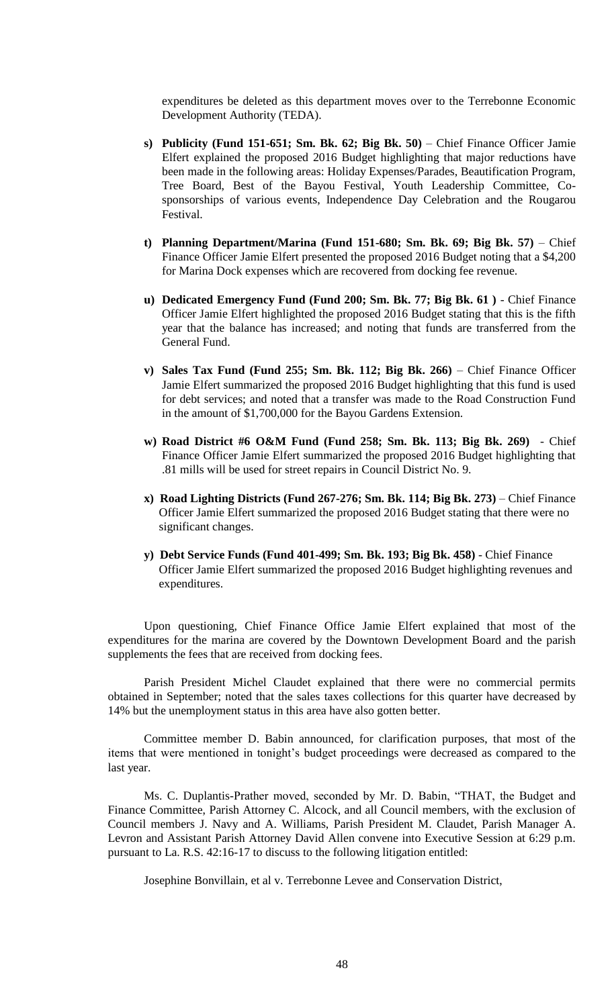expenditures be deleted as this department moves over to the Terrebonne Economic Development Authority (TEDA).

- **s) Publicity (Fund 151-651; Sm. Bk. 62; Big Bk. 50)** Chief Finance Officer Jamie Elfert explained the proposed 2016 Budget highlighting that major reductions have been made in the following areas: Holiday Expenses/Parades, Beautification Program, Tree Board, Best of the Bayou Festival, Youth Leadership Committee, Cosponsorships of various events, Independence Day Celebration and the Rougarou Festival.
- **t) Planning Department/Marina (Fund 151-680; Sm. Bk. 69; Big Bk. 57)** Chief Finance Officer Jamie Elfert presented the proposed 2016 Budget noting that a \$4,200 for Marina Dock expenses which are recovered from docking fee revenue.
- **u) Dedicated Emergency Fund (Fund 200; Sm. Bk. 77; Big Bk. 61 )**  Chief Finance Officer Jamie Elfert highlighted the proposed 2016 Budget stating that this is the fifth year that the balance has increased; and noting that funds are transferred from the General Fund.
- **v) Sales Tax Fund (Fund 255; Sm. Bk. 112; Big Bk. 266)** Chief Finance Officer Jamie Elfert summarized the proposed 2016 Budget highlighting that this fund is used for debt services; and noted that a transfer was made to the Road Construction Fund in the amount of \$1,700,000 for the Bayou Gardens Extension.
- **w) Road District #6 O&M Fund (Fund 258; Sm. Bk. 113; Big Bk. 269)** Chief Finance Officer Jamie Elfert summarized the proposed 2016 Budget highlighting that .81 mills will be used for street repairs in Council District No. 9.
- **x) Road Lighting Districts (Fund 267-276; Sm. Bk. 114; Big Bk. 273)**  Chief Finance Officer Jamie Elfert summarized the proposed 2016 Budget stating that there were no significant changes.
- **y) Debt Service Funds (Fund 401-499; Sm. Bk. 193; Big Bk. 458)**  Chief Finance Officer Jamie Elfert summarized the proposed 2016 Budget highlighting revenues and expenditures.

Upon questioning, Chief Finance Office Jamie Elfert explained that most of the expenditures for the marina are covered by the Downtown Development Board and the parish supplements the fees that are received from docking fees.

Parish President Michel Claudet explained that there were no commercial permits obtained in September; noted that the sales taxes collections for this quarter have decreased by 14% but the unemployment status in this area have also gotten better.

Committee member D. Babin announced, for clarification purposes, that most of the items that were mentioned in tonight's budget proceedings were decreased as compared to the last year.

Ms. C. Duplantis-Prather moved, seconded by Mr. D. Babin, "THAT, the Budget and Finance Committee, Parish Attorney C. Alcock, and all Council members, with the exclusion of Council members J. Navy and A. Williams, Parish President M. Claudet, Parish Manager A. Levron and Assistant Parish Attorney David Allen convene into Executive Session at 6:29 p.m. pursuant to La. R.S. 42:16-17 to discuss to the following litigation entitled:

Josephine Bonvillain, et al v. Terrebonne Levee and Conservation District,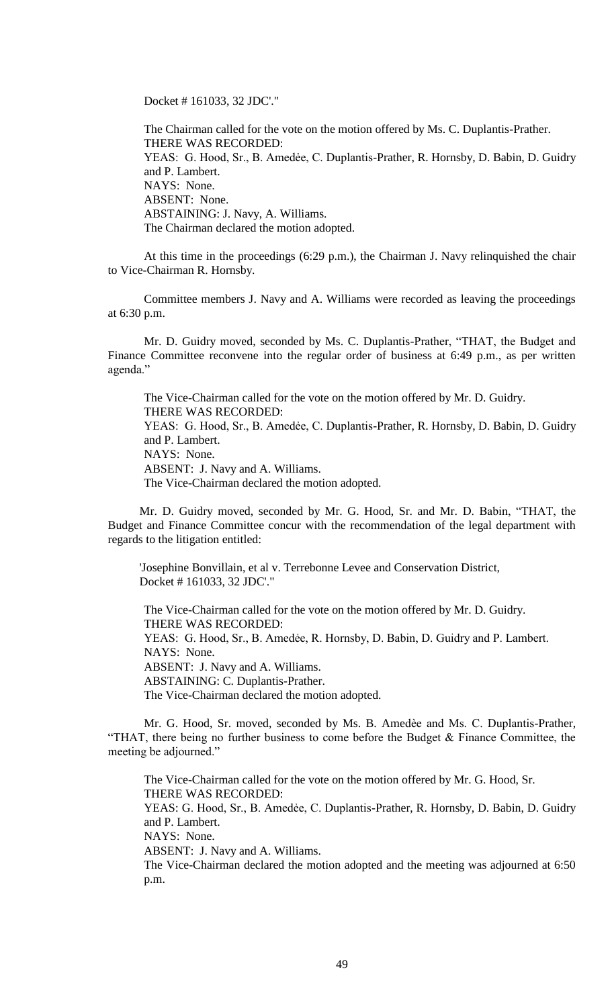Docket # 161033, 32 JDC'."

The Chairman called for the vote on the motion offered by Ms. C. Duplantis-Prather. THERE WAS RECORDED: YEAS: G. Hood, Sr., B. Amedẻe, C. Duplantis-Prather, R. Hornsby, D. Babin, D. Guidry and P. Lambert. NAYS: None. ABSENT: None. ABSTAINING: J. Navy, A. Williams. The Chairman declared the motion adopted.

At this time in the proceedings (6:29 p.m.), the Chairman J. Navy relinquished the chair to Vice-Chairman R. Hornsby.

Committee members J. Navy and A. Williams were recorded as leaving the proceedings at 6:30 p.m.

Mr. D. Guidry moved, seconded by Ms. C. Duplantis-Prather, "THAT, the Budget and Finance Committee reconvene into the regular order of business at 6:49 p.m., as per written agenda."

The Vice-Chairman called for the vote on the motion offered by Mr. D. Guidry. THERE WAS RECORDED: YEAS: G. Hood, Sr., B. Amedẻe, C. Duplantis-Prather, R. Hornsby, D. Babin, D. Guidry and P. Lambert. NAYS: None. ABSENT: J. Navy and A. Williams. The Vice-Chairman declared the motion adopted.

Mr. D. Guidry moved, seconded by Mr. G. Hood, Sr. and Mr. D. Babin, "THAT, the Budget and Finance Committee concur with the recommendation of the legal department with regards to the litigation entitled:

'Josephine Bonvillain, et al v. Terrebonne Levee and Conservation District, Docket # 161033, 32 JDC'."

The Vice-Chairman called for the vote on the motion offered by Mr. D. Guidry. THERE WAS RECORDED: YEAS: G. Hood, Sr., B. Amedée, R. Hornsby, D. Babin, D. Guidry and P. Lambert. NAYS: None. ABSENT: J. Navy and A. Williams. ABSTAINING: C. Duplantis-Prather. The Vice-Chairman declared the motion adopted.

Mr. G. Hood, Sr. moved, seconded by Ms. B. Amedèe and Ms. C. Duplantis-Prather, "THAT, there being no further business to come before the Budget & Finance Committee, the meeting be adjourned."

The Vice-Chairman called for the vote on the motion offered by Mr. G. Hood, Sr. THERE WAS RECORDED: YEAS: G. Hood, Sr., B. Amedée, C. Duplantis-Prather, R. Hornsby, D. Babin, D. Guidry and P. Lambert. NAYS: None. ABSENT: J. Navy and A. Williams.

The Vice-Chairman declared the motion adopted and the meeting was adjourned at 6:50 p.m.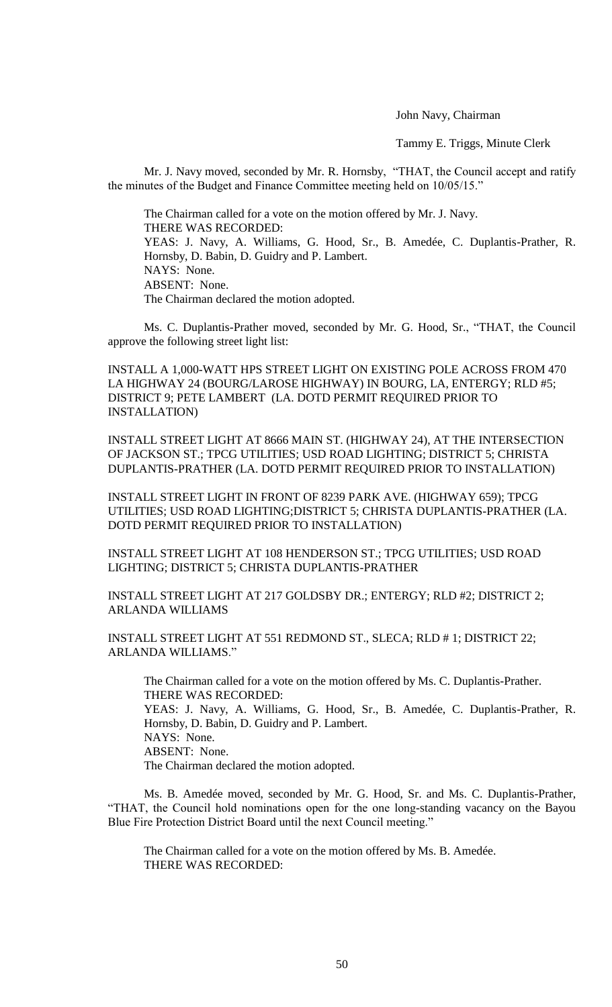# John Navy, Chairman

Tammy E. Triggs, Minute Clerk

Mr. J. Navy moved, seconded by Mr. R. Hornsby, "THAT, the Council accept and ratify the minutes of the Budget and Finance Committee meeting held on 10/05/15."

The Chairman called for a vote on the motion offered by Mr. J. Navy. THERE WAS RECORDED: YEAS: J. Navy, A. Williams, G. Hood, Sr., B. Amedée, C. Duplantis-Prather, R. Hornsby, D. Babin, D. Guidry and P. Lambert. NAYS: None. ABSENT: None. The Chairman declared the motion adopted.

Ms. C. Duplantis-Prather moved, seconded by Mr. G. Hood, Sr., "THAT, the Council approve the following street light list:

INSTALL A 1,000-WATT HPS STREET LIGHT ON EXISTING POLE ACROSS FROM 470 LA HIGHWAY 24 (BOURG/LAROSE HIGHWAY) IN BOURG, LA, ENTERGY; RLD #5; DISTRICT 9; PETE LAMBERT (LA. DOTD PERMIT REQUIRED PRIOR TO INSTALLATION)

INSTALL STREET LIGHT AT 8666 MAIN ST. (HIGHWAY 24), AT THE INTERSECTION OF JACKSON ST.; TPCG UTILITIES; USD ROAD LIGHTING; DISTRICT 5; CHRISTA DUPLANTIS-PRATHER (LA. DOTD PERMIT REQUIRED PRIOR TO INSTALLATION)

INSTALL STREET LIGHT IN FRONT OF 8239 PARK AVE. (HIGHWAY 659); TPCG UTILITIES; USD ROAD LIGHTING;DISTRICT 5; CHRISTA DUPLANTIS-PRATHER (LA. DOTD PERMIT REQUIRED PRIOR TO INSTALLATION)

INSTALL STREET LIGHT AT 108 HENDERSON ST.; TPCG UTILITIES; USD ROAD LIGHTING; DISTRICT 5; CHRISTA DUPLANTIS-PRATHER

INSTALL STREET LIGHT AT 217 GOLDSBY DR.; ENTERGY; RLD #2; DISTRICT 2; ARLANDA WILLIAMS

INSTALL STREET LIGHT AT 551 REDMOND ST., SLECA; RLD # 1; DISTRICT 22; ARLANDA WILLIAMS."

The Chairman called for a vote on the motion offered by Ms. C. Duplantis-Prather. THERE WAS RECORDED: YEAS: J. Navy, A. Williams, G. Hood, Sr., B. Amedée, C. Duplantis-Prather, R. Hornsby, D. Babin, D. Guidry and P. Lambert. NAYS: None. ABSENT: None. The Chairman declared the motion adopted.

Ms. B. Amedée moved, seconded by Mr. G. Hood, Sr. and Ms. C. Duplantis-Prather, "THAT, the Council hold nominations open for the one long-standing vacancy on the Bayou Blue Fire Protection District Board until the next Council meeting."

The Chairman called for a vote on the motion offered by Ms. B. Amedée. THERE WAS RECORDED: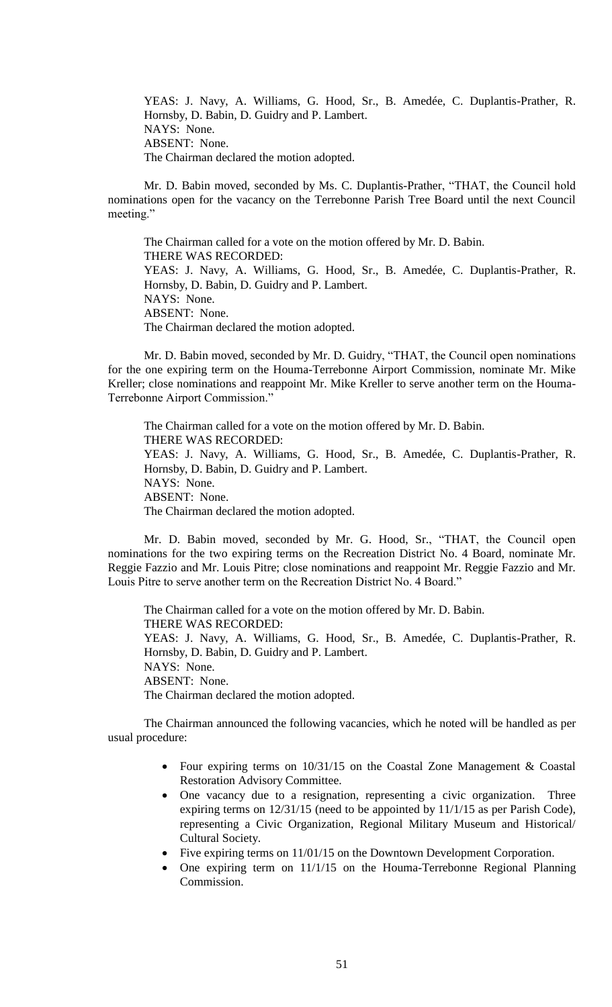YEAS: J. Navy, A. Williams, G. Hood, Sr., B. Amedée, C. Duplantis-Prather, R. Hornsby, D. Babin, D. Guidry and P. Lambert. NAYS: None. ABSENT: None. The Chairman declared the motion adopted.

Mr. D. Babin moved, seconded by Ms. C. Duplantis-Prather, "THAT, the Council hold nominations open for the vacancy on the Terrebonne Parish Tree Board until the next Council meeting."

The Chairman called for a vote on the motion offered by Mr. D. Babin. THERE WAS RECORDED: YEAS: J. Navy, A. Williams, G. Hood, Sr., B. Amedée, C. Duplantis-Prather, R. Hornsby, D. Babin, D. Guidry and P. Lambert. NAYS: None. ABSENT: None. The Chairman declared the motion adopted.

Mr. D. Babin moved, seconded by Mr. D. Guidry, "THAT, the Council open nominations for the one expiring term on the Houma-Terrebonne Airport Commission, nominate Mr. Mike Kreller; close nominations and reappoint Mr. Mike Kreller to serve another term on the Houma-Terrebonne Airport Commission."

The Chairman called for a vote on the motion offered by Mr. D. Babin. THERE WAS RECORDED: YEAS: J. Navy, A. Williams, G. Hood, Sr., B. Amedée, C. Duplantis-Prather, R. Hornsby, D. Babin, D. Guidry and P. Lambert. NAYS: None. ABSENT: None. The Chairman declared the motion adopted.

Mr. D. Babin moved, seconded by Mr. G. Hood, Sr., "THAT, the Council open nominations for the two expiring terms on the Recreation District No. 4 Board, nominate Mr. Reggie Fazzio and Mr. Louis Pitre; close nominations and reappoint Mr. Reggie Fazzio and Mr. Louis Pitre to serve another term on the Recreation District No. 4 Board."

The Chairman called for a vote on the motion offered by Mr. D. Babin. THERE WAS RECORDED: YEAS: J. Navy, A. Williams, G. Hood, Sr., B. Amedée, C. Duplantis-Prather, R. Hornsby, D. Babin, D. Guidry and P. Lambert. NAYS: None. ABSENT: None. The Chairman declared the motion adopted.

The Chairman announced the following vacancies, which he noted will be handled as per usual procedure:

- Four expiring terms on 10/31/15 on the Coastal Zone Management & Coastal Restoration Advisory Committee.
- One vacancy due to a resignation, representing a civic organization. Three expiring terms on 12/31/15 (need to be appointed by 11/1/15 as per Parish Code), representing a Civic Organization, Regional Military Museum and Historical/ Cultural Society.
- Five expiring terms on 11/01/15 on the Downtown Development Corporation.
- One expiring term on 11/1/15 on the Houma-Terrebonne Regional Planning Commission.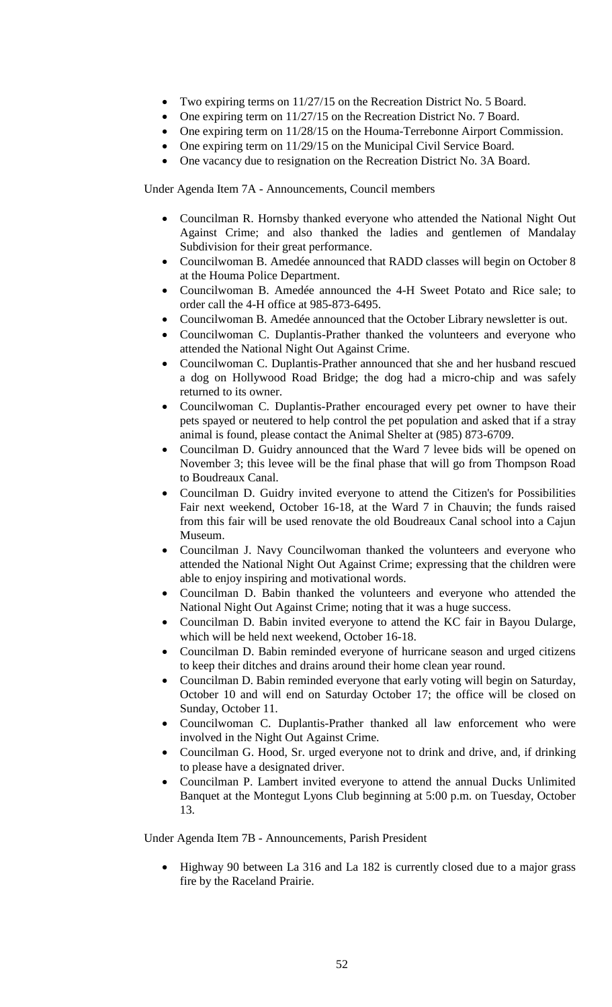- Two expiring terms on 11/27/15 on the Recreation District No. 5 Board.
- One expiring term on 11/27/15 on the Recreation District No. 7 Board.
- One expiring term on 11/28/15 on the Houma-Terrebonne Airport Commission.
	- One expiring term on 11/29/15 on the Municipal Civil Service Board.
- One vacancy due to resignation on the Recreation District No. 3A Board.

Under Agenda Item 7A - Announcements, Council members

- Councilman R. Hornsby thanked everyone who attended the National Night Out Against Crime; and also thanked the ladies and gentlemen of Mandalay Subdivision for their great performance.
- Councilwoman B. Amedée announced that RADD classes will begin on October 8 at the Houma Police Department.
- Councilwoman B. Amedée announced the 4-H Sweet Potato and Rice sale; to order call the 4-H office at 985-873-6495.
- Councilwoman B. Amedée announced that the October Library newsletter is out.
- Councilwoman C. Duplantis-Prather thanked the volunteers and everyone who attended the National Night Out Against Crime.
- Councilwoman C. Duplantis-Prather announced that she and her husband rescued a dog on Hollywood Road Bridge; the dog had a micro-chip and was safely returned to its owner.
- Councilwoman C. Duplantis-Prather encouraged every pet owner to have their pets spayed or neutered to help control the pet population and asked that if a stray animal is found, please contact the Animal Shelter at (985) 873-6709.
- Councilman D. Guidry announced that the Ward 7 levee bids will be opened on November 3; this levee will be the final phase that will go from Thompson Road to Boudreaux Canal.
- Councilman D. Guidry invited everyone to attend the Citizen's for Possibilities Fair next weekend, October 16-18, at the Ward 7 in Chauvin; the funds raised from this fair will be used renovate the old Boudreaux Canal school into a Cajun Museum.
- Councilman J. Navy Councilwoman thanked the volunteers and everyone who attended the National Night Out Against Crime; expressing that the children were able to enjoy inspiring and motivational words.
- Councilman D. Babin thanked the volunteers and everyone who attended the National Night Out Against Crime; noting that it was a huge success.
- Councilman D. Babin invited everyone to attend the KC fair in Bayou Dularge, which will be held next weekend, October 16-18.
- Councilman D. Babin reminded everyone of hurricane season and urged citizens to keep their ditches and drains around their home clean year round.
- Councilman D. Babin reminded everyone that early voting will begin on Saturday, October 10 and will end on Saturday October 17; the office will be closed on Sunday, October 11.
- Councilwoman C. Duplantis-Prather thanked all law enforcement who were involved in the Night Out Against Crime.
- Councilman G. Hood, Sr. urged everyone not to drink and drive, and, if drinking to please have a designated driver.
- Councilman P. Lambert invited everyone to attend the annual Ducks Unlimited Banquet at the Montegut Lyons Club beginning at 5:00 p.m. on Tuesday, October 13.

Under Agenda Item 7B - Announcements, Parish President

• Highway 90 between La 316 and La 182 is currently closed due to a major grass fire by the Raceland Prairie.